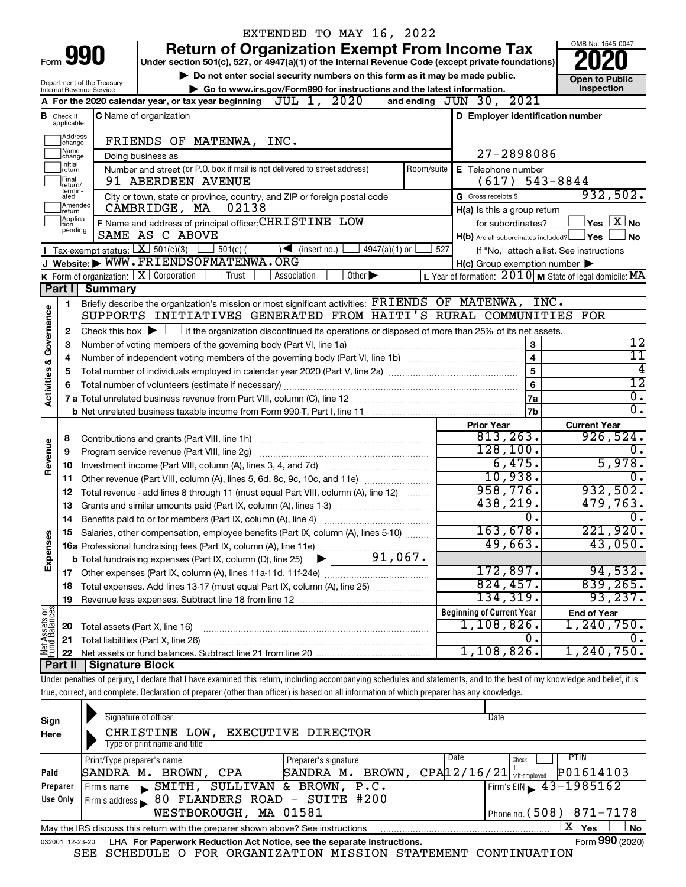|                                                                                                           |                                       |                                                                                                                                    | EXTENDED TO MAY 16, 2022                                                                                                                                                   |                                                                       |                                                         |  |  |
|-----------------------------------------------------------------------------------------------------------|---------------------------------------|------------------------------------------------------------------------------------------------------------------------------------|----------------------------------------------------------------------------------------------------------------------------------------------------------------------------|-----------------------------------------------------------------------|---------------------------------------------------------|--|--|
|                                                                                                           |                                       |                                                                                                                                    | <b>Return of Organization Exempt From Income Tax</b>                                                                                                                       |                                                                       | OMB No. 1545-0047                                       |  |  |
|                                                                                                           | Form 990                              |                                                                                                                                    | Under section 501(c), 527, or 4947(a)(1) of the Internal Revenue Code (except private foundations)                                                                         |                                                                       |                                                         |  |  |
| Do not enter social security numbers on this form as it may be made public.<br>Department of the Treasury |                                       |                                                                                                                                    |                                                                                                                                                                            |                                                                       | <b>Open to Public</b>                                   |  |  |
|                                                                                                           | Internal Revenue Service              |                                                                                                                                    | Go to www.irs.gov/Form990 for instructions and the latest information.                                                                                                     |                                                                       | Inspection                                              |  |  |
|                                                                                                           |                                       |                                                                                                                                    | A For the 2020 calendar year, or tax year beginning $JUL$ 1, $2020$                                                                                                        | and ending $JUN$ 30, $2021$                                           |                                                         |  |  |
|                                                                                                           | <b>B</b> Check if<br>applicable:      |                                                                                                                                    | C Name of organization                                                                                                                                                     | D Employer identification number                                      |                                                         |  |  |
|                                                                                                           | Address<br>change                     |                                                                                                                                    | FRIENDS OF MATENWA, INC.                                                                                                                                                   |                                                                       |                                                         |  |  |
|                                                                                                           | Name<br>change                        |                                                                                                                                    | Doing business as                                                                                                                                                          | 27-2898086                                                            |                                                         |  |  |
|                                                                                                           | Initial<br>return<br>Final            |                                                                                                                                    | Number and street (or P.O. box if mail is not delivered to street address)<br>Room/suite<br>91 ABERDEEN AVENUE                                                             | E Telephone number<br>$(617)$ 543-8844                                |                                                         |  |  |
|                                                                                                           | return/<br>termin-<br>ated<br>Amended |                                                                                                                                    | City or town, state or province, country, and ZIP or foreign postal code                                                                                                   | G Gross receipts \$                                                   | 932,502.                                                |  |  |
|                                                                                                           | return                                |                                                                                                                                    | CAMBRIDGE, MA<br>02138                                                                                                                                                     | H(a) Is this a group return                                           |                                                         |  |  |
|                                                                                                           | Applica-<br>tion<br>pending           |                                                                                                                                    | F Name and address of principal officer: CHRISTINE LOW<br>SAME AS C ABOVE                                                                                                  | for subordinates?<br>$H(b)$ Are all subordinates included? $\Box$ Yes | $ {\mathsf Y}$ es $ \overline{{\mathsf X}} $ No<br>l No |  |  |
|                                                                                                           |                                       |                                                                                                                                    | <b>T</b> Tax-exempt status: $X \ 501(c)(3)$<br>$\frac{1}{2}$ 501(c) (<br>$\sqrt{\frac{1}{1}}$ (insert no.)<br>$4947(a)(1)$ or                                              | 527                                                                   | If "No," attach a list. See instructions                |  |  |
|                                                                                                           |                                       |                                                                                                                                    | J Website: WWW.FRIENDSOFMATENWA.ORG                                                                                                                                        | $H(c)$ Group exemption number $\blacktriangleright$                   |                                                         |  |  |
|                                                                                                           |                                       |                                                                                                                                    | K Form of organization: $X$ Corporation<br>Trust<br>Other $\blacktriangleright$<br>Association                                                                             | L Year of formation: $2010$ M State of legal domicile: MA             |                                                         |  |  |
|                                                                                                           | Part I                                | <b>Summary</b>                                                                                                                     |                                                                                                                                                                            |                                                                       |                                                         |  |  |
|                                                                                                           | 1                                     |                                                                                                                                    | Briefly describe the organization's mission or most significant activities: FRIENDS OF MATENWA, INC.                                                                       |                                                                       |                                                         |  |  |
|                                                                                                           |                                       |                                                                                                                                    | SUPPORTS INITIATIVES GENERATED FROM HAITI'S RURAL COMMUNITIES FOR                                                                                                          |                                                                       |                                                         |  |  |
| Governance                                                                                                | 2                                     |                                                                                                                                    | Check this box $\blacktriangleright$ $\Box$ if the organization discontinued its operations or disposed of more than 25% of its net assets.                                |                                                                       |                                                         |  |  |
|                                                                                                           | З                                     |                                                                                                                                    | Number of voting members of the governing body (Part VI, line 1a) [11] manuscription of voting members of the governing body (Part VI, line 1a)                            | 3                                                                     | 12                                                      |  |  |
|                                                                                                           | 4                                     |                                                                                                                                    |                                                                                                                                                                            | $\overline{\mathbf{4}}$                                               | $\overline{11}$                                         |  |  |
| <b>Activities &amp;</b>                                                                                   | 5                                     | $\overline{5}$<br>Total number of individuals employed in calendar year 2020 (Part V, line 2a) manufacture controller to intervent |                                                                                                                                                                            |                                                                       |                                                         |  |  |
|                                                                                                           |                                       | 6                                                                                                                                  |                                                                                                                                                                            |                                                                       |                                                         |  |  |
|                                                                                                           |                                       |                                                                                                                                    |                                                                                                                                                                            | <b>7a</b>                                                             | $\overline{0}$ .                                        |  |  |
|                                                                                                           |                                       |                                                                                                                                    |                                                                                                                                                                            | 7 <sub>b</sub>                                                        | σ.                                                      |  |  |
|                                                                                                           |                                       |                                                                                                                                    |                                                                                                                                                                            | <b>Prior Year</b>                                                     | <b>Current Year</b>                                     |  |  |
|                                                                                                           | 8                                     |                                                                                                                                    |                                                                                                                                                                            | 813, 263.                                                             | 926,524.                                                |  |  |
|                                                                                                           | 9                                     |                                                                                                                                    | Program service revenue (Part VIII, line 2g)                                                                                                                               | 128, 100.                                                             | $\mathfrak{o}$ .                                        |  |  |
| Revenue                                                                                                   | 10                                    |                                                                                                                                    |                                                                                                                                                                            | 6,475.                                                                | 5,978.                                                  |  |  |
|                                                                                                           | 11                                    |                                                                                                                                    |                                                                                                                                                                            | 10,938.                                                               | 0.                                                      |  |  |
|                                                                                                           | 12                                    |                                                                                                                                    | Total revenue - add lines 8 through 11 (must equal Part VIII, column (A), line 12)                                                                                         | 958,776.                                                              | 932,502.                                                |  |  |
|                                                                                                           | 13                                    |                                                                                                                                    | Grants and similar amounts paid (Part IX, column (A), lines 1-3)                                                                                                           | 438,219.                                                              | 479,763.                                                |  |  |
|                                                                                                           | 14                                    |                                                                                                                                    |                                                                                                                                                                            | $\mathbf{0}$ .                                                        | 0.                                                      |  |  |
|                                                                                                           |                                       |                                                                                                                                    | 15 Salaries, other compensation, employee benefits (Part IX, column (A), lines 5-10)                                                                                       | 163,678.                                                              | 221,920.                                                |  |  |
|                                                                                                           |                                       |                                                                                                                                    |                                                                                                                                                                            | 49,663.                                                               | 43,050.                                                 |  |  |
| Expenses                                                                                                  |                                       |                                                                                                                                    |                                                                                                                                                                            |                                                                       |                                                         |  |  |
|                                                                                                           |                                       |                                                                                                                                    |                                                                                                                                                                            | 172,897.                                                              | 94,532.                                                 |  |  |
|                                                                                                           | 18                                    |                                                                                                                                    | Total expenses. Add lines 13-17 (must equal Part IX, column (A), line 25) <i></i>                                                                                          | 824, 457.                                                             | 839, 265.                                               |  |  |
|                                                                                                           | 19                                    |                                                                                                                                    |                                                                                                                                                                            | 134,319.                                                              | 93, 237.                                                |  |  |
| Net Assets or                                                                                             |                                       |                                                                                                                                    |                                                                                                                                                                            | <b>Beginning of Current Year</b>                                      | <b>End of Year</b>                                      |  |  |
|                                                                                                           | 20                                    | Total assets (Part X, line 16)                                                                                                     |                                                                                                                                                                            | $1,108,826$ .                                                         | 1, 240, 750.                                            |  |  |
|                                                                                                           | 21                                    |                                                                                                                                    | Total liabilities (Part X, line 26)                                                                                                                                        | 0.                                                                    | 0.                                                      |  |  |
|                                                                                                           | 22                                    |                                                                                                                                    |                                                                                                                                                                            | $1,108,826$ .                                                         | 1, 240, 750.                                            |  |  |
|                                                                                                           | Part II                               | Signature Block                                                                                                                    |                                                                                                                                                                            |                                                                       |                                                         |  |  |
|                                                                                                           |                                       |                                                                                                                                    | Under penalties of perjury, I declare that I have examined this return, including accompanying schedules and statements, and to the best of my knowledge and belief, it is |                                                                       |                                                         |  |  |
|                                                                                                           |                                       |                                                                                                                                    | true, correct, and complete. Declaration of preparer (other than officer) is based on all information of which preparer has any knowledge.                                 |                                                                       |                                                         |  |  |
|                                                                                                           |                                       |                                                                                                                                    | Signature of officer                                                                                                                                                       | Date                                                                  |                                                         |  |  |
| Sign                                                                                                      |                                       |                                                                                                                                    |                                                                                                                                                                            |                                                                       |                                                         |  |  |
|                                                                                                           |                                       |                                                                                                                                    |                                                                                                                                                                            |                                                                       |                                                         |  |  |
| Here                                                                                                      |                                       |                                                                                                                                    | CHRISTINE LOW, EXECUTIVE DIRECTOR                                                                                                                                          |                                                                       |                                                         |  |  |
|                                                                                                           |                                       |                                                                                                                                    | Type or print name and title<br>Print/Type preparer's name<br>Preparer's signature                                                                                         | Date<br>Check                                                         | PTIN                                                    |  |  |

| Preparer        | Firm's name SMITH, SULLIVAN & BROWN, P.C.                                         | Firm's EIN $\rightarrow$ 43-1985162 |
|-----------------|-----------------------------------------------------------------------------------|-------------------------------------|
| Use Only        | Firm's address \ 80 FLANDERS ROAD - SUITE #200                                    |                                     |
|                 | WESTBOROUGH, MA 01581                                                             | I Phone no. $(508)$ 871-7178        |
|                 | May the IRS discuss this return with the preparer shown above? See instructions   | X  <br>È Nο<br>'Yes                 |
| 032001 12-23-20 | LHA For Paperwork Reduction Act Notice, see the separate instructions.            | Form 990 (2020)                     |
|                 | COUPDIII P O POD ODCANITZAMIONI MICCIONI CMAMPMPNIM CONMINIIIAMIONI<br><b>CDD</b> |                                     |

SEE SCHEDULE O FOR ORGANIZATION MISSION STATEMENT CONTINUATION

**Paid Preparer Use Only**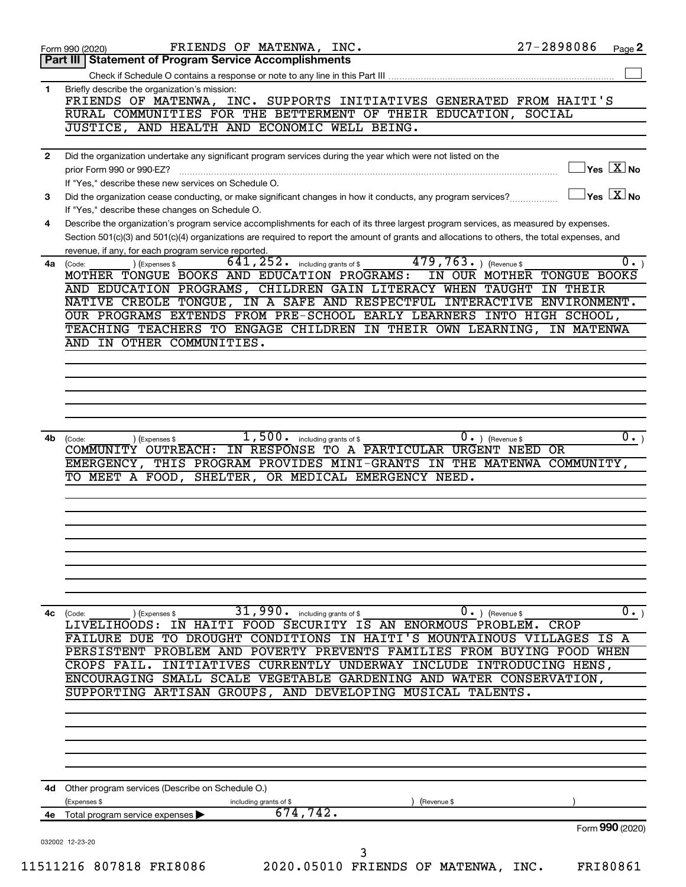|              | FRIENDS OF MATENWA, INC.<br>Form 990 (2020)                                                                                                                                             | 27-2898086<br>Page 2                                      |
|--------------|-----------------------------------------------------------------------------------------------------------------------------------------------------------------------------------------|-----------------------------------------------------------|
|              | Part III   Statement of Program Service Accomplishments                                                                                                                                 |                                                           |
|              |                                                                                                                                                                                         |                                                           |
| 1            | Briefly describe the organization's mission:<br>FRIENDS OF MATENWA, INC. SUPPORTS INITIATIVES GENERATED FROM HAITI'S                                                                    |                                                           |
|              | RURAL COMMUNITIES FOR THE BETTERMENT OF THEIR EDUCATION,                                                                                                                                | SOCIAL                                                    |
|              | JUSTICE, AND HEALTH AND ECONOMIC WELL BEING.                                                                                                                                            |                                                           |
| $\mathbf{2}$ | Did the organization undertake any significant program services during the year which were not listed on the                                                                            |                                                           |
|              | prior Form 990 or 990-EZ?                                                                                                                                                               | $\sqrt{\mathsf{Yes}\ \mathsf{X}}$ No                      |
|              | If "Yes," describe these new services on Schedule O.                                                                                                                                    |                                                           |
| 3            | Did the organization cease conducting, or make significant changes in how it conducts, any program services?                                                                            | $\overline{\ }$ Yes $\overline{\phantom{a}X}$ No          |
| 4            | If "Yes," describe these changes on Schedule O.<br>Describe the organization's program service accomplishments for each of its three largest program services, as measured by expenses. |                                                           |
|              | Section 501(c)(3) and 501(c)(4) organizations are required to report the amount of grants and allocations to others, the total expenses, and                                            |                                                           |
|              | revenue, if any, for each program service reported.                                                                                                                                     |                                                           |
| 4a           | $\overline{479,763}$ . ) (Revenue \$<br>$641, 252$ . including grants of \$<br>) (Expenses \$<br>(Code:                                                                                 | $\overline{0.}$                                           |
|              | MOTHER TONGUE BOOKS AND EDUCATION PROGRAMS:<br>AND EDUCATION PROGRAMS, CHILDREN GAIN LITERACY WHEN TAUGHT                                                                               | IN OUR MOTHER TONGUE BOOKS<br>IN THEIR                    |
|              | NATIVE CREOLE TONGUE, IN A SAFE AND RESPECTFUL INTERACTIVE ENVIRONMENT.                                                                                                                 |                                                           |
|              | OUR PROGRAMS EXTENDS FROM PRE-SCHOOL EARLY LEARNERS INTO HIGH SCHOOL,                                                                                                                   |                                                           |
|              | TEACHING TEACHERS TO ENGAGE CHILDREN IN THEIR OWN LEARNING, IN MATENWA                                                                                                                  |                                                           |
|              | AND IN OTHER COMMUNITIES.                                                                                                                                                               |                                                           |
|              |                                                                                                                                                                                         |                                                           |
|              |                                                                                                                                                                                         |                                                           |
|              |                                                                                                                                                                                         |                                                           |
|              |                                                                                                                                                                                         |                                                           |
|              |                                                                                                                                                                                         |                                                           |
|              |                                                                                                                                                                                         |                                                           |
|              | 1,500.<br>including grants of \$<br>(Code:<br>(Expenses \$                                                                                                                              | $0 \cdot$ ) (Revenue \$                                   |
| 4b           | COMMUNITY OUTREACH: IN RESPONSE TO A PARTICULAR URGENT NEED OR<br>EMERGENCY, THIS PROGRAM PROVIDES MINI-GRANTS IN THE MATENWA COMMUNITY,                                                |                                                           |
|              | SHELTER, OR MEDICAL EMERGENCY NEED.<br>TO MEET A FOOD,                                                                                                                                  |                                                           |
|              |                                                                                                                                                                                         |                                                           |
|              |                                                                                                                                                                                         |                                                           |
|              |                                                                                                                                                                                         |                                                           |
|              |                                                                                                                                                                                         |                                                           |
|              |                                                                                                                                                                                         |                                                           |
|              |                                                                                                                                                                                         |                                                           |
|              |                                                                                                                                                                                         |                                                           |
|              | 31,990.<br>including grants of \$<br>(Expenses \$<br>(Code:                                                                                                                             | $0 \cdot$ ) (Revenue \$                                   |
|              | IN HAITI FOOD SECURITY IS AN ENORMOUS PROBLEM.<br>LIVELIHOODS:                                                                                                                          | CROP                                                      |
|              | FAILURE DUE TO DROUGHT CONDITIONS IN HAITI'S MOUNTAINOUS                                                                                                                                |                                                           |
|              | PERSISTENT PROBLEM AND POVERTY PREVENTS FAMILIES FROM BUYING FOOD WHEN<br>INITIATIVES CURRENTLY UNDERWAY INCLUDE INTRODUCING HENS,<br>CROPS FAIL.                                       |                                                           |
|              | ENCOURAGING SMALL SCALE VEGETABLE GARDENING AND WATER CONSERVATION,                                                                                                                     |                                                           |
|              | SUPPORTING ARTISAN GROUPS, AND DEVELOPING MUSICAL TALENTS.                                                                                                                              |                                                           |
|              |                                                                                                                                                                                         |                                                           |
|              |                                                                                                                                                                                         |                                                           |
|              |                                                                                                                                                                                         |                                                           |
|              |                                                                                                                                                                                         |                                                           |
| 4c           |                                                                                                                                                                                         |                                                           |
|              | 4d Other program services (Describe on Schedule O.)                                                                                                                                     |                                                           |
|              | (Expenses \$<br>(Revenue \$<br>including grants of \$                                                                                                                                   | $\overline{0 \cdot}$<br>$\overline{0}$ .<br>VILLAGES IS A |
| 4е           | 674,742.<br>Total program service expenses ▶                                                                                                                                            | Form 990 (2020)                                           |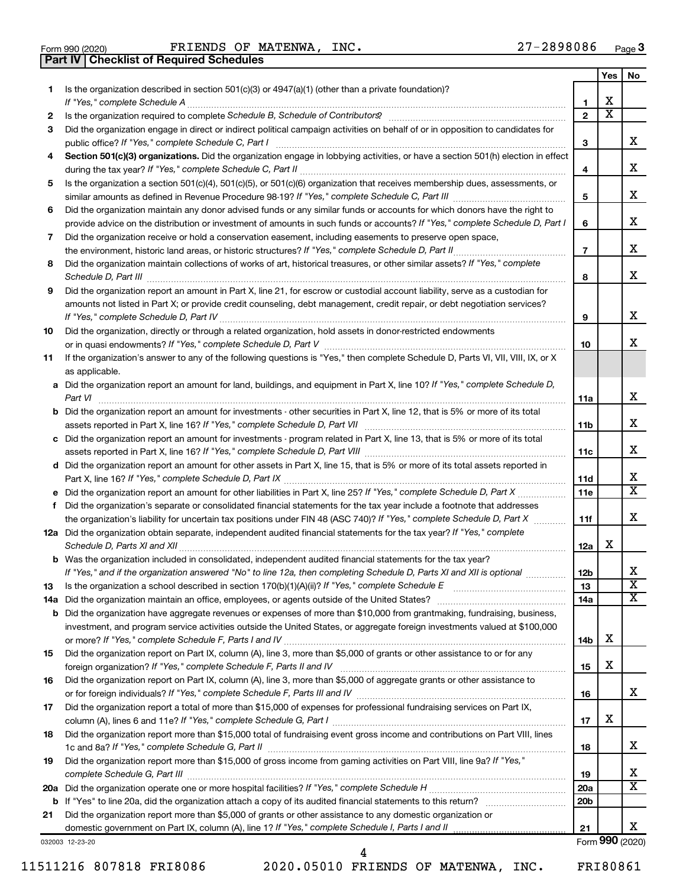|  | Form 990 (2020) |
|--|-----------------|

**Part IV Checklist of Required Schedules**

Form 990 (2020) FRIENDS OF MATENWA, INC.  $27-2898086$  Page

|        |                                                                                                                                                                                                                                                           |                     | Yes                          | No                      |
|--------|-----------------------------------------------------------------------------------------------------------------------------------------------------------------------------------------------------------------------------------------------------------|---------------------|------------------------------|-------------------------|
| 1.     | Is the organization described in section 501(c)(3) or 4947(a)(1) (other than a private foundation)?                                                                                                                                                       |                     |                              |                         |
|        | If "Yes," complete Schedule A<br>Is the organization required to complete Schedule B, Schedule of Contributors? [11] The organization required to complete Schedule B, Schedule of Contributors?                                                          | 1<br>$\overline{2}$ | х<br>$\overline{\textbf{x}}$ |                         |
| 2<br>3 | Did the organization engage in direct or indirect political campaign activities on behalf of or in opposition to candidates for                                                                                                                           |                     |                              |                         |
|        | public office? If "Yes," complete Schedule C, Part I                                                                                                                                                                                                      | 3                   |                              | x                       |
| 4      | Section 501(c)(3) organizations. Did the organization engage in lobbying activities, or have a section 501(h) election in effect                                                                                                                          | 4                   |                              | x                       |
| 5      | Is the organization a section 501(c)(4), 501(c)(5), or 501(c)(6) organization that receives membership dues, assessments, or                                                                                                                              |                     |                              |                         |
|        |                                                                                                                                                                                                                                                           | 5                   |                              | x                       |
| 6      | Did the organization maintain any donor advised funds or any similar funds or accounts for which donors have the right to<br>provide advice on the distribution or investment of amounts in such funds or accounts? If "Yes," complete Schedule D, Part I | 6                   |                              | x                       |
| 7      | Did the organization receive or hold a conservation easement, including easements to preserve open space,                                                                                                                                                 |                     |                              | x                       |
|        | Did the organization maintain collections of works of art, historical treasures, or other similar assets? If "Yes," complete                                                                                                                              | $\overline{7}$      |                              |                         |
| 8      |                                                                                                                                                                                                                                                           | 8                   |                              | X                       |
| 9      | Did the organization report an amount in Part X, line 21, for escrow or custodial account liability, serve as a custodian for                                                                                                                             |                     |                              |                         |
|        | amounts not listed in Part X; or provide credit counseling, debt management, credit repair, or debt negotiation services?                                                                                                                                 | 9                   |                              | x                       |
| 10     | Did the organization, directly or through a related organization, hold assets in donor-restricted endowments                                                                                                                                              |                     |                              |                         |
|        |                                                                                                                                                                                                                                                           | 10                  |                              | х                       |
| 11     | If the organization's answer to any of the following questions is "Yes," then complete Schedule D, Parts VI, VII, VIII, IX, or X<br>as applicable.                                                                                                        |                     |                              |                         |
|        | a Did the organization report an amount for land, buildings, and equipment in Part X, line 10? If "Yes," complete Schedule D,                                                                                                                             |                     |                              |                         |
|        | Part VI                                                                                                                                                                                                                                                   | 11a                 |                              | x                       |
|        | <b>b</b> Did the organization report an amount for investments - other securities in Part X, line 12, that is 5% or more of its total                                                                                                                     | 11 <sub>b</sub>     |                              | x                       |
|        | assets reported in Part X, line 16? If "Yes," complete Schedule D, Part VII [11] [11] [12] [12] [12] [12] [12] [<br>c Did the organization report an amount for investments - program related in Part X, line 13, that is 5% or more of its total         |                     |                              |                         |
|        |                                                                                                                                                                                                                                                           | 11c                 |                              | x                       |
|        | d Did the organization report an amount for other assets in Part X, line 15, that is 5% or more of its total assets reported in                                                                                                                           |                     |                              |                         |
|        |                                                                                                                                                                                                                                                           | 11d                 |                              | х                       |
|        |                                                                                                                                                                                                                                                           | 11e                 |                              | $\overline{\mathbf{x}}$ |
| f      | Did the organization's separate or consolidated financial statements for the tax year include a footnote that addresses                                                                                                                                   |                     |                              | X                       |
|        | the organization's liability for uncertain tax positions under FIN 48 (ASC 740)? If "Yes," complete Schedule D, Part X                                                                                                                                    | 11f                 |                              |                         |
|        | 12a Did the organization obtain separate, independent audited financial statements for the tax year? If "Yes," complete                                                                                                                                   | 12a                 | x                            |                         |
|        | <b>b</b> Was the organization included in consolidated, independent audited financial statements for the tax year?                                                                                                                                        |                     |                              |                         |
|        | If "Yes," and if the organization answered "No" to line 12a, then completing Schedule D, Parts XI and XII is optional                                                                                                                                     | 12 <sub>b</sub>     |                              | х                       |
| 13     |                                                                                                                                                                                                                                                           | 13                  |                              | $\overline{\textbf{X}}$ |
| 14a    |                                                                                                                                                                                                                                                           | 14a                 |                              | $\overline{X}$          |
| b      | Did the organization have aggregate revenues or expenses of more than \$10,000 from grantmaking, fundraising, business,                                                                                                                                   |                     |                              |                         |
|        | investment, and program service activities outside the United States, or aggregate foreign investments valued at \$100,000                                                                                                                                | 14b                 | х                            |                         |
| 15     | Did the organization report on Part IX, column (A), line 3, more than \$5,000 of grants or other assistance to or for any                                                                                                                                 |                     |                              |                         |
|        |                                                                                                                                                                                                                                                           | 15                  | х                            |                         |
| 16     | Did the organization report on Part IX, column (A), line 3, more than \$5,000 of aggregate grants or other assistance to                                                                                                                                  |                     |                              |                         |
|        |                                                                                                                                                                                                                                                           | 16                  |                              | x                       |
| 17     | Did the organization report a total of more than \$15,000 of expenses for professional fundraising services on Part IX,                                                                                                                                   |                     |                              |                         |
|        |                                                                                                                                                                                                                                                           | 17                  | Χ                            |                         |
| 18     | Did the organization report more than \$15,000 total of fundraising event gross income and contributions on Part VIII, lines                                                                                                                              | 18                  |                              | x                       |
| 19     | Did the organization report more than \$15,000 of gross income from gaming activities on Part VIII, line 9a? If "Yes,"                                                                                                                                    | 19                  |                              | x                       |
| 20a    |                                                                                                                                                                                                                                                           | <b>20a</b>          |                              | $\overline{\mathbf{X}}$ |
| b      |                                                                                                                                                                                                                                                           | 20 <sub>b</sub>     |                              |                         |
| 21     | Did the organization report more than \$5,000 of grants or other assistance to any domestic organization or                                                                                                                                               |                     |                              |                         |
|        |                                                                                                                                                                                                                                                           | 21                  |                              | x<br>Form 990 (2020)    |
|        | 032003 12-23-20                                                                                                                                                                                                                                           |                     |                              |                         |

11511216 807818 FRI8086 2020.05010 FRIENDS OF MATENWA, INC. FRI80861

4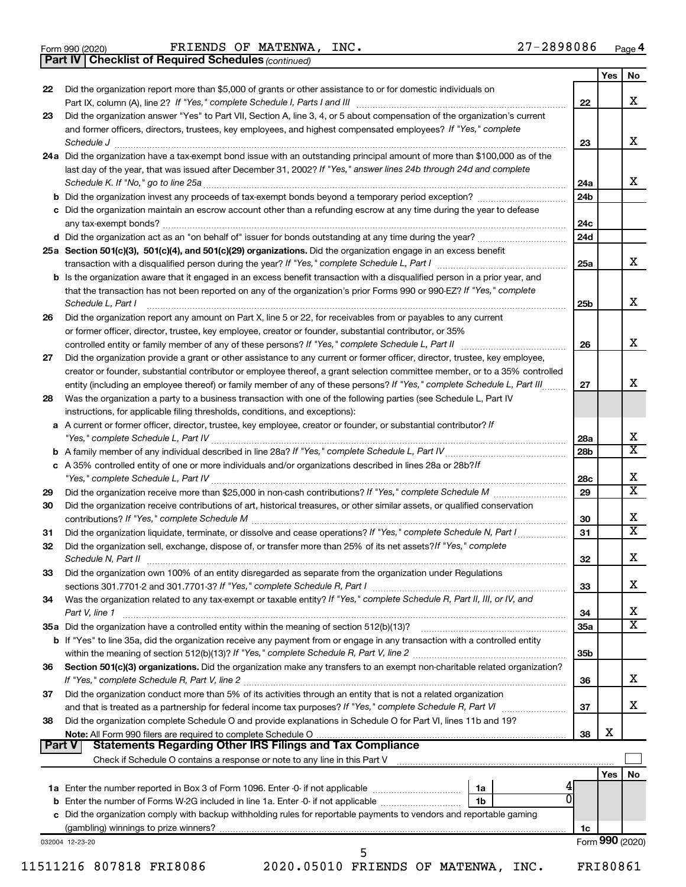|  | Form 990 (2020) |
|--|-----------------|
|  |                 |

*(continued)* **Part IV Checklist of Required Schedules**

| 22             | Did the organization report more than \$5,000 of grants or other assistance to or for domestic individuals on                                                                                                                      |                 | Yes             | No |
|----------------|------------------------------------------------------------------------------------------------------------------------------------------------------------------------------------------------------------------------------------|-----------------|-----------------|----|
|                | Part IX, column (A), line 2? If "Yes," complete Schedule I, Parts I and III [11]] [11]] [11] [11] [11] [11] [1                                                                                                                     | 22              |                 | x  |
| 23             | Did the organization answer "Yes" to Part VII, Section A, line 3, 4, or 5 about compensation of the organization's current                                                                                                         |                 |                 |    |
|                | and former officers, directors, trustees, key employees, and highest compensated employees? If "Yes," complete                                                                                                                     |                 |                 |    |
|                | Schedule J <b>Execute J Execute Contract Contract Contract Contract Contract Contract Contract Contract Contract Contract Contract Contract Contract Contract Contract Contract Contract Contract Contract Contract Contract C</b> | 23              |                 | x  |
|                | 24a Did the organization have a tax-exempt bond issue with an outstanding principal amount of more than \$100,000 as of the                                                                                                        |                 |                 |    |
|                | last day of the year, that was issued after December 31, 2002? If "Yes," answer lines 24b through 24d and complete                                                                                                                 |                 |                 |    |
|                |                                                                                                                                                                                                                                    | 24a             |                 |    |
|                | b Did the organization invest any proceeds of tax-exempt bonds beyond a temporary period exception?                                                                                                                                | 24 <sub>b</sub> |                 |    |
|                | c Did the organization maintain an escrow account other than a refunding escrow at any time during the year to defease                                                                                                             |                 |                 |    |
|                |                                                                                                                                                                                                                                    | 24c             |                 |    |
|                |                                                                                                                                                                                                                                    | 24d             |                 |    |
|                | 25a Section 501(c)(3), 501(c)(4), and 501(c)(29) organizations. Did the organization engage in an excess benefit                                                                                                                   |                 |                 |    |
|                |                                                                                                                                                                                                                                    | 25a             |                 |    |
|                | <b>b</b> Is the organization aware that it engaged in an excess benefit transaction with a disqualified person in a prior year, and                                                                                                |                 |                 |    |
|                | that the transaction has not been reported on any of the organization's prior Forms 990 or 990-EZ? If "Yes," complete                                                                                                              |                 |                 |    |
|                | Schedule L, Part I                                                                                                                                                                                                                 | 25 <sub>b</sub> |                 |    |
| 26             | Did the organization report any amount on Part X, line 5 or 22, for receivables from or payables to any current                                                                                                                    |                 |                 |    |
|                | or former officer, director, trustee, key employee, creator or founder, substantial contributor, or 35%                                                                                                                            |                 |                 |    |
|                |                                                                                                                                                                                                                                    | 26              |                 |    |
| 27             | Did the organization provide a grant or other assistance to any current or former officer, director, trustee, key employee,                                                                                                        |                 |                 |    |
|                | creator or founder, substantial contributor or employee thereof, a grant selection committee member, or to a 35% controlled                                                                                                        |                 |                 |    |
|                | entity (including an employee thereof) or family member of any of these persons? If "Yes," complete Schedule L, Part III                                                                                                           | 27              |                 |    |
| 28             | Was the organization a party to a business transaction with one of the following parties (see Schedule L, Part IV                                                                                                                  |                 |                 |    |
|                | instructions, for applicable filing thresholds, conditions, and exceptions):                                                                                                                                                       |                 |                 |    |
|                | a A current or former officer, director, trustee, key employee, creator or founder, or substantial contributor? If                                                                                                                 |                 |                 |    |
|                |                                                                                                                                                                                                                                    | 28a             |                 |    |
|                |                                                                                                                                                                                                                                    | 28b             |                 |    |
|                | c A 35% controlled entity of one or more individuals and/or organizations described in lines 28a or 28b?If                                                                                                                         |                 |                 |    |
|                |                                                                                                                                                                                                                                    | 28c             |                 |    |
| 29             |                                                                                                                                                                                                                                    | 29              |                 |    |
| 30             | Did the organization receive contributions of art, historical treasures, or other similar assets, or qualified conservation                                                                                                        |                 |                 |    |
|                |                                                                                                                                                                                                                                    | 30              |                 |    |
| 31             | Did the organization liquidate, terminate, or dissolve and cease operations? If "Yes," complete Schedule N, Part I                                                                                                                 | 31              |                 |    |
| 32             | Did the organization sell, exchange, dispose of, or transfer more than 25% of its net assets? If "Yes," complete                                                                                                                   |                 |                 |    |
|                | Schedule N, Part II <b>Marken Communication</b> Contract and Technical Communication Contract and Communication Communication                                                                                                      | 32              |                 |    |
| 33             | Did the organization own 100% of an entity disregarded as separate from the organization under Regulations                                                                                                                         |                 |                 |    |
|                |                                                                                                                                                                                                                                    | 33              |                 |    |
| 34             | Was the organization related to any tax-exempt or taxable entity? If "Yes," complete Schedule R, Part II, III, or IV, and                                                                                                          |                 |                 |    |
|                | Part V, line 1                                                                                                                                                                                                                     | 34              |                 |    |
|                |                                                                                                                                                                                                                                    | 35a             |                 |    |
|                | b If "Yes" to line 35a, did the organization receive any payment from or engage in any transaction with a controlled entity                                                                                                        |                 |                 |    |
|                |                                                                                                                                                                                                                                    | 35 <sub>b</sub> |                 |    |
| 36             | Section 501(c)(3) organizations. Did the organization make any transfers to an exempt non-charitable related organization?                                                                                                         |                 |                 |    |
|                |                                                                                                                                                                                                                                    | 36              |                 |    |
| 37             | Did the organization conduct more than 5% of its activities through an entity that is not a related organization                                                                                                                   |                 |                 |    |
|                |                                                                                                                                                                                                                                    | 37              |                 |    |
|                | Did the organization complete Schedule O and provide explanations in Schedule O for Part VI, lines 11b and 19?                                                                                                                     |                 |                 |    |
|                |                                                                                                                                                                                                                                    | 38              | х               |    |
|                |                                                                                                                                                                                                                                    |                 |                 |    |
|                |                                                                                                                                                                                                                                    |                 |                 |    |
|                | Check if Schedule O contains a response or note to any line in this Part V [11] [12] Check if Schedule O contains a response or note to any line in this Part V                                                                    |                 |                 |    |
| 38<br>  Part V |                                                                                                                                                                                                                                    |                 | Yes             |    |
|                | 1a                                                                                                                                                                                                                                 |                 |                 |    |
|                | 1b                                                                                                                                                                                                                                 |                 |                 |    |
|                | c Did the organization comply with backup withholding rules for reportable payments to vendors and reportable gaming                                                                                                               |                 |                 |    |
|                |                                                                                                                                                                                                                                    | 1c              | Form 990 (2020) | No |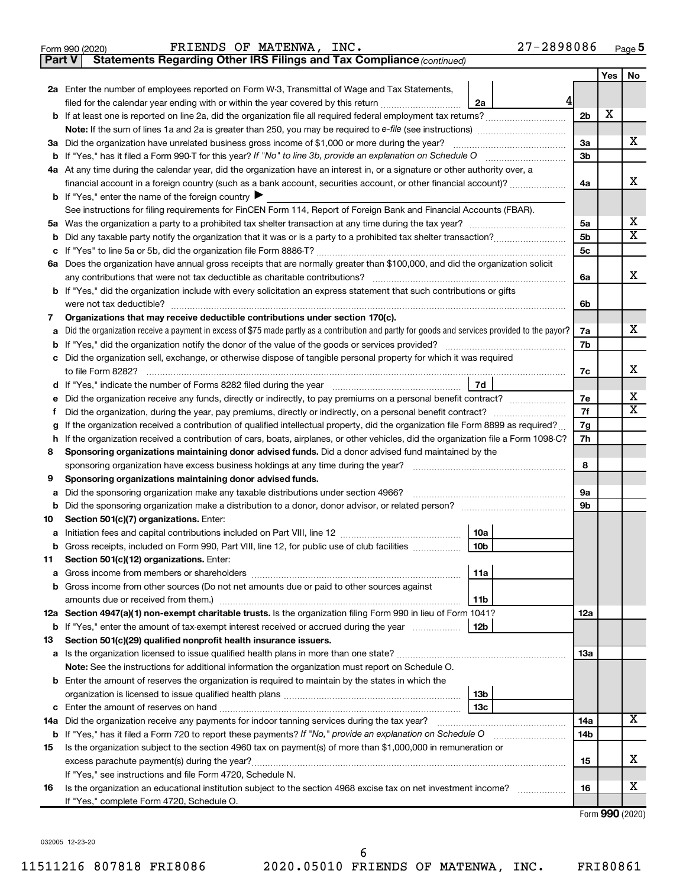|  | Form 990 (2020) | $_{\tt INC.}$<br>FRIENDS OF MATENWA, | 27-2898086 | Page |
|--|-----------------|--------------------------------------|------------|------|
|--|-----------------|--------------------------------------|------------|------|

**Part V Statements Regarding Other IRS Filings and Tax Compliance**

*(continued)*

|    |                                                                                                                                                                    |                | Yes | No |  |  |  |
|----|--------------------------------------------------------------------------------------------------------------------------------------------------------------------|----------------|-----|----|--|--|--|
|    | 2a Enter the number of employees reported on Form W-3, Transmittal of Wage and Tax Statements,                                                                     |                |     |    |  |  |  |
|    | 4<br>filed for the calendar year ending with or within the year covered by this return <i>[[[[[[[[[[[[[[]]]]</i> ]]<br>2a                                          |                |     |    |  |  |  |
|    |                                                                                                                                                                    | 2 <sub>b</sub> | X   |    |  |  |  |
|    |                                                                                                                                                                    |                |     |    |  |  |  |
|    | 3a Did the organization have unrelated business gross income of \$1,000 or more during the year?                                                                   | 3a             |     | х  |  |  |  |
|    |                                                                                                                                                                    |                |     |    |  |  |  |
|    | 4a At any time during the calendar year, did the organization have an interest in, or a signature or other authority over, a                                       |                |     |    |  |  |  |
|    | financial account in a foreign country (such as a bank account, securities account, or other financial account)?                                                   |                |     |    |  |  |  |
|    | <b>b</b> If "Yes," enter the name of the foreign country <b><math>\blacktriangleright</math></b>                                                                   |                |     |    |  |  |  |
|    | See instructions for filing requirements for FinCEN Form 114, Report of Foreign Bank and Financial Accounts (FBAR).                                                |                |     |    |  |  |  |
| 5а |                                                                                                                                                                    | 5a             |     | х  |  |  |  |
| b  |                                                                                                                                                                    | 5b             |     | х  |  |  |  |
|    |                                                                                                                                                                    | 5c             |     |    |  |  |  |
|    | 6a Does the organization have annual gross receipts that are normally greater than \$100,000, and did the organization solicit                                     |                |     | х  |  |  |  |
|    | any contributions that were not tax deductible as charitable contributions?                                                                                        | 6a             |     |    |  |  |  |
|    | b If "Yes," did the organization include with every solicitation an express statement that such contributions or gifts<br>were not tax deductible?                 | 6b             |     |    |  |  |  |
| 7  | Organizations that may receive deductible contributions under section 170(c).                                                                                      |                |     |    |  |  |  |
|    | Did the organization receive a payment in excess of \$75 made partly as a contribution and partly for goods and services provided to the payor?                    | 7a             |     | х  |  |  |  |
| b  |                                                                                                                                                                    | 7b             |     |    |  |  |  |
|    | c Did the organization sell, exchange, or otherwise dispose of tangible personal property for which it was required                                                |                |     |    |  |  |  |
|    | to file Form 8282?                                                                                                                                                 | 7c             |     | х  |  |  |  |
|    | 7d                                                                                                                                                                 |                |     |    |  |  |  |
|    |                                                                                                                                                                    | 7е             |     | х  |  |  |  |
| f. | Did the organization, during the year, pay premiums, directly or indirectly, on a personal benefit contract?                                                       | 7f             |     | х  |  |  |  |
| g  | If the organization received a contribution of qualified intellectual property, did the organization file Form 8899 as required?                                   | 7g             |     |    |  |  |  |
| h  | If the organization received a contribution of cars, boats, airplanes, or other vehicles, did the organization file a Form 1098-C?                                 | 7h             |     |    |  |  |  |
| 8  | Sponsoring organizations maintaining donor advised funds. Did a donor advised fund maintained by the                                                               |                |     |    |  |  |  |
|    |                                                                                                                                                                    | 8              |     |    |  |  |  |
| 9  | Sponsoring organizations maintaining donor advised funds.                                                                                                          |                |     |    |  |  |  |
| а  | Did the sponsoring organization make any taxable distributions under section 4966?                                                                                 | 9а             |     |    |  |  |  |
| b  |                                                                                                                                                                    | 9b             |     |    |  |  |  |
| 10 | Section 501(c)(7) organizations. Enter:                                                                                                                            |                |     |    |  |  |  |
| а  | 10a                                                                                                                                                                |                |     |    |  |  |  |
| b  | 10 <sub>b</sub><br>Gross receipts, included on Form 990, Part VIII, line 12, for public use of club facilities                                                     |                |     |    |  |  |  |
| 11 | Section 501(c)(12) organizations. Enter:                                                                                                                           |                |     |    |  |  |  |
|    | 11a                                                                                                                                                                |                |     |    |  |  |  |
|    | b Gross income from other sources (Do not net amounts due or paid to other sources against                                                                         |                |     |    |  |  |  |
|    | 11b<br>12a Section 4947(a)(1) non-exempt charitable trusts. Is the organization filing Form 990 in lieu of Form 1041?                                              | 12a            |     |    |  |  |  |
|    | 12 <sub>b</sub>                                                                                                                                                    |                |     |    |  |  |  |
| 13 | <b>b</b> If "Yes," enter the amount of tax-exempt interest received or accrued during the year<br>Section 501(c)(29) qualified nonprofit health insurance issuers. |                |     |    |  |  |  |
|    | a Is the organization licensed to issue qualified health plans in more than one state?                                                                             | 13a            |     |    |  |  |  |
|    | Note: See the instructions for additional information the organization must report on Schedule O.                                                                  |                |     |    |  |  |  |
|    | <b>b</b> Enter the amount of reserves the organization is required to maintain by the states in which the                                                          |                |     |    |  |  |  |
|    | 13b                                                                                                                                                                |                |     |    |  |  |  |
|    | 13 <sub>c</sub>                                                                                                                                                    |                |     |    |  |  |  |
|    | 14a Did the organization receive any payments for indoor tanning services during the tax year?                                                                     | 14a            |     | x  |  |  |  |
|    | <b>b</b> If "Yes," has it filed a Form 720 to report these payments? If "No," provide an explanation on Schedule O                                                 | 14b            |     |    |  |  |  |
| 15 | Is the organization subject to the section 4960 tax on payment(s) of more than \$1,000,000 in remuneration or                                                      |                |     |    |  |  |  |
|    |                                                                                                                                                                    | 15             |     | x  |  |  |  |
|    | If "Yes," see instructions and file Form 4720, Schedule N.                                                                                                         |                |     |    |  |  |  |
| 16 | Is the organization an educational institution subject to the section 4968 excise tax on net investment income?                                                    | 16             |     | x  |  |  |  |
|    | If "Yes," complete Form 4720, Schedule O.                                                                                                                          |                |     |    |  |  |  |

Form (2020) **990**

032005 12-23-20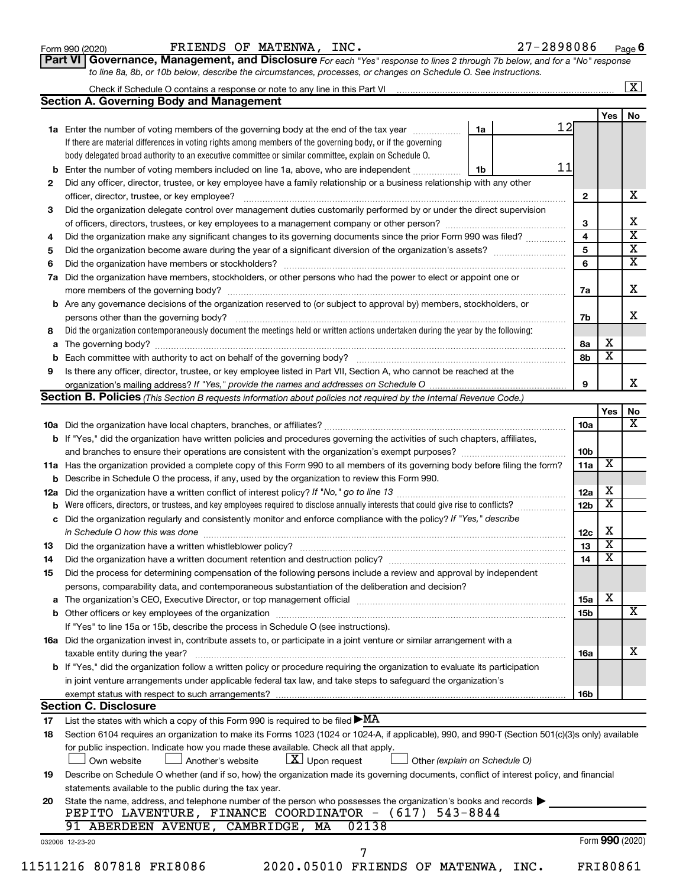Form 990 (2020) FRIENDS OF MATENWA, INC.  $27-2898086$  Page

**Part VI** Governance, Management, and Disclosure For each "Yes" response to lines 2 through 7b below, and for a "No" response *to line 8a, 8b, or 10b below, describe the circumstances, processes, or changes on Schedule O. See instructions.*

|     |                                                                                                                                                                                                                                |    |  |                 |                         | $\mathbf{X}$            |
|-----|--------------------------------------------------------------------------------------------------------------------------------------------------------------------------------------------------------------------------------|----|--|-----------------|-------------------------|-------------------------|
|     | <b>Section A. Governing Body and Management</b>                                                                                                                                                                                |    |  |                 |                         |                         |
|     |                                                                                                                                                                                                                                |    |  |                 | Yes                     | No                      |
|     | 1a Enter the number of voting members of the governing body at the end of the tax year                                                                                                                                         | 1a |  | 12              |                         |                         |
|     | If there are material differences in voting rights among members of the governing body, or if the governing                                                                                                                    |    |  |                 |                         |                         |
|     | body delegated broad authority to an executive committee or similar committee, explain on Schedule O.                                                                                                                          |    |  |                 |                         |                         |
| b   | Enter the number of voting members included on line 1a, above, who are independent                                                                                                                                             | 1b |  | 11              |                         |                         |
| 2   | Did any officer, director, trustee, or key employee have a family relationship or a business relationship with any other                                                                                                       |    |  |                 |                         |                         |
|     |                                                                                                                                                                                                                                |    |  | $\mathbf{2}$    |                         | х                       |
| 3   | Did the organization delegate control over management duties customarily performed by or under the direct supervision                                                                                                          |    |  |                 |                         |                         |
|     |                                                                                                                                                                                                                                |    |  | 3               |                         | х                       |
| 4   | Did the organization make any significant changes to its governing documents since the prior Form 990 was filed?                                                                                                               |    |  | 4               |                         | $\overline{\mathbf{x}}$ |
| 5   |                                                                                                                                                                                                                                |    |  | 5               |                         | $\overline{\mathbf{X}}$ |
| 6   |                                                                                                                                                                                                                                |    |  | 6               |                         | $\overline{\textbf{x}}$ |
| 7a  | Did the organization have members, stockholders, or other persons who had the power to elect or appoint one or                                                                                                                 |    |  |                 |                         |                         |
|     |                                                                                                                                                                                                                                |    |  | 7a              |                         | x                       |
| b   | Are any governance decisions of the organization reserved to (or subject to approval by) members, stockholders, or                                                                                                             |    |  |                 |                         |                         |
|     |                                                                                                                                                                                                                                |    |  | 7b              |                         | x                       |
| 8   | Did the organization contemporaneously document the meetings held or written actions undertaken during the year by the following:                                                                                              |    |  |                 |                         |                         |
| а   |                                                                                                                                                                                                                                |    |  | 8а              | Х                       |                         |
|     |                                                                                                                                                                                                                                |    |  | 8b              | $\overline{\mathbf{x}}$ |                         |
| 9   | Is there any officer, director, trustee, or key employee listed in Part VII, Section A, who cannot be reached at the                                                                                                           |    |  |                 |                         |                         |
|     |                                                                                                                                                                                                                                |    |  | 9               |                         | x                       |
|     | <b>Section B. Policies</b> (This Section B requests information about policies not required by the Internal Revenue Code.)                                                                                                     |    |  |                 |                         |                         |
|     |                                                                                                                                                                                                                                |    |  |                 | Yes                     | No                      |
|     |                                                                                                                                                                                                                                |    |  | <b>10a</b>      |                         | х                       |
|     | <b>b</b> If "Yes," did the organization have written policies and procedures governing the activities of such chapters, affiliates,                                                                                            |    |  |                 |                         |                         |
|     |                                                                                                                                                                                                                                |    |  | 10 <sub>b</sub> |                         |                         |
|     | 11a Has the organization provided a complete copy of this Form 990 to all members of its governing body before filing the form?                                                                                                |    |  | 11a             | X                       |                         |
|     | Describe in Schedule O the process, if any, used by the organization to review this Form 990.                                                                                                                                  |    |  |                 |                         |                         |
| 12a |                                                                                                                                                                                                                                |    |  | 12a             | х                       |                         |
|     | Were officers, directors, or trustees, and key employees required to disclose annually interests that could give rise to conflicts?                                                                                            |    |  | 12 <sub>b</sub> | $\overline{\mathbf{X}}$ |                         |
|     | Did the organization regularly and consistently monitor and enforce compliance with the policy? If "Yes," describe                                                                                                             |    |  |                 |                         |                         |
| с   |                                                                                                                                                                                                                                |    |  | 12c             | Х                       |                         |
| 13  |                                                                                                                                                                                                                                |    |  | 13              | $\overline{\mathbf{X}}$ |                         |
|     |                                                                                                                                                                                                                                |    |  | 14              | $\overline{\mathbf{X}}$ |                         |
| 14  |                                                                                                                                                                                                                                |    |  |                 |                         |                         |
| 15  | Did the process for determining compensation of the following persons include a review and approval by independent                                                                                                             |    |  |                 |                         |                         |
|     | persons, comparability data, and contemporaneous substantiation of the deliberation and decision?                                                                                                                              |    |  |                 | х                       |                         |
| а   | The organization's CEO, Executive Director, or top management official manufactured content of the organization's CEO, Executive Director, or top management official manufactured content of the organization's CEO, Executiv |    |  | 15a             |                         | х                       |
|     |                                                                                                                                                                                                                                |    |  | 15b             |                         |                         |
|     | If "Yes" to line 15a or 15b, describe the process in Schedule O (see instructions).                                                                                                                                            |    |  |                 |                         |                         |
|     | 16a Did the organization invest in, contribute assets to, or participate in a joint venture or similar arrangement with a                                                                                                      |    |  |                 |                         |                         |
|     | taxable entity during the year?                                                                                                                                                                                                |    |  | 16a             |                         | x                       |
|     | b If "Yes," did the organization follow a written policy or procedure requiring the organization to evaluate its participation                                                                                                 |    |  |                 |                         |                         |
|     | in joint venture arrangements under applicable federal tax law, and take steps to safeguard the organization's                                                                                                                 |    |  |                 |                         |                         |
|     | exempt status with respect to such arrangements?                                                                                                                                                                               |    |  | 16b             |                         |                         |
|     | <b>Section C. Disclosure</b>                                                                                                                                                                                                   |    |  |                 |                         |                         |
| 17  | List the states with which a copy of this Form 990 is required to be filed $\blacktriangleright$ MA                                                                                                                            |    |  |                 |                         |                         |
| 18  | Section 6104 requires an organization to make its Forms 1023 (1024 or 1024-A, if applicable), 990, and 990-T (Section 501(c)(3)s only) available                                                                               |    |  |                 |                         |                         |
|     | for public inspection. Indicate how you made these available. Check all that apply.                                                                                                                                            |    |  |                 |                         |                         |
|     | $X$ Upon request<br>Another's website<br>Other (explain on Schedule O)<br>Own website                                                                                                                                          |    |  |                 |                         |                         |
| 19  | Describe on Schedule O whether (and if so, how) the organization made its governing documents, conflict of interest policy, and financial                                                                                      |    |  |                 |                         |                         |
|     | statements available to the public during the tax year.                                                                                                                                                                        |    |  |                 |                         |                         |
| 20  | State the name, address, and telephone number of the person who possesses the organization's books and records                                                                                                                 |    |  |                 |                         |                         |
|     | PEPITO LAVENTURE, FINANCE COORDINATOR - (617) 543-8844                                                                                                                                                                         |    |  |                 |                         |                         |
|     | 91 ABERDEEN AVENUE, CAMBRIDGE, MA<br>02138                                                                                                                                                                                     |    |  |                 |                         |                         |
|     | 032006 12-23-20                                                                                                                                                                                                                |    |  |                 | Form 990 (2020)         |                         |
|     | 7                                                                                                                                                                                                                              |    |  |                 |                         |                         |
|     | 11511216 807818 FRI8086<br>2020.05010 FRIENDS OF MATENWA, INC.                                                                                                                                                                 |    |  |                 | FRI80861                |                         |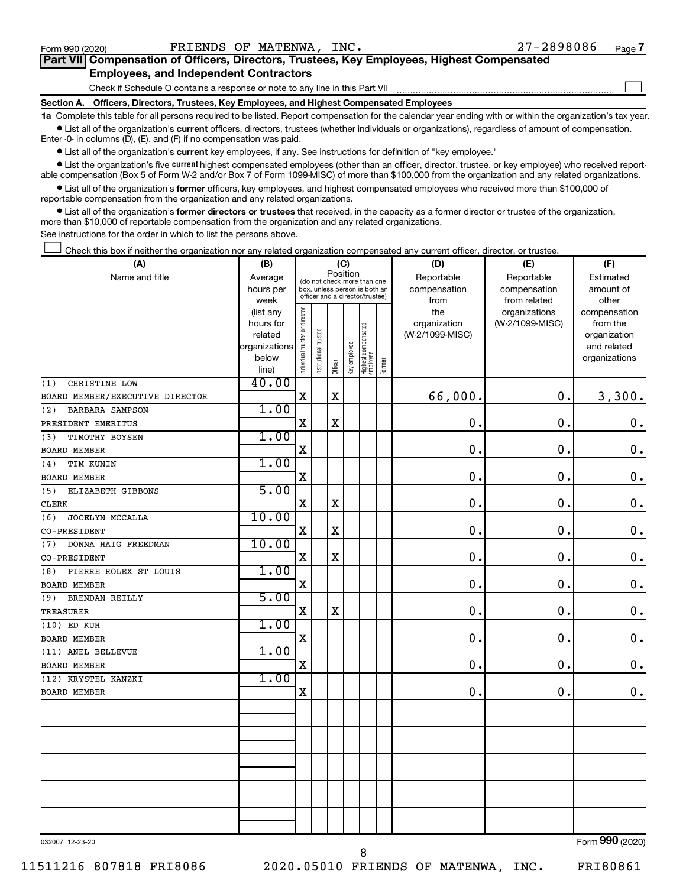$\Box$ 

| Part VII Compensation of Officers, Directors, Trustees, Key Employees, Highest Compensated |  |  |  |
|--------------------------------------------------------------------------------------------|--|--|--|
| <b>Employees, and Independent Contractors</b>                                              |  |  |  |

Check if Schedule O contains a response or note to any line in this Part VII

**Section A. Officers, Directors, Trustees, Key Employees, and Highest Compensated Employees**

**1a**  Complete this table for all persons required to be listed. Report compensation for the calendar year ending with or within the organization's tax year.  $\bullet$  List all of the organization's current officers, directors, trustees (whether individuals or organizations), regardless of amount of compensation.

Enter -0- in columns (D), (E), and (F) if no compensation was paid.

**•** List all of the organization's current key employees, if any. See instructions for definition of "key employee."

• List the organization's five *current* highest compensated employees (other than an officer, director, trustee, or key employee) who received reportable compensation (Box 5 of Form W-2 and/or Box 7 of Form 1099-MISC) of more than \$100,000 from the organization and any related organizations.

 $\bullet$  List all of the organization's former officers, key employees, and highest compensated employees who received more than \$100,000 of reportable compensation from the organization and any related organizations.

**•** List all of the organization's former directors or trustees that received, in the capacity as a former director or trustee of the organization, more than \$10,000 of reportable compensation from the organization and any related organizations.

See instructions for the order in which to list the persons above.

Check this box if neither the organization nor any related organization compensated any current officer, director, or trustee.  $\Box$ 

| (A)                             | (B)           | (C)                                                      |                      |             |              |                                                                  |        | (D)                 | (E)                              |                          |  |  |
|---------------------------------|---------------|----------------------------------------------------------|----------------------|-------------|--------------|------------------------------------------------------------------|--------|---------------------|----------------------------------|--------------------------|--|--|
| Name and title                  | Average       | Position<br>(do not check more than one                  |                      |             |              |                                                                  |        | Reportable          | Reportable                       | Estimated                |  |  |
|                                 | hours per     |                                                          |                      |             |              | box, unless person is both an<br>officer and a director/trustee) |        | compensation        | compensation                     | amount of                |  |  |
|                                 | week          |                                                          |                      |             |              |                                                                  |        | from                | from related                     | other                    |  |  |
|                                 |               | Individual trustee or director<br>(list any<br>hours for |                      |             |              |                                                                  |        | the<br>organization | organizations<br>(W-2/1099-MISC) | compensation<br>from the |  |  |
|                                 | related       |                                                          |                      |             |              |                                                                  |        | (W-2/1099-MISC)     |                                  | organization             |  |  |
|                                 | organizations |                                                          | nstitutional trustee |             |              | Highest compensated<br>employee                                  |        |                     |                                  | and related              |  |  |
|                                 | below         |                                                          |                      |             | Key employee |                                                                  |        |                     |                                  | organizations            |  |  |
|                                 | line)         |                                                          |                      | Officer     |              |                                                                  | Former |                     |                                  |                          |  |  |
| CHRISTINE LOW<br>(1)            | 40.00         |                                                          |                      |             |              |                                                                  |        |                     |                                  |                          |  |  |
| BOARD MEMBER/EXECUTIVE DIRECTOR |               | $\mathbf X$                                              |                      | X           |              |                                                                  |        | 66,000.             | 0.                               | 3,300.                   |  |  |
| BARBARA SAMPSON<br>(2)          | 1.00          |                                                          |                      |             |              |                                                                  |        |                     |                                  |                          |  |  |
| PRESIDENT EMERITUS              |               | $\mathbf X$                                              |                      | $\mathbf X$ |              |                                                                  |        | $\mathbf 0$ .       | $\mathbf 0$ .                    | 0.                       |  |  |
| TIMOTHY BOYSEN<br>(3)           | 1.00          |                                                          |                      |             |              |                                                                  |        |                     |                                  |                          |  |  |
| <b>BOARD MEMBER</b>             |               | $\mathbf X$                                              |                      |             |              |                                                                  |        | $\mathbf 0$         | $\mathbf 0$                      | 0.                       |  |  |
| TIM KUNIN<br>(4)                | 1.00          |                                                          |                      |             |              |                                                                  |        |                     |                                  |                          |  |  |
| BOARD MEMBER                    |               | X                                                        |                      |             |              |                                                                  |        | $\mathbf 0$         | $\mathbf 0$ .                    | $\mathbf 0$ .            |  |  |
| (5)<br>ELIZABETH GIBBONS        | 5.00          |                                                          |                      |             |              |                                                                  |        |                     |                                  |                          |  |  |
| CLERK                           |               | X                                                        |                      | $\mathbf X$ |              |                                                                  |        | 0                   | $\mathbf 0$ .                    | $\mathbf 0$ .            |  |  |
| JOCELYN MCCALLA<br>(6)          | 10.00         |                                                          |                      |             |              |                                                                  |        |                     |                                  |                          |  |  |
| CO-PRESIDENT                    |               | X                                                        |                      | $\mathbf x$ |              |                                                                  |        | $\mathbf 0$ .       | $\mathbf 0$ .                    | 0.                       |  |  |
| DONNA HAIG FREEDMAN<br>(7)      | 10.00         |                                                          |                      |             |              |                                                                  |        |                     |                                  |                          |  |  |
| CO-PRESIDENT                    |               | $\mathbf X$                                              |                      | $\mathbf X$ |              |                                                                  |        | $\mathbf 0$         | $\mathbf 0$                      | $\mathbf 0$ .            |  |  |
| PIERRE ROLEX ST LOUIS<br>(8)    | 1.00          |                                                          |                      |             |              |                                                                  |        |                     |                                  |                          |  |  |
| BOARD MEMBER                    |               | X                                                        |                      |             |              |                                                                  |        | 0                   | $\mathbf 0$ .                    | 0.                       |  |  |
| BRENDAN REILLY<br>(9)           | 5.00          |                                                          |                      |             |              |                                                                  |        |                     |                                  |                          |  |  |
| <b>TREASURER</b>                |               | $\mathbf X$                                              |                      | $\mathbf X$ |              |                                                                  |        | 0.                  | $\mathbf 0$ .                    | $\mathbf 0$ .            |  |  |
| (10) ED KUH                     | 1.00          |                                                          |                      |             |              |                                                                  |        |                     |                                  |                          |  |  |
| <b>BOARD MEMBER</b>             |               | $\mathbf X$                                              |                      |             |              |                                                                  |        | $\mathbf 0$ .       | $\mathbf 0$ .                    | 0.                       |  |  |
| (11) ANEL BELLEVUE              | 1.00          |                                                          |                      |             |              |                                                                  |        |                     |                                  |                          |  |  |
| <b>BOARD MEMBER</b>             |               | $\mathbf X$                                              |                      |             |              |                                                                  |        | $\mathbf 0$         | $\mathbf 0$                      | $\mathbf 0$ .            |  |  |
| (12) KRYSTEL KANZKI             | 1.00          |                                                          |                      |             |              |                                                                  |        |                     |                                  |                          |  |  |
| <b>BOARD MEMBER</b>             |               | X                                                        |                      |             |              |                                                                  |        | 0                   | 0.                               | 0.                       |  |  |
|                                 |               |                                                          |                      |             |              |                                                                  |        |                     |                                  |                          |  |  |
|                                 |               |                                                          |                      |             |              |                                                                  |        |                     |                                  |                          |  |  |
|                                 |               |                                                          |                      |             |              |                                                                  |        |                     |                                  |                          |  |  |
|                                 |               |                                                          |                      |             |              |                                                                  |        |                     |                                  |                          |  |  |
|                                 |               |                                                          |                      |             |              |                                                                  |        |                     |                                  |                          |  |  |
|                                 |               |                                                          |                      |             |              |                                                                  |        |                     |                                  |                          |  |  |
|                                 |               |                                                          |                      |             |              |                                                                  |        |                     |                                  |                          |  |  |
|                                 |               |                                                          |                      |             |              |                                                                  |        |                     |                                  |                          |  |  |
|                                 |               |                                                          |                      |             |              |                                                                  |        |                     |                                  |                          |  |  |
|                                 |               |                                                          |                      |             |              |                                                                  |        |                     |                                  |                          |  |  |
| 032007 12-23-20                 |               |                                                          |                      |             |              |                                                                  |        |                     |                                  | Form 990 (2020)          |  |  |

8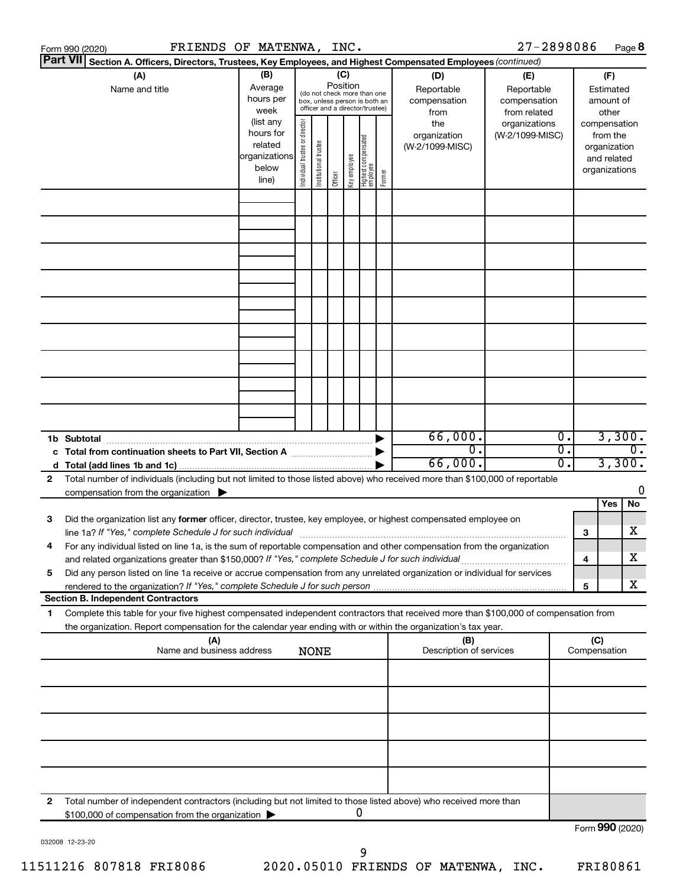|                       | FRIENDS OF MATENWA, INC.<br>Form 990 (2020)                                                                                                                                                                                                            |                                                               |                                |                       |                 |              |                                                                                                 |        |                                                  | 27-2898086                                                         |                        |                            |                                                          | Page 8 |
|-----------------------|--------------------------------------------------------------------------------------------------------------------------------------------------------------------------------------------------------------------------------------------------------|---------------------------------------------------------------|--------------------------------|-----------------------|-----------------|--------------|-------------------------------------------------------------------------------------------------|--------|--------------------------------------------------|--------------------------------------------------------------------|------------------------|----------------------------|----------------------------------------------------------|--------|
|                       | <b>Part VII</b><br>Section A. Officers, Directors, Trustees, Key Employees, and Highest Compensated Employees (continued)                                                                                                                              |                                                               |                                |                       |                 |              |                                                                                                 |        |                                                  |                                                                    |                        |                            |                                                          |        |
| (A)<br>Name and title |                                                                                                                                                                                                                                                        | (B)<br>Average<br>hours per<br>week<br>(list any<br>hours for |                                |                       | (C)<br>Position |              | (do not check more than one<br>box, unless person is both an<br>officer and a director/trustee) |        | (D)<br>Reportable<br>compensation<br>from<br>the | (E)<br>Reportable<br>compensation<br>from related<br>organizations |                        |                            | (F)<br>Estimated<br>amount of<br>other<br>compensation   |        |
|                       |                                                                                                                                                                                                                                                        | related<br> organizations<br>below<br>line)                   | Individual trustee or director | Institutional trustee | Officer         | Key employee | Highest compensated<br>employee                                                                 | Former | organization<br>(W-2/1099-MISC)                  | (W-2/1099-MISC)                                                    |                        |                            | from the<br>organization<br>and related<br>organizations |        |
|                       |                                                                                                                                                                                                                                                        |                                                               |                                |                       |                 |              |                                                                                                 |        |                                                  |                                                                    |                        |                            |                                                          |        |
|                       |                                                                                                                                                                                                                                                        |                                                               |                                |                       |                 |              |                                                                                                 |        |                                                  |                                                                    |                        |                            |                                                          |        |
|                       |                                                                                                                                                                                                                                                        |                                                               |                                |                       |                 |              |                                                                                                 |        |                                                  |                                                                    |                        |                            |                                                          |        |
|                       |                                                                                                                                                                                                                                                        |                                                               |                                |                       |                 |              |                                                                                                 |        |                                                  |                                                                    |                        |                            |                                                          |        |
|                       |                                                                                                                                                                                                                                                        |                                                               |                                |                       |                 |              |                                                                                                 |        |                                                  |                                                                    |                        |                            |                                                          |        |
|                       |                                                                                                                                                                                                                                                        |                                                               |                                |                       |                 |              |                                                                                                 |        | 66,000.                                          |                                                                    | Ο.                     |                            | 3,300.                                                   |        |
|                       | 1b Subtotal                                                                                                                                                                                                                                            |                                                               |                                |                       |                 |              |                                                                                                 |        | $\overline{0}$ .<br>66,000.                      |                                                                    | $\overline{0}$ .<br>σ. | $\overline{0}$ .<br>3,300. |                                                          |        |
| $\mathbf{2}$          | Total number of individuals (including but not limited to those listed above) who received more than \$100,000 of reportable                                                                                                                           |                                                               |                                |                       |                 |              |                                                                                                 |        |                                                  |                                                                    |                        |                            |                                                          | 0      |
|                       | compensation from the organization $\blacktriangleright$                                                                                                                                                                                               |                                                               |                                |                       |                 |              |                                                                                                 |        |                                                  |                                                                    |                        |                            | Yes                                                      | No     |
| 3                     | Did the organization list any former officer, director, trustee, key employee, or highest compensated employee on                                                                                                                                      |                                                               |                                |                       |                 |              |                                                                                                 |        |                                                  |                                                                    |                        | з                          |                                                          | x      |
| 4                     | For any individual listed on line 1a, is the sum of reportable compensation and other compensation from the organization<br>and related organizations greater than \$150,000? If "Yes," complete Schedule J for such individual                        |                                                               |                                |                       |                 |              |                                                                                                 |        |                                                  |                                                                    |                        | 4                          |                                                          | x      |
| 5                     | Did any person listed on line 1a receive or accrue compensation from any unrelated organization or individual for services                                                                                                                             |                                                               |                                |                       |                 |              |                                                                                                 |        |                                                  |                                                                    |                        | 5                          |                                                          | x      |
|                       | <b>Section B. Independent Contractors</b>                                                                                                                                                                                                              |                                                               |                                |                       |                 |              |                                                                                                 |        |                                                  |                                                                    |                        |                            |                                                          |        |
| 1                     | Complete this table for your five highest compensated independent contractors that received more than \$100,000 of compensation from<br>the organization. Report compensation for the calendar year ending with or within the organization's tax year. |                                                               |                                |                       |                 |              |                                                                                                 |        |                                                  |                                                                    |                        |                            |                                                          |        |
|                       | (A)<br>Name and business address                                                                                                                                                                                                                       |                                                               |                                | <b>NONE</b>           |                 |              |                                                                                                 |        | (B)<br>Description of services                   |                                                                    |                        | (C)<br>Compensation        |                                                          |        |
|                       |                                                                                                                                                                                                                                                        |                                                               |                                |                       |                 |              |                                                                                                 |        |                                                  |                                                                    |                        |                            |                                                          |        |
|                       |                                                                                                                                                                                                                                                        |                                                               |                                |                       |                 |              |                                                                                                 |        |                                                  |                                                                    |                        |                            |                                                          |        |
|                       |                                                                                                                                                                                                                                                        |                                                               |                                |                       |                 |              |                                                                                                 |        |                                                  |                                                                    |                        |                            |                                                          |        |
| 2                     | Total number of independent contractors (including but not limited to those listed above) who received more than                                                                                                                                       |                                                               |                                |                       |                 |              | 0                                                                                               |        |                                                  |                                                                    |                        |                            |                                                          |        |
|                       | \$100,000 of compensation from the organization                                                                                                                                                                                                        |                                                               |                                |                       |                 |              |                                                                                                 |        |                                                  |                                                                    |                        |                            | Form 990 (2020)                                          |        |

032008 12-23-20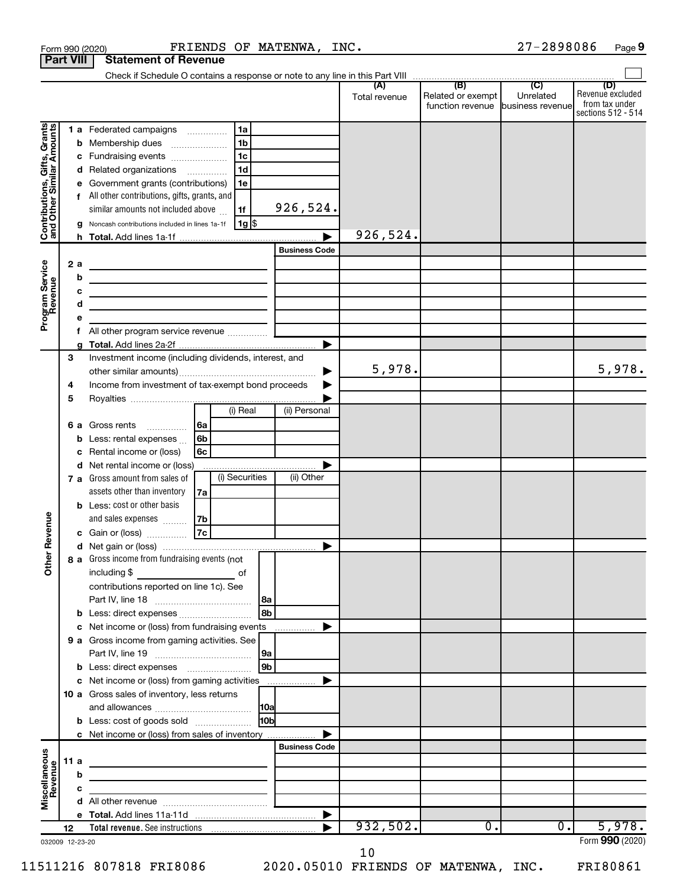|                                                           |      |        | FRIENDS OF MATENWA, INC.<br>Form 990 (2020)                                                                                           |                      |               |                                                        | 27-2898086 | Page 9                                                   |
|-----------------------------------------------------------|------|--------|---------------------------------------------------------------------------------------------------------------------------------------|----------------------|---------------|--------------------------------------------------------|------------|----------------------------------------------------------|
| <b>Part VIII</b>                                          |      |        | <b>Statement of Revenue</b>                                                                                                           |                      |               |                                                        |            |                                                          |
|                                                           |      |        |                                                                                                                                       |                      |               |                                                        |            | (D)                                                      |
|                                                           |      |        |                                                                                                                                       |                      | Total revenue | Related or exempt<br>function revenue business revenue | Unrelated  | Revenue excluded<br>from tax under<br>sections 512 - 514 |
|                                                           |      |        | 1a<br>1 a Federated campaigns                                                                                                         |                      |               |                                                        |            |                                                          |
| Contributions, Gifts, Grants<br>and Other Similar Amounts |      |        | 1 <sub>b</sub><br><b>b</b> Membership dues                                                                                            |                      |               |                                                        |            |                                                          |
|                                                           |      |        | 1 <sub>c</sub><br>c Fundraising events                                                                                                |                      |               |                                                        |            |                                                          |
|                                                           |      |        | 1 <sub>d</sub><br>d Related organizations                                                                                             |                      |               |                                                        |            |                                                          |
|                                                           |      |        | e Government grants (contributions)<br>1e                                                                                             |                      |               |                                                        |            |                                                          |
|                                                           |      |        | f All other contributions, gifts, grants, and                                                                                         |                      |               |                                                        |            |                                                          |
|                                                           |      |        | similar amounts not included above<br>1f                                                                                              | 926,524.             |               |                                                        |            |                                                          |
|                                                           |      |        | 1g <br>g Noncash contributions included in lines 1a-1f                                                                                |                      |               |                                                        |            |                                                          |
|                                                           |      |        |                                                                                                                                       |                      | 926,524.      |                                                        |            |                                                          |
|                                                           |      |        |                                                                                                                                       | <b>Business Code</b> |               |                                                        |            |                                                          |
| Program Service<br>Revenue                                |      | 2 a    |                                                                                                                                       |                      |               |                                                        |            |                                                          |
|                                                           |      | b      | <u> 1989 - Johann Barbara, martxa alemaniar arg</u>                                                                                   |                      |               |                                                        |            |                                                          |
|                                                           |      | c<br>d | <u> 1989 - Johann Barbara, martin amerikan basar dan berasal dan berasal dalam basar dalam basar dalam basar dala</u>                 |                      |               |                                                        |            |                                                          |
|                                                           |      | e      | the control of the control of the control of the control of the control of                                                            |                      |               |                                                        |            |                                                          |
|                                                           |      | f.     | All other program service revenue                                                                                                     |                      |               |                                                        |            |                                                          |
|                                                           |      |        |                                                                                                                                       |                      |               |                                                        |            |                                                          |
|                                                           | З    |        | Investment income (including dividends, interest, and                                                                                 |                      |               |                                                        |            |                                                          |
|                                                           |      |        |                                                                                                                                       | ▶                    | 5,978.        |                                                        |            | 5,978.                                                   |
|                                                           | 4    |        | Income from investment of tax-exempt bond proceeds                                                                                    |                      |               |                                                        |            |                                                          |
|                                                           | 5    |        | (i) Real                                                                                                                              |                      |               |                                                        |            |                                                          |
|                                                           |      |        |                                                                                                                                       | (ii) Personal        |               |                                                        |            |                                                          |
|                                                           |      |        | l 6a<br><b>6 a</b> Gross rents                                                                                                        |                      |               |                                                        |            |                                                          |
|                                                           |      |        | <b>b</b> Less: rental expenses<br>6b<br>c Rental income or (loss)<br>6с                                                               |                      |               |                                                        |            |                                                          |
|                                                           |      |        | d Net rental income or (loss)                                                                                                         |                      |               |                                                        |            |                                                          |
|                                                           |      |        | (i) Securities<br>7 a Gross amount from sales of                                                                                      | (ii) Other           |               |                                                        |            |                                                          |
|                                                           |      |        | assets other than inventory<br>7a                                                                                                     |                      |               |                                                        |            |                                                          |
|                                                           |      |        | <b>b</b> Less: cost or other basis                                                                                                    |                      |               |                                                        |            |                                                          |
|                                                           |      |        | and sales expenses<br>7b                                                                                                              |                      |               |                                                        |            |                                                          |
| evenue                                                    |      |        | 7c<br>c Gain or (loss)                                                                                                                |                      |               |                                                        |            |                                                          |
|                                                           |      |        |                                                                                                                                       |                      |               |                                                        |            |                                                          |
| Other R                                                   |      |        | 8 a Gross income from fundraising events (not                                                                                         |                      |               |                                                        |            |                                                          |
|                                                           |      |        | including \$<br><u>de la contrada de la contrada de la contrada de la contrada de la contrada de la contrada de la contrada de la</u> |                      |               |                                                        |            |                                                          |
|                                                           |      |        | contributions reported on line 1c). See                                                                                               |                      |               |                                                        |            |                                                          |
|                                                           |      |        | l 8a<br>8 <sub>b</sub>                                                                                                                |                      |               |                                                        |            |                                                          |
|                                                           |      |        | c Net income or (loss) from fundraising events                                                                                        |                      |               |                                                        |            |                                                          |
|                                                           |      |        | 9 a Gross income from gaming activities. See                                                                                          |                      |               |                                                        |            |                                                          |
|                                                           |      |        | 9a                                                                                                                                    |                      |               |                                                        |            |                                                          |
|                                                           |      |        | 9 <sub>b</sub>                                                                                                                        |                      |               |                                                        |            |                                                          |
|                                                           |      |        | c Net income or (loss) from gaming activities                                                                                         | ▶                    |               |                                                        |            |                                                          |
|                                                           |      |        | <b>10 a</b> Gross sales of inventory, less returns                                                                                    |                      |               |                                                        |            |                                                          |
|                                                           |      |        |                                                                                                                                       |                      |               |                                                        |            |                                                          |
|                                                           |      |        | lobl<br><b>b</b> Less: cost of goods sold                                                                                             |                      |               |                                                        |            |                                                          |
|                                                           |      |        | c Net income or (loss) from sales of inventory                                                                                        |                      |               |                                                        |            |                                                          |
|                                                           |      |        |                                                                                                                                       | <b>Business Code</b> |               |                                                        |            |                                                          |
| Miscellaneous<br>Revenue                                  | 11 a | b      |                                                                                                                                       |                      |               |                                                        |            |                                                          |
|                                                           |      | c      |                                                                                                                                       |                      |               |                                                        |            |                                                          |
|                                                           |      |        |                                                                                                                                       |                      |               |                                                        |            |                                                          |
|                                                           |      |        |                                                                                                                                       | ▶                    |               |                                                        |            |                                                          |
|                                                           | 12   |        | Total revenue. See instructions [101] [101] Total revenue. See instructions                                                           |                      | 932,502.      | 0.                                                     | $0$ .      | 5,978.                                                   |
| 032009 12-23-20                                           |      |        |                                                                                                                                       |                      |               |                                                        |            | Form 990 (2020)                                          |

10

11511216 807818 FRI8086 2020.05010 FRIENDS OF MATENWA, INC. FRI80861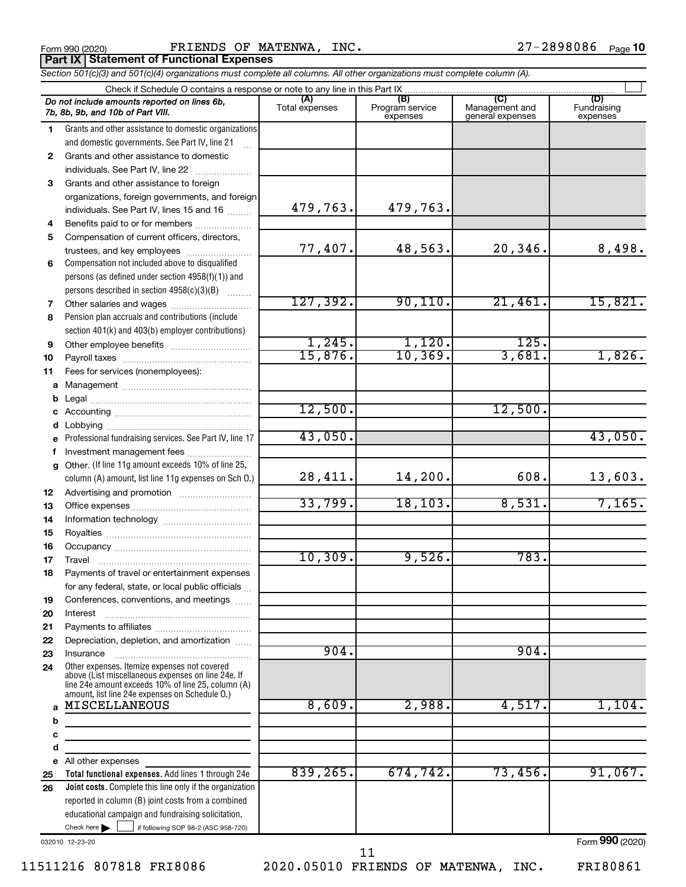|  | Form 990 (2020 |
|--|----------------|
|  |                |

**Part IX | Statement of Functional Expenses** 

Form 990 (2020) FRIENDS OF MATENWA, INC.  $27-2898086$  Page

*Section 501(c)(3) and 501(c)(4) organizations must complete all columns. All other organizations must complete column (A).*

|              | Check if Schedule O contains a response or note to any line in this Part IX                              |                |                                    |                                    |                                |  |  |  |  |  |  |  |
|--------------|----------------------------------------------------------------------------------------------------------|----------------|------------------------------------|------------------------------------|--------------------------------|--|--|--|--|--|--|--|
|              | Do not include amounts reported on lines 6b,<br>7b, 8b, 9b, and 10b of Part VIII.                        | Total expenses | (B)<br>Program service<br>expenses | Management and<br>general expenses | (D)<br>Fundraising<br>expenses |  |  |  |  |  |  |  |
| 1            | Grants and other assistance to domestic organizations                                                    |                |                                    |                                    |                                |  |  |  |  |  |  |  |
|              | and domestic governments. See Part IV, line 21                                                           |                |                                    |                                    |                                |  |  |  |  |  |  |  |
| $\mathbf{2}$ | Grants and other assistance to domestic                                                                  |                |                                    |                                    |                                |  |  |  |  |  |  |  |
|              | individuals. See Part IV, line 22                                                                        |                |                                    |                                    |                                |  |  |  |  |  |  |  |
| 3            | Grants and other assistance to foreign                                                                   |                |                                    |                                    |                                |  |  |  |  |  |  |  |
|              | organizations, foreign governments, and foreign                                                          |                |                                    |                                    |                                |  |  |  |  |  |  |  |
|              | individuals. See Part IV, lines 15 and 16                                                                | 479,763.       | 479,763.                           |                                    |                                |  |  |  |  |  |  |  |
| 4            | Benefits paid to or for members                                                                          |                |                                    |                                    |                                |  |  |  |  |  |  |  |
| 5            | Compensation of current officers, directors,                                                             |                |                                    |                                    |                                |  |  |  |  |  |  |  |
|              | trustees, and key employees                                                                              | 77,407.        | 48,563.                            | 20,346.                            | 8,498.                         |  |  |  |  |  |  |  |
| 6            | Compensation not included above to disqualified                                                          |                |                                    |                                    |                                |  |  |  |  |  |  |  |
|              | persons (as defined under section 4958(f)(1)) and                                                        |                |                                    |                                    |                                |  |  |  |  |  |  |  |
|              | persons described in section 4958(c)(3)(B)                                                               |                |                                    |                                    |                                |  |  |  |  |  |  |  |
| 7            | Other salaries and wages                                                                                 | 127,392.       | 90, 110.                           | 21,461.                            | 15,821.                        |  |  |  |  |  |  |  |
| 8            | Pension plan accruals and contributions (include                                                         |                |                                    |                                    |                                |  |  |  |  |  |  |  |
|              | section 401(k) and 403(b) employer contributions)                                                        |                |                                    |                                    |                                |  |  |  |  |  |  |  |
| 9            | Other employee benefits                                                                                  | 1,245.         | 1,120.                             | 125.                               |                                |  |  |  |  |  |  |  |
| 10           |                                                                                                          | 15,876.        | 10, 369.                           | 3,681.                             | 1,826.                         |  |  |  |  |  |  |  |
| 11           | Fees for services (nonemployees):                                                                        |                |                                    |                                    |                                |  |  |  |  |  |  |  |
| a            |                                                                                                          |                |                                    |                                    |                                |  |  |  |  |  |  |  |
| b            |                                                                                                          |                |                                    |                                    |                                |  |  |  |  |  |  |  |
|              |                                                                                                          | 12,500.        |                                    | 12,500.                            |                                |  |  |  |  |  |  |  |
|              |                                                                                                          | 43,050.        |                                    |                                    |                                |  |  |  |  |  |  |  |
| е            | Professional fundraising services. See Part IV, line 17                                                  |                |                                    |                                    | 43,050.                        |  |  |  |  |  |  |  |
| f            | Investment management fees                                                                               |                |                                    |                                    |                                |  |  |  |  |  |  |  |
| g            | Other. (If line 11g amount exceeds 10% of line 25,                                                       | 28,411.        | 14,200.                            | 608.                               | 13,603.                        |  |  |  |  |  |  |  |
|              | column (A) amount, list line 11g expenses on Sch O.)                                                     |                |                                    |                                    |                                |  |  |  |  |  |  |  |
| 12           |                                                                                                          | 33,799.        | 18, 103.                           | 8,531.                             | 7,165.                         |  |  |  |  |  |  |  |
| 13           |                                                                                                          |                |                                    |                                    |                                |  |  |  |  |  |  |  |
| 14           |                                                                                                          |                |                                    |                                    |                                |  |  |  |  |  |  |  |
| 15           |                                                                                                          |                |                                    |                                    |                                |  |  |  |  |  |  |  |
| 16<br>17     |                                                                                                          | 10,309.        | 9,526.                             | 783.                               |                                |  |  |  |  |  |  |  |
| 18           | Payments of travel or entertainment expenses                                                             |                |                                    |                                    |                                |  |  |  |  |  |  |  |
|              |                                                                                                          |                |                                    |                                    |                                |  |  |  |  |  |  |  |
| 19           | for any federal, state, or local public officials<br>Conferences, conventions, and meetings              |                |                                    |                                    |                                |  |  |  |  |  |  |  |
| 20           | Interest                                                                                                 |                |                                    |                                    |                                |  |  |  |  |  |  |  |
| 21           |                                                                                                          |                |                                    |                                    |                                |  |  |  |  |  |  |  |
| 22           | Depreciation, depletion, and amortization                                                                |                |                                    |                                    |                                |  |  |  |  |  |  |  |
| 23           | Insurance                                                                                                | 904.           |                                    | 904.                               |                                |  |  |  |  |  |  |  |
| 24           | Other expenses. Itemize expenses not covered                                                             |                |                                    |                                    |                                |  |  |  |  |  |  |  |
|              | above (List miscellaneous expenses on line 24e. If<br>line 24e amount exceeds 10% of line 25, column (A) |                |                                    |                                    |                                |  |  |  |  |  |  |  |
|              | amount, list line 24e expenses on Schedule O.)                                                           |                |                                    |                                    |                                |  |  |  |  |  |  |  |
| a            | MISCELLANEOUS                                                                                            | 8,609.         | 2,988.                             | 4,517.                             | 1,104.                         |  |  |  |  |  |  |  |
| b            |                                                                                                          |                |                                    |                                    |                                |  |  |  |  |  |  |  |
| с            |                                                                                                          |                |                                    |                                    |                                |  |  |  |  |  |  |  |
| d            |                                                                                                          |                |                                    |                                    |                                |  |  |  |  |  |  |  |
| е            | All other expenses                                                                                       |                |                                    |                                    |                                |  |  |  |  |  |  |  |
| 25           | Total functional expenses. Add lines 1 through 24e                                                       | 839,265.       | 674,742.                           | 73,456.                            | 91,067.                        |  |  |  |  |  |  |  |
| 26           | Joint costs. Complete this line only if the organization                                                 |                |                                    |                                    |                                |  |  |  |  |  |  |  |
|              | reported in column (B) joint costs from a combined                                                       |                |                                    |                                    |                                |  |  |  |  |  |  |  |
|              | educational campaign and fundraising solicitation.                                                       |                |                                    |                                    |                                |  |  |  |  |  |  |  |

032010 12-23-20

 $\Box$ 

 $\blacktriangleright$ 

Check here  $\leftarrow$  if following SOP 98-2 (ASC 958-720)

11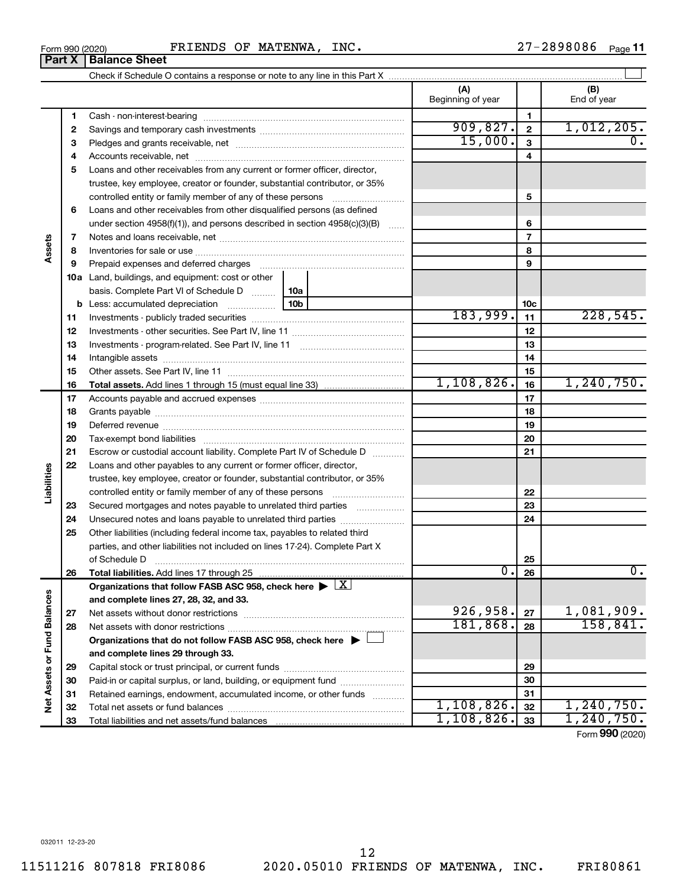$\overline{\phantom{0}}$ 

 $\overline{\phantom{0}}$ 

Check if Schedule O contains a response or note to any line in this Part X Cash - non-interest-bearing ~~~~~~~~~~~~~~~~~~~~~~~~~ ~~~~~~~~~~~~~~~~~~ ~~~~~~~~~~~~~~~~~~~~~

|                         | 1  |                                                                                                                                                                                                                                |  |              | $\mathbf{1}$    |                                 |
|-------------------------|----|--------------------------------------------------------------------------------------------------------------------------------------------------------------------------------------------------------------------------------|--|--------------|-----------------|---------------------------------|
|                         | 2  |                                                                                                                                                                                                                                |  | 909,827.     | $\mathbf{2}$    | 1,012,205.                      |
|                         | з  |                                                                                                                                                                                                                                |  | 15,000.      | 3               | 0.                              |
|                         | 4  |                                                                                                                                                                                                                                |  |              | 4               |                                 |
|                         | 5  | Loans and other receivables from any current or former officer, director,                                                                                                                                                      |  |              |                 |                                 |
|                         |    | trustee, key employee, creator or founder, substantial contributor, or 35%                                                                                                                                                     |  |              |                 |                                 |
|                         |    | controlled entity or family member of any of these persons                                                                                                                                                                     |  |              | 5               |                                 |
|                         | 6  | Loans and other receivables from other disqualified persons (as defined                                                                                                                                                        |  |              |                 |                                 |
|                         |    | under section $4958(f)(1)$ , and persons described in section $4958(c)(3)(B)$                                                                                                                                                  |  |              | 6               |                                 |
|                         | 7  |                                                                                                                                                                                                                                |  |              | $\overline{7}$  |                                 |
| ssets                   | 8  |                                                                                                                                                                                                                                |  |              | 8               |                                 |
|                         | 9  | Prepaid expenses and deferred charges [11] [11] prepaid expenses and deferred charges [11] [11] minimum and the Prepaid expenses and deferred charges [11] minimum and the Prepaid expenses and the Prepaid expenditure of Pre |  |              | 9               |                                 |
|                         |    | <b>10a</b> Land, buildings, and equipment: cost or other                                                                                                                                                                       |  |              |                 |                                 |
|                         |    | basis. Complete Part VI of Schedule D    10a                                                                                                                                                                                   |  |              |                 |                                 |
|                         | b  |                                                                                                                                                                                                                                |  |              | 10 <sub>c</sub> |                                 |
|                         | 11 |                                                                                                                                                                                                                                |  | 183,999.     | 11              | 228,545.                        |
|                         | 12 |                                                                                                                                                                                                                                |  |              | 12              |                                 |
|                         | 13 |                                                                                                                                                                                                                                |  |              | 13              |                                 |
|                         | 14 |                                                                                                                                                                                                                                |  |              | 14              |                                 |
|                         | 15 |                                                                                                                                                                                                                                |  |              | 15              |                                 |
|                         | 16 |                                                                                                                                                                                                                                |  | 1, 108, 826. | 16              | 1, 240, 750.                    |
|                         | 17 |                                                                                                                                                                                                                                |  |              | 17              |                                 |
|                         | 18 |                                                                                                                                                                                                                                |  |              | 18              |                                 |
|                         | 19 |                                                                                                                                                                                                                                |  |              | 19              |                                 |
|                         | 20 |                                                                                                                                                                                                                                |  |              | 20              |                                 |
|                         | 21 | Escrow or custodial account liability. Complete Part IV of Schedule D                                                                                                                                                          |  | 21           |                 |                                 |
|                         | 22 | Loans and other payables to any current or former officer, director,                                                                                                                                                           |  |              |                 |                                 |
| Liabilities             |    | trustee, key employee, creator or founder, substantial contributor, or 35%                                                                                                                                                     |  |              |                 |                                 |
|                         |    | controlled entity or family member of any of these persons                                                                                                                                                                     |  |              | 22              |                                 |
|                         | 23 | Secured mortgages and notes payable to unrelated third parties                                                                                                                                                                 |  |              | 23              |                                 |
|                         | 24 | Unsecured notes and loans payable to unrelated third parties                                                                                                                                                                   |  |              | 24              |                                 |
|                         | 25 | Other liabilities (including federal income tax, payables to related third                                                                                                                                                     |  |              |                 |                                 |
|                         |    | parties, and other liabilities not included on lines 17-24). Complete Part X                                                                                                                                                   |  |              |                 |                                 |
|                         |    | of Schedule D                                                                                                                                                                                                                  |  |              | 25              |                                 |
|                         | 26 | Total liabilities. Add lines 17 through 25                                                                                                                                                                                     |  | 0.           | 26              | 0.                              |
|                         |    | Organizations that follow FASB ASC 958, check here $\blacktriangleright \lfloor \underline{X} \rfloor$                                                                                                                         |  |              |                 |                                 |
| nces                    |    | and complete lines 27, 28, 32, and 33.                                                                                                                                                                                         |  |              |                 |                                 |
|                         | 27 |                                                                                                                                                                                                                                |  | 926,958.     | 27              | 1,081,909.                      |
|                         | 28 |                                                                                                                                                                                                                                |  | 181,868.     | 28              | 158, 841.                       |
|                         |    | Organizations that do not follow FASB ASC 958, check here $\blacktriangleright$                                                                                                                                                |  |              |                 |                                 |
|                         |    | and complete lines 29 through 33.                                                                                                                                                                                              |  |              |                 |                                 |
|                         | 29 |                                                                                                                                                                                                                                |  | 29           |                 |                                 |
|                         | 30 | Paid-in or capital surplus, or land, building, or equipment fund                                                                                                                                                               |  | 30           |                 |                                 |
| Net Assets or Fund Bala | 31 | Retained earnings, endowment, accumulated income, or other funds                                                                                                                                                               |  |              | 31              |                                 |
|                         | 32 |                                                                                                                                                                                                                                |  | 1,108,826.   | 32              | 1,240,750.                      |
|                         | 33 | Total liabilities and net assets/fund balances                                                                                                                                                                                 |  | 1, 108, 826. | 33              | 1, 240, 750.<br>Form 990 (2020) |
|                         |    |                                                                                                                                                                                                                                |  |              |                 |                                 |

 $\perp$ 

**(A) (B)**

Beginning of year  $\vert$  | End of year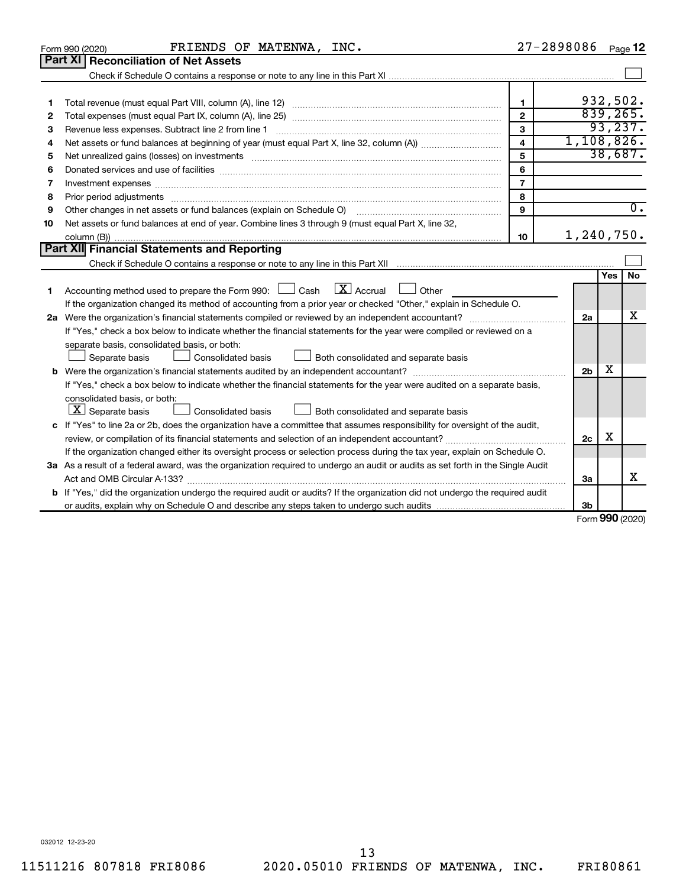|    | FRIENDS OF MATENWA, INC.<br>Form 990 (2020)                                                                                          | 27-2898086     |                |                     | Page 12          |  |  |
|----|--------------------------------------------------------------------------------------------------------------------------------------|----------------|----------------|---------------------|------------------|--|--|
|    | Part XI   Reconciliation of Net Assets                                                                                               |                |                |                     |                  |  |  |
|    |                                                                                                                                      |                |                |                     |                  |  |  |
|    |                                                                                                                                      |                |                |                     |                  |  |  |
| 1  |                                                                                                                                      | $\blacksquare$ |                | 932,502.            |                  |  |  |
| 2  |                                                                                                                                      | $\mathbf{2}$   |                | 839,265.            |                  |  |  |
| З  | Revenue less expenses. Subtract line 2 from line 1                                                                                   | $\mathbf{3}$   |                | 93, 237.            |                  |  |  |
| 4  |                                                                                                                                      | $\overline{4}$ | 1, 108, 826.   |                     |                  |  |  |
| 5  |                                                                                                                                      | 5              |                | 38,687.             |                  |  |  |
| 6  |                                                                                                                                      | 6              |                |                     |                  |  |  |
| 7  | Investment expenses www.communication.com/www.communication.com/www.communication.com/www.com                                        | $\overline{7}$ |                |                     |                  |  |  |
| 8  |                                                                                                                                      | 8              |                |                     |                  |  |  |
| 9  | Other changes in net assets or fund balances (explain on Schedule O)                                                                 | 9              |                |                     | $\overline{0}$ . |  |  |
| 10 | Net assets or fund balances at end of year. Combine lines 3 through 9 (must equal Part X, line 32,                                   |                |                |                     |                  |  |  |
|    |                                                                                                                                      | 10             | 1,240,750.     |                     |                  |  |  |
|    | Part XII Financial Statements and Reporting                                                                                          |                |                |                     |                  |  |  |
|    |                                                                                                                                      |                |                |                     |                  |  |  |
|    |                                                                                                                                      |                |                | Yes                 | <b>No</b>        |  |  |
| 1  | $\mathbf{X}$ Accrual<br>Accounting method used to prepare the Form 990: [130] Cash<br>Other<br>- L - I                               |                |                |                     |                  |  |  |
|    | If the organization changed its method of accounting from a prior year or checked "Other," explain in Schedule O.                    |                |                |                     |                  |  |  |
|    |                                                                                                                                      |                | 2a             |                     | x                |  |  |
|    | If "Yes," check a box below to indicate whether the financial statements for the year were compiled or reviewed on a                 |                |                |                     |                  |  |  |
|    | separate basis, consolidated basis, or both:                                                                                         |                |                |                     |                  |  |  |
|    | Both consolidated and separate basis<br>Separate basis<br>Consolidated basis                                                         |                |                |                     |                  |  |  |
|    |                                                                                                                                      |                | 2 <sub>b</sub> | х                   |                  |  |  |
|    | If "Yes," check a box below to indicate whether the financial statements for the year were audited on a separate basis,              |                |                |                     |                  |  |  |
|    | consolidated basis, or both:                                                                                                         |                |                |                     |                  |  |  |
|    | $ \mathbf{X} $ Separate basis<br>Consolidated basis<br>Both consolidated and separate basis                                          |                |                |                     |                  |  |  |
|    | c If "Yes" to line 2a or 2b, does the organization have a committee that assumes responsibility for oversight of the audit,          |                |                |                     |                  |  |  |
|    | review, or compilation of its financial statements and selection of an independent accountant?                                       |                | 2c             | х                   |                  |  |  |
|    | If the organization changed either its oversight process or selection process during the tax year, explain on Schedule O.            |                |                |                     |                  |  |  |
|    | 3a As a result of a federal award, was the organization required to undergo an audit or audits as set forth in the Single Audit      |                |                |                     |                  |  |  |
|    | Act and OMB Circular A-133?                                                                                                          |                | 3a             |                     | х                |  |  |
|    | <b>b</b> If "Yes," did the organization undergo the required audit or audits? If the organization did not undergo the required audit |                |                |                     |                  |  |  |
|    |                                                                                                                                      |                | 3b             | $000 \text{ hours}$ |                  |  |  |
|    |                                                                                                                                      |                |                |                     |                  |  |  |

Form (2020) **990**

032012 12-23-20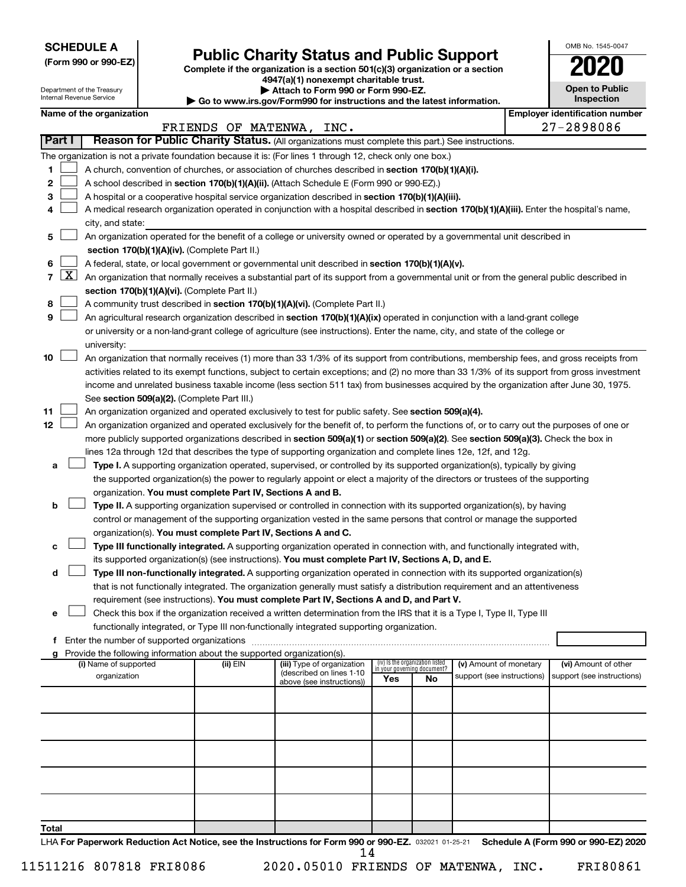**SCHEDULE A**

Department of the Treasury Internal Revenue Service

# Form 990 or 990-EZ) **Public Charity Status and Public Support**<br>
Complete if the organization is a section 501(c)(3) organization or a section<br> **2020**

**4947(a)(1) nonexempt charitable trust. | Attach to Form 990 or Form 990-EZ.** 

**| Go to www.irs.gov/Form990 for instructions and the latest information.**

| OMB No. 1545-0047                   |  |  |  |  |  |  |  |  |
|-------------------------------------|--|--|--|--|--|--|--|--|
| 2020                                |  |  |  |  |  |  |  |  |
| <b>Open to Public</b><br>Inspection |  |  |  |  |  |  |  |  |
|                                     |  |  |  |  |  |  |  |  |

| Name of the organization |                                           |      | l Emplover identification number |
|--------------------------|-------------------------------------------|------|----------------------------------|
|                          | <b>MA ጥGNIWA</b><br><b>DD TENDC</b><br>⌒□ | TNTC | nononoc<br>די                    |

| oloyer identification num |
|---------------------------|
| 27-2898086                |

|        |                     |                                                                                                                                              | FRIENDS OF MATENWA, INC. |                                                        |     |                                                                |                            |  | 27-2898086                 |
|--------|---------------------|----------------------------------------------------------------------------------------------------------------------------------------------|--------------------------|--------------------------------------------------------|-----|----------------------------------------------------------------|----------------------------|--|----------------------------|
| Part I |                     | Reason for Public Charity Status. (All organizations must complete this part.) See instructions.                                             |                          |                                                        |     |                                                                |                            |  |                            |
|        |                     | The organization is not a private foundation because it is: (For lines 1 through 12, check only one box.)                                    |                          |                                                        |     |                                                                |                            |  |                            |
| 1      |                     | A church, convention of churches, or association of churches described in section 170(b)(1)(A)(i).                                           |                          |                                                        |     |                                                                |                            |  |                            |
| 2      |                     | A school described in section 170(b)(1)(A)(ii). (Attach Schedule E (Form 990 or 990-EZ).)                                                    |                          |                                                        |     |                                                                |                            |  |                            |
| 3      |                     | A hospital or a cooperative hospital service organization described in section 170(b)(1)(A)(iii).                                            |                          |                                                        |     |                                                                |                            |  |                            |
| 4      |                     | A medical research organization operated in conjunction with a hospital described in section 170(b)(1)(A)(iii). Enter the hospital's name,   |                          |                                                        |     |                                                                |                            |  |                            |
|        |                     | city, and state:                                                                                                                             |                          |                                                        |     |                                                                |                            |  |                            |
| 5      |                     | An organization operated for the benefit of a college or university owned or operated by a governmental unit described in                    |                          |                                                        |     |                                                                |                            |  |                            |
|        |                     | section 170(b)(1)(A)(iv). (Complete Part II.)                                                                                                |                          |                                                        |     |                                                                |                            |  |                            |
| 6      |                     | A federal, state, or local government or governmental unit described in section 170(b)(1)(A)(v).                                             |                          |                                                        |     |                                                                |                            |  |                            |
| 7      | $\lfloor x \rfloor$ |                                                                                                                                              |                          |                                                        |     |                                                                |                            |  |                            |
|        |                     | An organization that normally receives a substantial part of its support from a governmental unit or from the general public described in    |                          |                                                        |     |                                                                |                            |  |                            |
|        |                     | section 170(b)(1)(A)(vi). (Complete Part II.)                                                                                                |                          |                                                        |     |                                                                |                            |  |                            |
| 8      |                     | A community trust described in section 170(b)(1)(A)(vi). (Complete Part II.)                                                                 |                          |                                                        |     |                                                                |                            |  |                            |
| 9      |                     | An agricultural research organization described in section 170(b)(1)(A)(ix) operated in conjunction with a land-grant college                |                          |                                                        |     |                                                                |                            |  |                            |
|        |                     | or university or a non-land-grant college of agriculture (see instructions). Enter the name, city, and state of the college or               |                          |                                                        |     |                                                                |                            |  |                            |
|        |                     | university:                                                                                                                                  |                          |                                                        |     |                                                                |                            |  |                            |
| 10     |                     | An organization that normally receives (1) more than 33 1/3% of its support from contributions, membership fees, and gross receipts from     |                          |                                                        |     |                                                                |                            |  |                            |
|        |                     | activities related to its exempt functions, subject to certain exceptions; and (2) no more than 33 1/3% of its support from gross investment |                          |                                                        |     |                                                                |                            |  |                            |
|        |                     | income and unrelated business taxable income (less section 511 tax) from businesses acquired by the organization after June 30, 1975.        |                          |                                                        |     |                                                                |                            |  |                            |
|        |                     | See section 509(a)(2). (Complete Part III.)                                                                                                  |                          |                                                        |     |                                                                |                            |  |                            |
| 11     |                     | An organization organized and operated exclusively to test for public safety. See section 509(a)(4).                                         |                          |                                                        |     |                                                                |                            |  |                            |
| 12     |                     | An organization organized and operated exclusively for the benefit of, to perform the functions of, or to carry out the purposes of one or   |                          |                                                        |     |                                                                |                            |  |                            |
|        |                     | more publicly supported organizations described in section 509(a)(1) or section 509(a)(2). See section 509(a)(3). Check the box in           |                          |                                                        |     |                                                                |                            |  |                            |
|        |                     | lines 12a through 12d that describes the type of supporting organization and complete lines 12e, 12f, and 12g.                               |                          |                                                        |     |                                                                |                            |  |                            |
| а      |                     | Type I. A supporting organization operated, supervised, or controlled by its supported organization(s), typically by giving                  |                          |                                                        |     |                                                                |                            |  |                            |
|        |                     | the supported organization(s) the power to regularly appoint or elect a majority of the directors or trustees of the supporting              |                          |                                                        |     |                                                                |                            |  |                            |
|        |                     | organization. You must complete Part IV, Sections A and B.                                                                                   |                          |                                                        |     |                                                                |                            |  |                            |
| b      |                     | Type II. A supporting organization supervised or controlled in connection with its supported organization(s), by having                      |                          |                                                        |     |                                                                |                            |  |                            |
|        |                     | control or management of the supporting organization vested in the same persons that control or manage the supported                         |                          |                                                        |     |                                                                |                            |  |                            |
|        |                     | organization(s). You must complete Part IV, Sections A and C.                                                                                |                          |                                                        |     |                                                                |                            |  |                            |
| с      |                     | Type III functionally integrated. A supporting organization operated in connection with, and functionally integrated with,                   |                          |                                                        |     |                                                                |                            |  |                            |
|        |                     | its supported organization(s) (see instructions). You must complete Part IV, Sections A, D, and E.                                           |                          |                                                        |     |                                                                |                            |  |                            |
| d      |                     | Type III non-functionally integrated. A supporting organization operated in connection with its supported organization(s)                    |                          |                                                        |     |                                                                |                            |  |                            |
|        |                     | that is not functionally integrated. The organization generally must satisfy a distribution requirement and an attentiveness                 |                          |                                                        |     |                                                                |                            |  |                            |
|        |                     | requirement (see instructions). You must complete Part IV, Sections A and D, and Part V.                                                     |                          |                                                        |     |                                                                |                            |  |                            |
| е      |                     | Check this box if the organization received a written determination from the IRS that it is a Type I, Type II, Type III                      |                          |                                                        |     |                                                                |                            |  |                            |
|        |                     | functionally integrated, or Type III non-functionally integrated supporting organization.                                                    |                          |                                                        |     |                                                                |                            |  |                            |
| f.     |                     | Enter the number of supported organizations                                                                                                  |                          |                                                        |     |                                                                |                            |  |                            |
|        |                     | Provide the following information about the supported organization(s).                                                                       |                          |                                                        |     |                                                                |                            |  |                            |
|        |                     | (i) Name of supported                                                                                                                        | (ii) EIN                 | (iii) Type of organization<br>(described on lines 1-10 |     | (iv) Is the organization listed<br>in your governing document? | (v) Amount of monetary     |  | (vi) Amount of other       |
|        |                     | organization                                                                                                                                 |                          | above (see instructions))                              | Yes | No                                                             | support (see instructions) |  | support (see instructions) |
|        |                     |                                                                                                                                              |                          |                                                        |     |                                                                |                            |  |                            |
|        |                     |                                                                                                                                              |                          |                                                        |     |                                                                |                            |  |                            |
|        |                     |                                                                                                                                              |                          |                                                        |     |                                                                |                            |  |                            |
|        |                     |                                                                                                                                              |                          |                                                        |     |                                                                |                            |  |                            |
|        |                     |                                                                                                                                              |                          |                                                        |     |                                                                |                            |  |                            |
|        |                     |                                                                                                                                              |                          |                                                        |     |                                                                |                            |  |                            |
|        |                     |                                                                                                                                              |                          |                                                        |     |                                                                |                            |  |                            |
|        |                     |                                                                                                                                              |                          |                                                        |     |                                                                |                            |  |                            |
|        |                     |                                                                                                                                              |                          |                                                        |     |                                                                |                            |  |                            |
|        |                     |                                                                                                                                              |                          |                                                        |     |                                                                |                            |  |                            |
| Total  |                     |                                                                                                                                              |                          |                                                        |     |                                                                |                            |  |                            |

LHA For Paperwork Reduction Act Notice, see the Instructions for Form 990 or 990-EZ. 032021 01-25-21 Schedule A (Form 990 or 990-EZ) 2020 14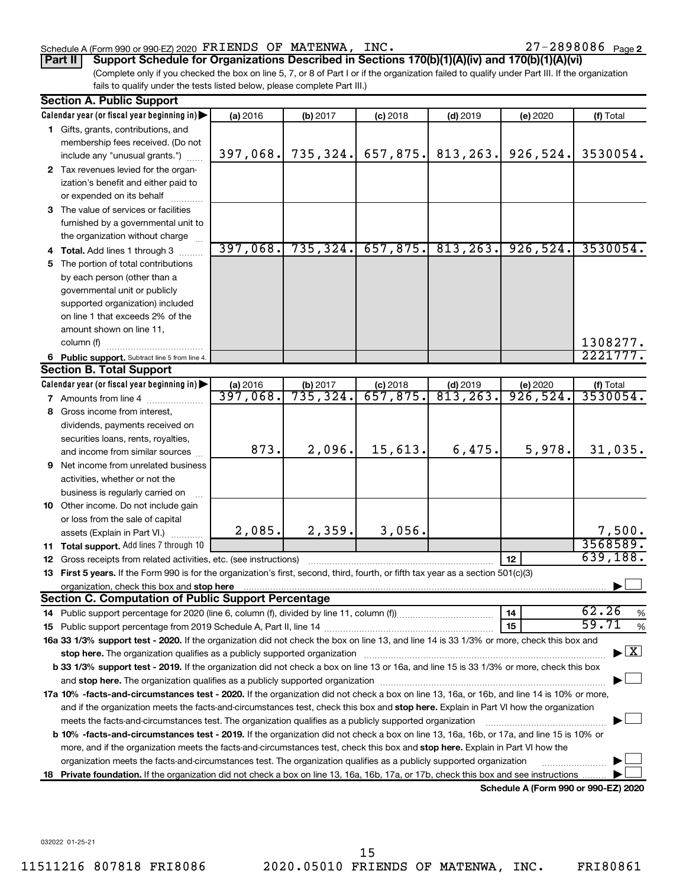## Schedule A (Form 990 or 990-EZ) 2020  $\texttt{FRIENDS OF MATENWA}$ ,  $\texttt{INC.} \quad \texttt{27-2898086 \quad \texttt{Page}}$

27-2898086 Page 2

(Complete only if you checked the box on line 5, 7, or 8 of Part I or if the organization failed to qualify under Part III. If the organization fails to qualify under the tests listed below, please complete Part III.) **Part II Support Schedule for Organizations Described in Sections 170(b)(1)(A)(iv) and 170(b)(1)(A)(vi)**

|   | <b>Section A. Public Support</b>                                                                                                           |          |           |            |                       |                                      |                                    |  |  |  |  |
|---|--------------------------------------------------------------------------------------------------------------------------------------------|----------|-----------|------------|-----------------------|--------------------------------------|------------------------------------|--|--|--|--|
|   | Calendar year (or fiscal year beginning in)                                                                                                | (a) 2016 | (b) 2017  | $(c)$ 2018 | $(d)$ 2019            | (e) 2020                             | (f) Total                          |  |  |  |  |
|   | 1 Gifts, grants, contributions, and                                                                                                        |          |           |            |                       |                                      |                                    |  |  |  |  |
|   | membership fees received. (Do not                                                                                                          |          |           |            |                       |                                      |                                    |  |  |  |  |
|   | include any "unusual grants.")                                                                                                             | 397,068. | 735, 324. | 657,875.   | 813, 263.             | 926, 524.                            | 3530054.                           |  |  |  |  |
|   | 2 Tax revenues levied for the organ-                                                                                                       |          |           |            |                       |                                      |                                    |  |  |  |  |
|   | ization's benefit and either paid to                                                                                                       |          |           |            |                       |                                      |                                    |  |  |  |  |
|   | or expended on its behalf                                                                                                                  |          |           |            |                       |                                      |                                    |  |  |  |  |
|   | 3 The value of services or facilities                                                                                                      |          |           |            |                       |                                      |                                    |  |  |  |  |
|   | furnished by a governmental unit to                                                                                                        |          |           |            |                       |                                      |                                    |  |  |  |  |
|   | the organization without charge                                                                                                            |          |           |            |                       |                                      |                                    |  |  |  |  |
|   | <b>Total.</b> Add lines 1 through 3                                                                                                        | 397,068. | 735, 324. |            | $657, 875.$ 813, 263. | 926,524.                             | 3530054.                           |  |  |  |  |
|   | 5 The portion of total contributions                                                                                                       |          |           |            |                       |                                      |                                    |  |  |  |  |
|   | by each person (other than a                                                                                                               |          |           |            |                       |                                      |                                    |  |  |  |  |
|   | governmental unit or publicly                                                                                                              |          |           |            |                       |                                      |                                    |  |  |  |  |
|   | supported organization) included                                                                                                           |          |           |            |                       |                                      |                                    |  |  |  |  |
|   | on line 1 that exceeds 2% of the                                                                                                           |          |           |            |                       |                                      |                                    |  |  |  |  |
|   | amount shown on line 11,                                                                                                                   |          |           |            |                       |                                      |                                    |  |  |  |  |
|   | column (f)                                                                                                                                 |          |           |            |                       |                                      | 1308277.                           |  |  |  |  |
|   | 6 Public support. Subtract line 5 from line 4.                                                                                             |          |           |            |                       |                                      | 2221777.                           |  |  |  |  |
|   | <b>Section B. Total Support</b>                                                                                                            |          |           |            |                       |                                      |                                    |  |  |  |  |
|   | Calendar year (or fiscal year beginning in)                                                                                                | (a) 2016 | (b) 2017  | $(c)$ 2018 | $(d)$ 2019            | (e) 2020                             | (f) Total                          |  |  |  |  |
|   | 7 Amounts from line 4                                                                                                                      | 397,068. | 735, 324. | 657,875.   | 813, 263.             | 926,524.                             | 3530054.                           |  |  |  |  |
|   | 8 Gross income from interest,                                                                                                              |          |           |            |                       |                                      |                                    |  |  |  |  |
|   | dividends, payments received on                                                                                                            |          |           |            |                       |                                      |                                    |  |  |  |  |
|   | securities loans, rents, royalties,                                                                                                        |          |           |            |                       |                                      |                                    |  |  |  |  |
|   | and income from similar sources                                                                                                            | 873.     | 2,096.    | 15,613.    | 6,475.                | 5,978.                               | 31,035.                            |  |  |  |  |
| 9 | Net income from unrelated business                                                                                                         |          |           |            |                       |                                      |                                    |  |  |  |  |
|   | activities, whether or not the                                                                                                             |          |           |            |                       |                                      |                                    |  |  |  |  |
|   | business is regularly carried on                                                                                                           |          |           |            |                       |                                      |                                    |  |  |  |  |
|   | 10 Other income. Do not include gain                                                                                                       |          |           |            |                       |                                      |                                    |  |  |  |  |
|   | or loss from the sale of capital                                                                                                           |          |           |            |                       |                                      |                                    |  |  |  |  |
|   | assets (Explain in Part VI.)                                                                                                               | 2,085.   | 2,359.    | 3,056.     |                       |                                      | 7,500.                             |  |  |  |  |
|   | 11 Total support. Add lines 7 through 10                                                                                                   |          |           |            |                       |                                      | 3568589.                           |  |  |  |  |
|   | 12 Gross receipts from related activities, etc. (see instructions)                                                                         |          |           |            |                       | 12                                   | 639,188.                           |  |  |  |  |
|   | 13 First 5 years. If the Form 990 is for the organization's first, second, third, fourth, or fifth tax year as a section 501(c)(3)         |          |           |            |                       |                                      |                                    |  |  |  |  |
|   | organization, check this box and stop here                                                                                                 |          |           |            |                       |                                      |                                    |  |  |  |  |
|   | <b>Section C. Computation of Public Support Percentage</b>                                                                                 |          |           |            |                       |                                      |                                    |  |  |  |  |
|   |                                                                                                                                            |          |           |            |                       | 14                                   | 62.26<br>%                         |  |  |  |  |
|   |                                                                                                                                            |          |           |            |                       | 15                                   | 59.71<br>%                         |  |  |  |  |
|   | 16a 33 1/3% support test - 2020. If the organization did not check the box on line 13, and line 14 is 33 1/3% or more, check this box and  |          |           |            |                       |                                      |                                    |  |  |  |  |
|   |                                                                                                                                            |          |           |            |                       |                                      | $\blacktriangleright$ $\mathbf{X}$ |  |  |  |  |
|   | b 33 1/3% support test - 2019. If the organization did not check a box on line 13 or 16a, and line 15 is 33 1/3% or more, check this box   |          |           |            |                       |                                      |                                    |  |  |  |  |
|   |                                                                                                                                            |          |           |            |                       |                                      |                                    |  |  |  |  |
|   | 17a 10% -facts-and-circumstances test - 2020. If the organization did not check a box on line 13, 16a, or 16b, and line 14 is 10% or more, |          |           |            |                       |                                      |                                    |  |  |  |  |
|   | and if the organization meets the facts-and-circumstances test, check this box and stop here. Explain in Part VI how the organization      |          |           |            |                       |                                      |                                    |  |  |  |  |
|   | meets the facts-and-circumstances test. The organization qualifies as a publicly supported organization                                    |          |           |            |                       |                                      |                                    |  |  |  |  |
|   | b 10% -facts-and-circumstances test - 2019. If the organization did not check a box on line 13, 16a, 16b, or 17a, and line 15 is 10% or    |          |           |            |                       |                                      |                                    |  |  |  |  |
|   | more, and if the organization meets the facts-and-circumstances test, check this box and stop here. Explain in Part VI how the             |          |           |            |                       |                                      |                                    |  |  |  |  |
|   | organization meets the facts-and-circumstances test. The organization qualifies as a publicly supported organization                       |          |           |            |                       |                                      |                                    |  |  |  |  |
|   | 18 Private foundation. If the organization did not check a box on line 13, 16a, 16b, 17a, or 17b, check this box and see instructions      |          |           |            |                       |                                      |                                    |  |  |  |  |
|   |                                                                                                                                            |          |           |            |                       | Schodule A (Form 000 or 000 F7) 2020 |                                    |  |  |  |  |

**Schedule A (Form 990 or 990-EZ) 2020**

032022 01-25-21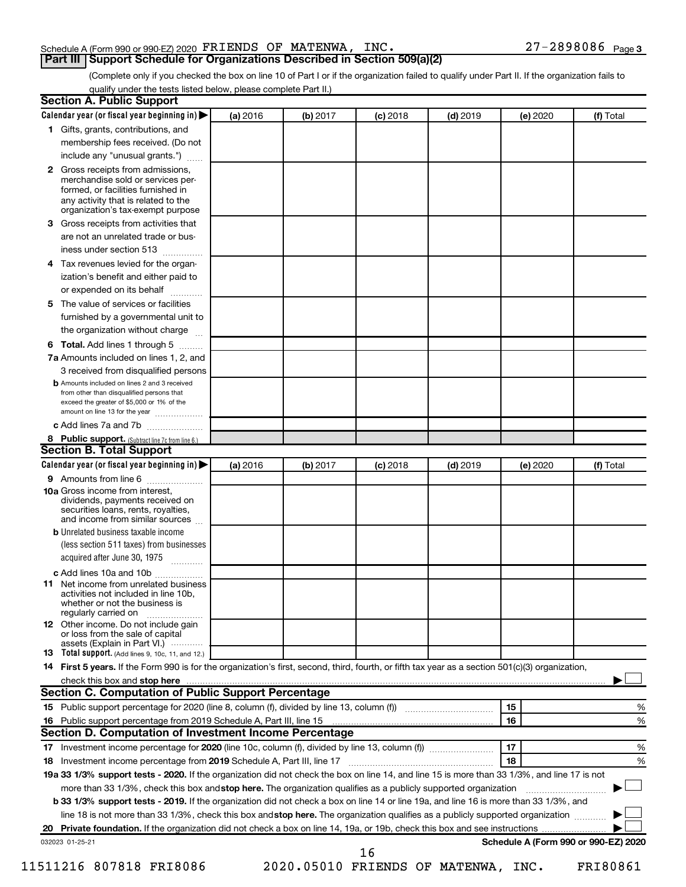### Schedule A (Form 990 or 990-EZ) 2020  $\texttt{FRIENDS OF MATENWA}$ ,  $\texttt{INC.} \quad \texttt{27-2898086 \text{ } Page}$ **Part III Support Schedule for Organizations Described in Section 509(a)(2)**

(Complete only if you checked the box on line 10 of Part I or if the organization failed to qualify under Part II. If the organization fails to qualify under the tests listed below, please complete Part II.)

|              | <b>Section A. Public Support</b><br>Calendar year (or fiscal year beginning in)                                                                     | (a) 2016 | (b) 2017 | (c) 2018   | $(d)$ 2019 |    | (e) 2020 | (f) Total                            |
|--------------|-----------------------------------------------------------------------------------------------------------------------------------------------------|----------|----------|------------|------------|----|----------|--------------------------------------|
|              | 1 Gifts, grants, contributions, and                                                                                                                 |          |          |            |            |    |          |                                      |
|              | membership fees received. (Do not                                                                                                                   |          |          |            |            |    |          |                                      |
|              | include any "unusual grants.")                                                                                                                      |          |          |            |            |    |          |                                      |
| $\mathbf{2}$ | Gross receipts from admissions,                                                                                                                     |          |          |            |            |    |          |                                      |
|              | merchandise sold or services per-<br>formed, or facilities furnished in                                                                             |          |          |            |            |    |          |                                      |
|              | any activity that is related to the<br>organization's tax-exempt purpose                                                                            |          |          |            |            |    |          |                                      |
| З.           | Gross receipts from activities that                                                                                                                 |          |          |            |            |    |          |                                      |
|              | are not an unrelated trade or bus-                                                                                                                  |          |          |            |            |    |          |                                      |
|              | iness under section 513                                                                                                                             |          |          |            |            |    |          |                                      |
| 4            | Tax revenues levied for the organ-                                                                                                                  |          |          |            |            |    |          |                                      |
|              | ization's benefit and either paid to                                                                                                                |          |          |            |            |    |          |                                      |
|              | or expended on its behalf                                                                                                                           |          |          |            |            |    |          |                                      |
| 5.           | The value of services or facilities                                                                                                                 |          |          |            |            |    |          |                                      |
|              | furnished by a governmental unit to                                                                                                                 |          |          |            |            |    |          |                                      |
|              | the organization without charge                                                                                                                     |          |          |            |            |    |          |                                      |
| 6            | Total. Add lines 1 through 5                                                                                                                        |          |          |            |            |    |          |                                      |
|              | 7a Amounts included on lines 1, 2, and                                                                                                              |          |          |            |            |    |          |                                      |
|              | 3 received from disqualified persons                                                                                                                |          |          |            |            |    |          |                                      |
|              | <b>b</b> Amounts included on lines 2 and 3 received                                                                                                 |          |          |            |            |    |          |                                      |
|              | from other than disqualified persons that<br>exceed the greater of \$5,000 or 1% of the<br>amount on line 13 for the year                           |          |          |            |            |    |          |                                      |
|              | c Add lines 7a and 7b                                                                                                                               |          |          |            |            |    |          |                                      |
|              | 8 Public support. (Subtract line 7c from line 6.)                                                                                                   |          |          |            |            |    |          |                                      |
|              | <b>Section B. Total Support</b>                                                                                                                     |          |          |            |            |    |          |                                      |
|              | Calendar year (or fiscal year beginning in)                                                                                                         | (a) 2016 | (b) 2017 | $(c)$ 2018 | $(d)$ 2019 |    | (e) 2020 | (f) Total                            |
|              | 9 Amounts from line 6                                                                                                                               |          |          |            |            |    |          |                                      |
|              | <b>10a</b> Gross income from interest,<br>dividends, payments received on<br>securities loans, rents, royalties,<br>and income from similar sources |          |          |            |            |    |          |                                      |
|              | <b>b</b> Unrelated business taxable income                                                                                                          |          |          |            |            |    |          |                                      |
|              | (less section 511 taxes) from businesses<br>acquired after June 30, 1975                                                                            |          |          |            |            |    |          |                                      |
|              | c Add lines 10a and 10b                                                                                                                             |          |          |            |            |    |          |                                      |
|              | <b>11</b> Net income from unrelated business<br>activities not included in line 10b.<br>whether or not the business is<br>regularly carried on      |          |          |            |            |    |          |                                      |
|              | <b>12</b> Other income. Do not include gain<br>or loss from the sale of capital<br>assets (Explain in Part VI.)                                     |          |          |            |            |    |          |                                      |
|              | <b>13</b> Total support. (Add lines 9, 10c, 11, and 12.)                                                                                            |          |          |            |            |    |          |                                      |
|              | 14 First 5 years. If the Form 990 is for the organization's first, second, third, fourth, or fifth tax year as a section 501(c)(3) organization,    |          |          |            |            |    |          |                                      |
|              | check this box and stop here                                                                                                                        |          |          |            |            |    |          |                                      |
|              | <b>Section C. Computation of Public Support Percentage</b>                                                                                          |          |          |            |            |    |          |                                      |
|              |                                                                                                                                                     |          |          |            |            | 15 |          | %                                    |
|              |                                                                                                                                                     |          |          |            |            | 16 |          | %                                    |
|              | Section D. Computation of Investment Income Percentage                                                                                              |          |          |            |            |    |          |                                      |
|              |                                                                                                                                                     |          |          |            |            | 17 |          | %                                    |
|              |                                                                                                                                                     |          |          |            |            | 18 |          | %                                    |
|              |                                                                                                                                                     |          |          |            |            |    |          |                                      |
|              |                                                                                                                                                     |          |          |            |            |    |          |                                      |
|              | 19a 33 1/3% support tests - 2020. If the organization did not check the box on line 14, and line 15 is more than 33 1/3%, and line 17 is not        |          |          |            |            |    |          |                                      |
|              | more than 33 1/3%, check this box and stop here. The organization qualifies as a publicly supported organization                                    |          |          |            |            |    |          |                                      |
|              | b 33 1/3% support tests - 2019. If the organization did not check a box on line 14 or line 19a, and line 16 is more than 33 1/3%, and               |          |          |            |            |    |          |                                      |
|              | line 18 is not more than 33 1/3%, check this box and stop here. The organization qualifies as a publicly supported organization                     |          |          |            |            |    |          |                                      |
|              |                                                                                                                                                     |          |          |            |            |    |          |                                      |
| 18           | 032023 01-25-21                                                                                                                                     |          |          | 16         |            |    |          | Schedule A (Form 990 or 990-EZ) 2020 |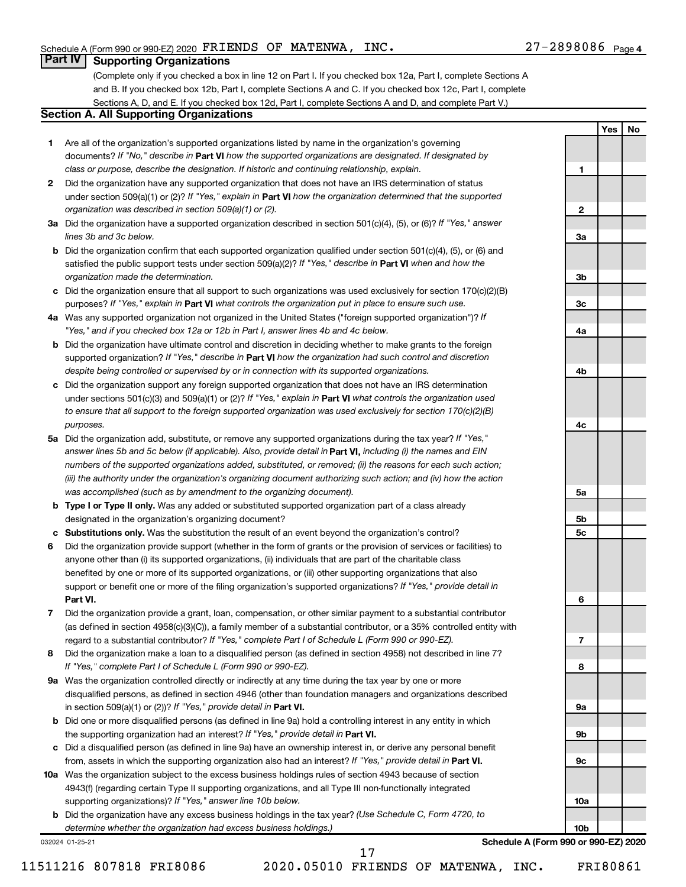**1**

**2**

**3a**

**3b**

**3c**

**4a**

**4b**

**4c**

**5a**

**5b 5c**

**6**

**7**

**8**

**9a**

**9b**

**9c**

**10a**

**10b**

**Yes No**

# **Part IV Supporting Organizations**

(Complete only if you checked a box in line 12 on Part I. If you checked box 12a, Part I, complete Sections A and B. If you checked box 12b, Part I, complete Sections A and C. If you checked box 12c, Part I, complete Sections A, D, and E. If you checked box 12d, Part I, complete Sections A and D, and complete Part V.)

# **Section A. All Supporting Organizations**

- **1** Are all of the organization's supported organizations listed by name in the organization's governing documents? If "No," describe in Part VI how the supported organizations are designated. If designated by *class or purpose, describe the designation. If historic and continuing relationship, explain.*
- **2** Did the organization have any supported organization that does not have an IRS determination of status under section 509(a)(1) or (2)? If "Yes," explain in Part **VI** how the organization determined that the supported *organization was described in section 509(a)(1) or (2).*
- **3a** Did the organization have a supported organization described in section 501(c)(4), (5), or (6)? If "Yes," answer *lines 3b and 3c below.*
- **b** Did the organization confirm that each supported organization qualified under section 501(c)(4), (5), or (6) and satisfied the public support tests under section 509(a)(2)? If "Yes," describe in Part VI when and how the *organization made the determination.*
- **c** Did the organization ensure that all support to such organizations was used exclusively for section 170(c)(2)(B) purposes? If "Yes," explain in Part VI what controls the organization put in place to ensure such use.
- **4 a** *If* Was any supported organization not organized in the United States ("foreign supported organization")? *"Yes," and if you checked box 12a or 12b in Part I, answer lines 4b and 4c below.*
- **b** Did the organization have ultimate control and discretion in deciding whether to make grants to the foreign supported organization? If "Yes," describe in Part VI how the organization had such control and discretion *despite being controlled or supervised by or in connection with its supported organizations.*
- **c** Did the organization support any foreign supported organization that does not have an IRS determination under sections 501(c)(3) and 509(a)(1) or (2)? If "Yes," explain in Part VI what controls the organization used *to ensure that all support to the foreign supported organization was used exclusively for section 170(c)(2)(B) purposes.*
- **5a** Did the organization add, substitute, or remove any supported organizations during the tax year? If "Yes," answer lines 5b and 5c below (if applicable). Also, provide detail in **Part VI,** including (i) the names and EIN *numbers of the supported organizations added, substituted, or removed; (ii) the reasons for each such action; (iii) the authority under the organization's organizing document authorizing such action; and (iv) how the action was accomplished (such as by amendment to the organizing document).*
- **b Type I or Type II only.** Was any added or substituted supported organization part of a class already designated in the organization's organizing document?
- **c Substitutions only.**  Was the substitution the result of an event beyond the organization's control?
- **6** Did the organization provide support (whether in the form of grants or the provision of services or facilities) to **Part VI.** support or benefit one or more of the filing organization's supported organizations? If "Yes," provide detail in anyone other than (i) its supported organizations, (ii) individuals that are part of the charitable class benefited by one or more of its supported organizations, or (iii) other supporting organizations that also
- **7** Did the organization provide a grant, loan, compensation, or other similar payment to a substantial contributor regard to a substantial contributor? If "Yes," complete Part I of Schedule L (Form 990 or 990-EZ). (as defined in section 4958(c)(3)(C)), a family member of a substantial contributor, or a 35% controlled entity with
- **8** Did the organization make a loan to a disqualified person (as defined in section 4958) not described in line 7? *If "Yes," complete Part I of Schedule L (Form 990 or 990-EZ).*
- **9 a** Was the organization controlled directly or indirectly at any time during the tax year by one or more in section 509(a)(1) or (2))? If "Yes," provide detail in **Part VI.** disqualified persons, as defined in section 4946 (other than foundation managers and organizations described
- **b** Did one or more disqualified persons (as defined in line 9a) hold a controlling interest in any entity in which the supporting organization had an interest? If "Yes," provide detail in Part VI.
- **c** Did a disqualified person (as defined in line 9a) have an ownership interest in, or derive any personal benefit from, assets in which the supporting organization also had an interest? If "Yes," provide detail in Part VI.
- **10 a** Was the organization subject to the excess business holdings rules of section 4943 because of section supporting organizations)? If "Yes," answer line 10b below. 4943(f) (regarding certain Type II supporting organizations, and all Type III non-functionally integrated
	- **b** Did the organization have any excess business holdings in the tax year? (Use Schedule C, Form 4720, to *determine whether the organization had excess business holdings.)*

032024 01-25-21

**Schedule A (Form 990 or 990-EZ) 2020**

11511216 807818 FRI8086 2020.05010 FRIENDS OF MATENWA, INC. FRI80861

17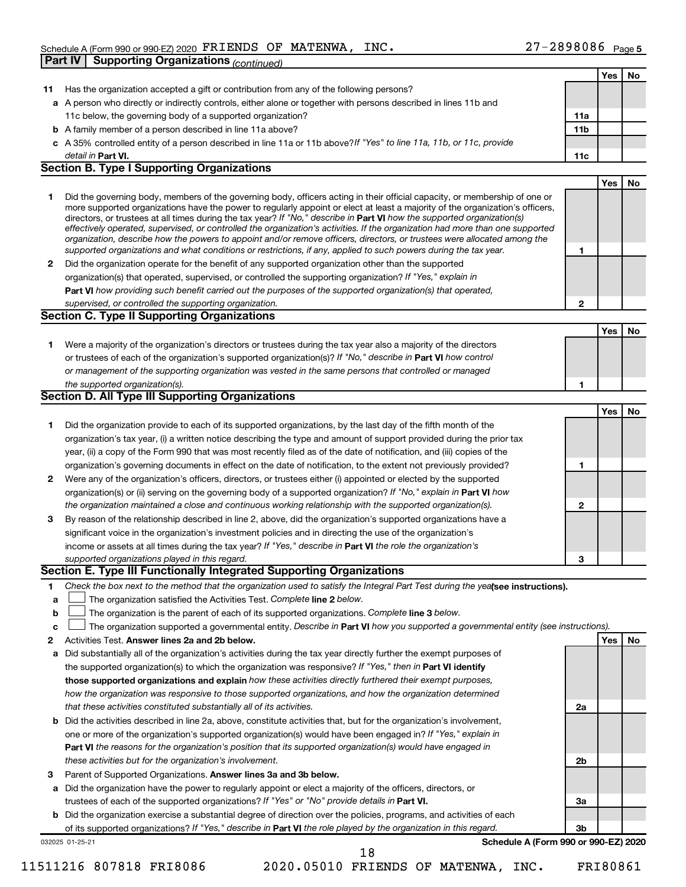|              |                                                                                                                                   |              | Yes        | No        |
|--------------|-----------------------------------------------------------------------------------------------------------------------------------|--------------|------------|-----------|
| 11           | Has the organization accepted a gift or contribution from any of the following persons?                                           |              |            |           |
|              | a A person who directly or indirectly controls, either alone or together with persons described in lines 11b and                  |              |            |           |
|              | 11c below, the governing body of a supported organization?                                                                        | 11a          |            |           |
|              | <b>b</b> A family member of a person described in line 11a above?                                                                 | 11b          |            |           |
|              | c A 35% controlled entity of a person described in line 11a or 11b above?If "Yes" to line 11a, 11b, or 11c, provide               |              |            |           |
|              | detail in Part VI.                                                                                                                | 11c          |            |           |
|              | <b>Section B. Type I Supporting Organizations</b>                                                                                 |              |            |           |
|              |                                                                                                                                   |              | <b>Yes</b> | No        |
| 1            | Did the governing body, members of the governing body, officers acting in their official capacity, or membership of one or        |              |            |           |
|              | more supported organizations have the power to regularly appoint or elect at least a majority of the organization's officers,     |              |            |           |
|              | directors, or trustees at all times during the tax year? If "No," describe in Part VI how the supported organization(s)           |              |            |           |
|              | effectively operated, supervised, or controlled the organization's activities. If the organization had more than one supported    |              |            |           |
|              | organization, describe how the powers to appoint and/or remove officers, directors, or trustees were allocated among the          |              |            |           |
|              | supported organizations and what conditions or restrictions, if any, applied to such powers during the tax year.                  | 1            |            |           |
| $\mathbf{2}$ | Did the organization operate for the benefit of any supported organization other than the supported                               |              |            |           |
|              | organization(s) that operated, supervised, or controlled the supporting organization? If "Yes," explain in                        |              |            |           |
|              | Part VI how providing such benefit carried out the purposes of the supported organization(s) that operated,                       |              |            |           |
|              | supervised, or controlled the supporting organization.<br>Section C. Type II Supporting Organizations                             | $\mathbf{2}$ |            |           |
|              |                                                                                                                                   |              |            |           |
|              |                                                                                                                                   |              | <b>Yes</b> | <b>No</b> |
| 1.           | Were a majority of the organization's directors or trustees during the tax year also a majority of the directors                  |              |            |           |
|              | or trustees of each of the organization's supported organization(s)? If "No," describe in Part VI how control                     |              |            |           |
|              | or management of the supporting organization was vested in the same persons that controlled or managed                            |              |            |           |
|              | the supported organization(s).<br><b>Section D. All Type III Supporting Organizations</b>                                         | 1            |            |           |
|              |                                                                                                                                   |              |            |           |
|              |                                                                                                                                   |              | <b>Yes</b> | No        |
| 1            | Did the organization provide to each of its supported organizations, by the last day of the fifth month of the                    |              |            |           |
|              | organization's tax year, (i) a written notice describing the type and amount of support provided during the prior tax             |              |            |           |
|              | year, (ii) a copy of the Form 990 that was most recently filed as of the date of notification, and (iii) copies of the            |              |            |           |
|              | organization's governing documents in effect on the date of notification, to the extent not previously provided?                  | 1            |            |           |
| 2            | Were any of the organization's officers, directors, or trustees either (i) appointed or elected by the supported                  |              |            |           |
|              | organization(s) or (ii) serving on the governing body of a supported organization? If "No," explain in Part VI how                |              |            |           |
|              | the organization maintained a close and continuous working relationship with the supported organization(s).                       | 2            |            |           |
| 3            | By reason of the relationship described in line 2, above, did the organization's supported organizations have a                   |              |            |           |
|              | significant voice in the organization's investment policies and in directing the use of the organization's                        |              |            |           |
|              | income or assets at all times during the tax year? If "Yes," describe in Part VI the role the organization's                      |              |            |           |
|              | supported organizations played in this regard.                                                                                    | 3            |            |           |
|              | Section E. Type III Functionally Integrated Supporting Organizations                                                              |              |            |           |
| 1            | Check the box next to the method that the organization used to satisfy the Integral Part Test during the yealsee instructions).   |              |            |           |
| а            | The organization satisfied the Activities Test. Complete line 2 below.                                                            |              |            |           |
| b            | The organization is the parent of each of its supported organizations. Complete line 3 below.                                     |              |            |           |
| с            | The organization supported a governmental entity. Describe in Part VI how you supported a governmental entity (see instructions). |              |            |           |
| 2            | Activities Test. Answer lines 2a and 2b below.                                                                                    |              | Yes        | No        |
| а            | Did substantially all of the organization's activities during the tax year directly further the exempt purposes of                |              |            |           |
|              | the supported organization(s) to which the organization was responsive? If "Yes," then in Part VI identify                        |              |            |           |
|              | those supported organizations and explain how these activities directly furthered their exempt purposes,                          |              |            |           |
|              | how the organization was responsive to those supported organizations, and how the organization determined                         |              |            |           |
|              | that these activities constituted substantially all of its activities.                                                            | 2a           |            |           |
| b            | Did the activities described in line 2a, above, constitute activities that, but for the organization's involvement,               |              |            |           |
|              | one or more of the organization's supported organization(s) would have been engaged in? If "Yes," explain in                      |              |            |           |
|              | Part VI the reasons for the organization's position that its supported organization(s) would have engaged in                      |              |            |           |
|              | these activities but for the organization's involvement.                                                                          | 2b           |            |           |
| 3            | Parent of Supported Organizations. Answer lines 3a and 3b below.                                                                  |              |            |           |
|              | a Did the organization have the power to regularly appoint or elect a majority of the officers, directors, or                     |              |            |           |
|              | trustees of each of the supported organizations? If "Yes" or "No" provide details in Part VI.                                     | За           |            |           |
|              | <b>b</b> Did the organization exercise a substantial degree of direction over the policies, programs, and activities of each      |              |            |           |
|              | of its supported organizations? If "Yes," describe in Part VI the role played by the organization in this regard.                 | 3b           |            |           |
|              | Schedule A (Form 990 or 990-EZ) 2020<br>032025 01-25-21                                                                           |              |            |           |
|              | 18                                                                                                                                |              |            |           |

<sup>11511216 807818</sup> FRI8086 2020.05010 FRIENDS OF MATENWA, INC. FRI80861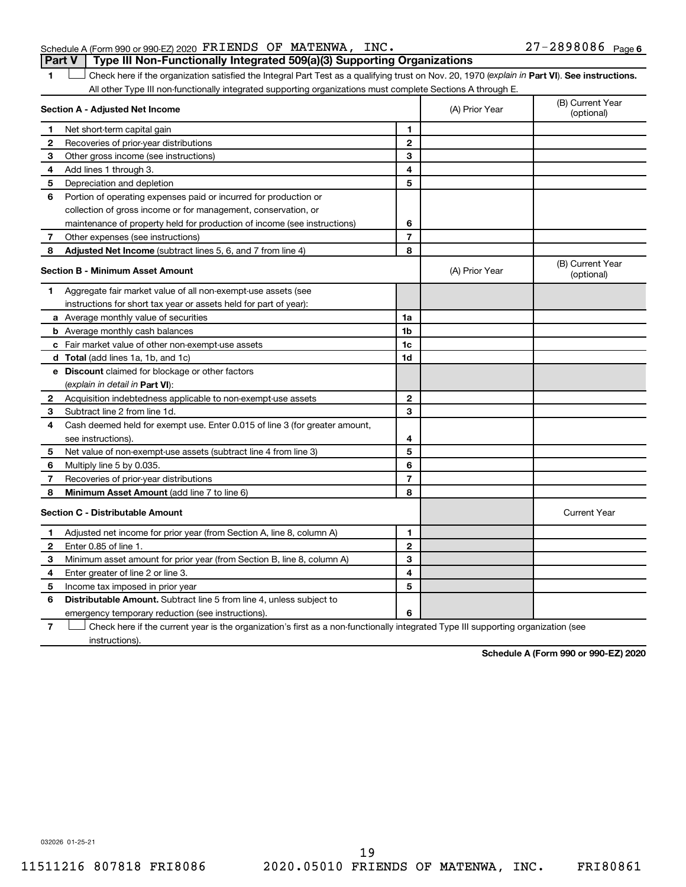| Schedule A (Form 990 or 990 EZ) 2020 $\texttt{FRIENDS}$ OF MATENWA, INC.         |  |  | $27 - 2898086$ Page 6 |  |
|----------------------------------------------------------------------------------|--|--|-----------------------|--|
| Part V   Type III Non-Functionally Integrated 509(a)(3) Supporting Organizations |  |  |                       |  |

1 **Letter See instructions.** Check here if the organization satisfied the Integral Part Test as a qualifying trust on Nov. 20, 1970 (*explain in* Part **VI**). See instructions. All other Type III non-functionally integrated supporting organizations must complete Sections A through E.

|    | Section A - Adjusted Net Income                                                                                                   |                | (A) Prior Year | (B) Current Year<br>(optional) |
|----|-----------------------------------------------------------------------------------------------------------------------------------|----------------|----------------|--------------------------------|
| 1  | Net short-term capital gain                                                                                                       | 1              |                |                                |
| 2  | Recoveries of prior-year distributions                                                                                            | $\mathbf{2}$   |                |                                |
| З  | Other gross income (see instructions)                                                                                             | 3              |                |                                |
| 4  | Add lines 1 through 3.                                                                                                            | 4              |                |                                |
| 5  | Depreciation and depletion                                                                                                        | 5              |                |                                |
| 6  | Portion of operating expenses paid or incurred for production or                                                                  |                |                |                                |
|    | collection of gross income or for management, conservation, or                                                                    |                |                |                                |
|    | maintenance of property held for production of income (see instructions)                                                          | 6              |                |                                |
| 7  | Other expenses (see instructions)                                                                                                 | $\overline{7}$ |                |                                |
| 8  | Adjusted Net Income (subtract lines 5, 6, and 7 from line 4)                                                                      | 8              |                |                                |
|    | <b>Section B - Minimum Asset Amount</b>                                                                                           |                | (A) Prior Year | (B) Current Year<br>(optional) |
| 1. | Aggregate fair market value of all non-exempt-use assets (see                                                                     |                |                |                                |
|    | instructions for short tax year or assets held for part of year):                                                                 |                |                |                                |
|    | a Average monthly value of securities                                                                                             | 1a             |                |                                |
|    | <b>b</b> Average monthly cash balances                                                                                            | 1 <sub>b</sub> |                |                                |
|    | c Fair market value of other non-exempt-use assets                                                                                | 1c             |                |                                |
|    | d Total (add lines 1a, 1b, and 1c)                                                                                                | 1 <sub>d</sub> |                |                                |
|    | e Discount claimed for blockage or other factors                                                                                  |                |                |                                |
|    | (explain in detail in Part VI):                                                                                                   |                |                |                                |
| 2  | Acquisition indebtedness applicable to non-exempt-use assets                                                                      | $\mathbf{2}$   |                |                                |
| 3  | Subtract line 2 from line 1d.                                                                                                     | 3              |                |                                |
| 4  | Cash deemed held for exempt use. Enter 0.015 of line 3 (for greater amount,                                                       |                |                |                                |
|    | see instructions).                                                                                                                | 4              |                |                                |
| 5  | Net value of non-exempt-use assets (subtract line 4 from line 3)                                                                  | 5              |                |                                |
| 6  | Multiply line 5 by 0.035.                                                                                                         | 6              |                |                                |
| 7  | Recoveries of prior-year distributions                                                                                            | $\overline{7}$ |                |                                |
| 8  | Minimum Asset Amount (add line 7 to line 6)                                                                                       | 8              |                |                                |
|    | <b>Section C - Distributable Amount</b>                                                                                           |                |                | <b>Current Year</b>            |
| 1  | Adjusted net income for prior year (from Section A, line 8, column A)                                                             | 1              |                |                                |
| 2  | Enter 0.85 of line 1.                                                                                                             | $\overline{2}$ |                |                                |
| 3  | Minimum asset amount for prior year (from Section B, line 8, column A)                                                            | 3              |                |                                |
| 4  | Enter greater of line 2 or line 3.                                                                                                | 4              |                |                                |
| 5  | Income tax imposed in prior year                                                                                                  | 5              |                |                                |
| 6  | <b>Distributable Amount.</b> Subtract line 5 from line 4, unless subject to                                                       |                |                |                                |
|    | emergency temporary reduction (see instructions).                                                                                 | 6              |                |                                |
| 7  | Check here if the current year is the organization's first as a non-functionally integrated Type III supporting organization (see |                |                |                                |

instructions).

**Schedule A (Form 990 or 990-EZ) 2020**

032026 01-25-21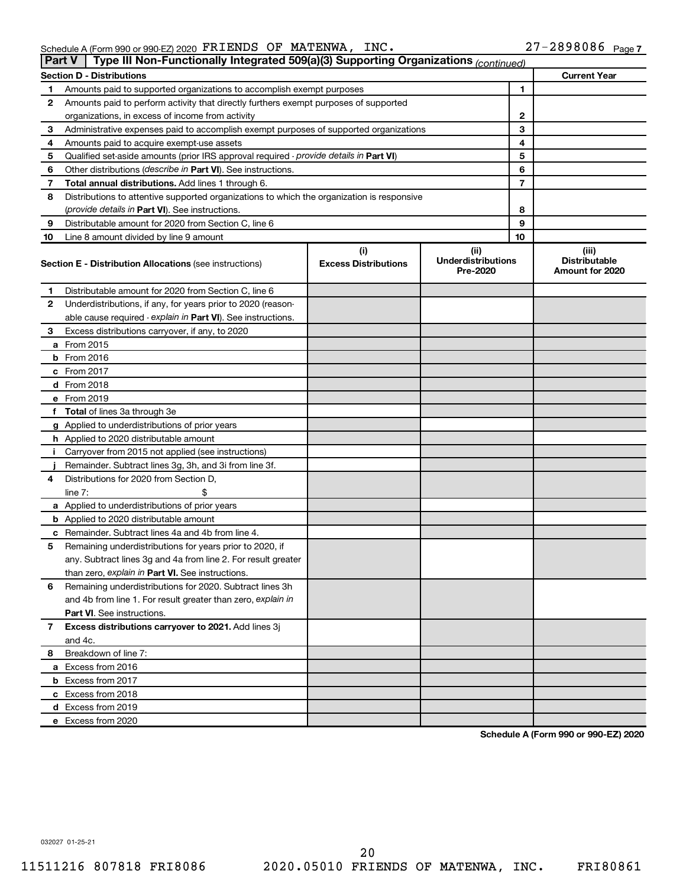|                                                               |  | $\Box$ Dart V $\Box$ Type III Non-Eunctionally Integrated 500(a)(3) Supporting Organizations $\angle$ |                       |  |
|---------------------------------------------------------------|--|-------------------------------------------------------------------------------------------------------|-----------------------|--|
| Schedule A (Form 990 or 990-EZ) 2020 FRIENDS OF MATENWA, INC. |  |                                                                                                       | $27 - 2898086$ Page 7 |  |

|              | <b>rait V</b><br><b>Type in Non-Functionally integrated 303(a)(3) supporting Organizations</b> (continued) |                                    |                                               |    |                                                  |  |  |  |  |  |
|--------------|------------------------------------------------------------------------------------------------------------|------------------------------------|-----------------------------------------------|----|--------------------------------------------------|--|--|--|--|--|
|              | <b>Section D - Distributions</b>                                                                           |                                    |                                               |    | <b>Current Year</b>                              |  |  |  |  |  |
| 1.           | Amounts paid to supported organizations to accomplish exempt purposes                                      |                                    |                                               | 1  |                                                  |  |  |  |  |  |
| $\mathbf{2}$ | Amounts paid to perform activity that directly furthers exempt purposes of supported                       |                                    |                                               |    |                                                  |  |  |  |  |  |
|              | organizations, in excess of income from activity                                                           |                                    | 2                                             |    |                                                  |  |  |  |  |  |
| 3            | Administrative expenses paid to accomplish exempt purposes of supported organizations                      |                                    | 3                                             |    |                                                  |  |  |  |  |  |
| 4            | Amounts paid to acquire exempt-use assets                                                                  |                                    | 4                                             |    |                                                  |  |  |  |  |  |
| 5            | Qualified set-aside amounts (prior IRS approval required - provide details in Part VI)                     |                                    | 5                                             |    |                                                  |  |  |  |  |  |
| 6            | Other distributions ( <i>describe in Part VI</i> ). See instructions.                                      |                                    |                                               |    |                                                  |  |  |  |  |  |
| 7            | Total annual distributions. Add lines 1 through 6.                                                         |                                    |                                               |    |                                                  |  |  |  |  |  |
| 8            | Distributions to attentive supported organizations to which the organization is responsive                 |                                    |                                               |    |                                                  |  |  |  |  |  |
|              | (provide details in Part VI). See instructions.                                                            |                                    | 8                                             |    |                                                  |  |  |  |  |  |
| 9            | Distributable amount for 2020 from Section C. line 6                                                       |                                    |                                               | 9  |                                                  |  |  |  |  |  |
| 10           | Line 8 amount divided by line 9 amount                                                                     |                                    |                                               | 10 |                                                  |  |  |  |  |  |
|              | Section E - Distribution Allocations (see instructions)                                                    | (i)<br><b>Excess Distributions</b> | (ii)<br><b>Underdistributions</b><br>Pre-2020 |    | (iii)<br><b>Distributable</b><br>Amount for 2020 |  |  |  |  |  |
| 1            | Distributable amount for 2020 from Section C, line 6                                                       |                                    |                                               |    |                                                  |  |  |  |  |  |
| $\mathbf{2}$ | Underdistributions, if any, for years prior to 2020 (reason-                                               |                                    |                                               |    |                                                  |  |  |  |  |  |
|              | able cause required - explain in Part VI). See instructions.                                               |                                    |                                               |    |                                                  |  |  |  |  |  |
| З.           | Excess distributions carryover, if any, to 2020                                                            |                                    |                                               |    |                                                  |  |  |  |  |  |
|              | <b>a</b> From 2015                                                                                         |                                    |                                               |    |                                                  |  |  |  |  |  |
|              | $b$ From 2016                                                                                              |                                    |                                               |    |                                                  |  |  |  |  |  |
|              | $c$ From 2017                                                                                              |                                    |                                               |    |                                                  |  |  |  |  |  |
|              | <b>d</b> From 2018                                                                                         |                                    |                                               |    |                                                  |  |  |  |  |  |
|              | e From 2019                                                                                                |                                    |                                               |    |                                                  |  |  |  |  |  |
|              | f Total of lines 3a through 3e                                                                             |                                    |                                               |    |                                                  |  |  |  |  |  |
|              | g Applied to underdistributions of prior years                                                             |                                    |                                               |    |                                                  |  |  |  |  |  |
|              | <b>h</b> Applied to 2020 distributable amount                                                              |                                    |                                               |    |                                                  |  |  |  |  |  |
| Ī.           | Carryover from 2015 not applied (see instructions)                                                         |                                    |                                               |    |                                                  |  |  |  |  |  |
|              | Remainder. Subtract lines 3g, 3h, and 3i from line 3f.                                                     |                                    |                                               |    |                                                  |  |  |  |  |  |
| 4            | Distributions for 2020 from Section D,                                                                     |                                    |                                               |    |                                                  |  |  |  |  |  |
|              | \$<br>line $7:$                                                                                            |                                    |                                               |    |                                                  |  |  |  |  |  |
|              | a Applied to underdistributions of prior years                                                             |                                    |                                               |    |                                                  |  |  |  |  |  |
|              | <b>b</b> Applied to 2020 distributable amount                                                              |                                    |                                               |    |                                                  |  |  |  |  |  |
|              | <b>c</b> Remainder. Subtract lines 4a and 4b from line 4.                                                  |                                    |                                               |    |                                                  |  |  |  |  |  |
| 5            | Remaining underdistributions for years prior to 2020, if                                                   |                                    |                                               |    |                                                  |  |  |  |  |  |
|              | any. Subtract lines 3g and 4a from line 2. For result greater                                              |                                    |                                               |    |                                                  |  |  |  |  |  |
|              | than zero, explain in Part VI. See instructions.                                                           |                                    |                                               |    |                                                  |  |  |  |  |  |
| 6            | Remaining underdistributions for 2020. Subtract lines 3h                                                   |                                    |                                               |    |                                                  |  |  |  |  |  |
|              | and 4b from line 1. For result greater than zero, explain in                                               |                                    |                                               |    |                                                  |  |  |  |  |  |
|              | Part VI. See instructions.                                                                                 |                                    |                                               |    |                                                  |  |  |  |  |  |
| 7            | Excess distributions carryover to 2021. Add lines 3j                                                       |                                    |                                               |    |                                                  |  |  |  |  |  |
|              | and 4c.                                                                                                    |                                    |                                               |    |                                                  |  |  |  |  |  |
| 8            | Breakdown of line 7:                                                                                       |                                    |                                               |    |                                                  |  |  |  |  |  |
|              | a Excess from 2016                                                                                         |                                    |                                               |    |                                                  |  |  |  |  |  |
|              | <b>b</b> Excess from 2017                                                                                  |                                    |                                               |    |                                                  |  |  |  |  |  |
|              | c Excess from 2018                                                                                         |                                    |                                               |    |                                                  |  |  |  |  |  |
|              | d Excess from 2019                                                                                         |                                    |                                               |    |                                                  |  |  |  |  |  |
|              | e Excess from 2020                                                                                         |                                    |                                               |    |                                                  |  |  |  |  |  |

**Schedule A (Form 990 or 990-EZ) 2020**

032027 01-25-21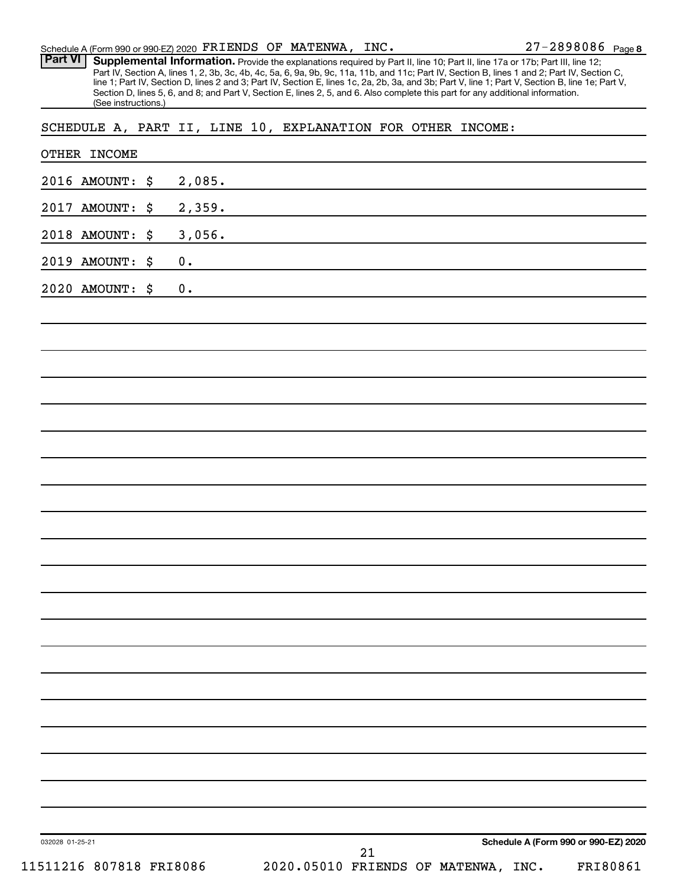Part VI | Supplemental Information. Provide the explanations required by Part II, line 10; Part II, line 17a or 17b; Part III, line 12; Part IV, Section A, lines 1, 2, 3b, 3c, 4b, 4c, 5a, 6, 9a, 9b, 9c, 11a, 11b, and 11c; Part IV, Section B, lines 1 and 2; Part IV, Section C, line 1; Part IV, Section D, lines 2 and 3; Part IV, Section E, lines 1c, 2a, 2b, 3a, and 3b; Part V, line 1; Part V, Section B, line 1e; Part V, Section D, lines 5, 6, and 8; and Part V, Section E, lines 2, 5, and 6. Also complete this part for any additional information. (See instructions.)

SCHEDULE A, PART II, LINE 10, EXPLANATION FOR OTHER INCOME:

| OTHER INCOME            |    |               |                                     |    |  |                                      |          |
|-------------------------|----|---------------|-------------------------------------|----|--|--------------------------------------|----------|
| 2016 AMOUNT: \$         |    | 2,085.        |                                     |    |  |                                      |          |
| 2017 AMOUNT:            | \$ | 2,359.        |                                     |    |  |                                      |          |
| 2018 AMOUNT:            | \$ | 3,056.        |                                     |    |  |                                      |          |
| 2019 AMOUNT:            | \$ | $\mathbf 0$ . |                                     |    |  |                                      |          |
| 2020 AMOUNT:            | \$ | $\mathbf 0$ . |                                     |    |  |                                      |          |
|                         |    |               |                                     |    |  |                                      |          |
|                         |    |               |                                     |    |  |                                      |          |
|                         |    |               |                                     |    |  |                                      |          |
|                         |    |               |                                     |    |  |                                      |          |
|                         |    |               |                                     |    |  |                                      |          |
|                         |    |               |                                     |    |  |                                      |          |
|                         |    |               |                                     |    |  |                                      |          |
|                         |    |               |                                     |    |  |                                      |          |
|                         |    |               |                                     |    |  |                                      |          |
|                         |    |               |                                     |    |  |                                      |          |
|                         |    |               |                                     |    |  |                                      |          |
|                         |    |               |                                     |    |  |                                      |          |
|                         |    |               |                                     |    |  |                                      |          |
|                         |    |               |                                     |    |  |                                      |          |
|                         |    |               |                                     |    |  |                                      |          |
|                         |    |               |                                     |    |  |                                      |          |
|                         |    |               |                                     |    |  |                                      |          |
|                         |    |               |                                     |    |  |                                      |          |
|                         |    |               |                                     |    |  |                                      |          |
|                         |    |               |                                     |    |  |                                      |          |
|                         |    |               |                                     |    |  |                                      |          |
| 032028 01-25-21         |    |               |                                     | 21 |  | Schedule A (Form 990 or 990-EZ) 2020 |          |
| 11511216 807818 FRI8086 |    |               | 2020.05010 FRIENDS OF MATENWA, INC. |    |  |                                      | FRI80861 |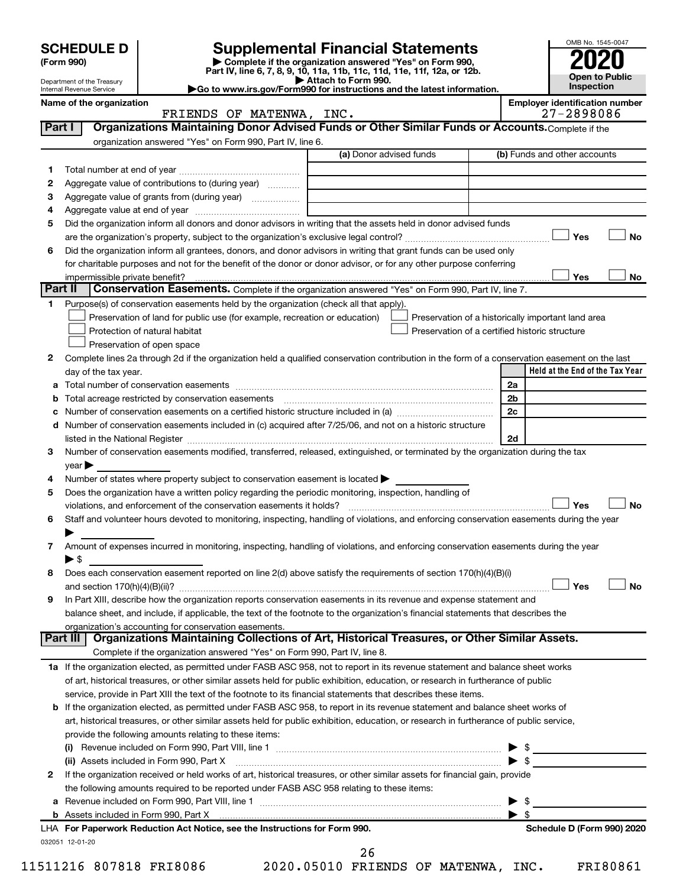| <b>Supplemental Financial Statements</b><br>Complete if the organization answered "Yes" on Form 990,<br>(Form 990)<br>Part IV, line 6, 7, 8, 9, 10, 11a, 11b, 11c, 11d, 11e, 11f, 12a, or 12b.<br><b>Open to Public</b><br>Attach to Form 990.<br>Department of the Treasury<br>Inspection<br>Go to www.irs.gov/Form990 for instructions and the latest information.<br>Internal Revenue Service<br>Name of the organization<br><b>Employer identification number</b><br>27-2898086<br>FRIENDS OF MATENWA, INC.<br>Organizations Maintaining Donor Advised Funds or Other Similar Funds or Accounts. Complete if the<br>Part I<br>organization answered "Yes" on Form 990, Part IV, line 6.<br>(a) Donor advised funds<br>(b) Funds and other accounts<br>1<br>2<br>Aggregate value of contributions to (during year)<br>3<br>4<br>Did the organization inform all donors and donor advisors in writing that the assets held in donor advised funds<br>5<br>Yes<br><b>No</b><br>Did the organization inform all grantees, donors, and donor advisors in writing that grant funds can be used only<br>6<br>for charitable purposes and not for the benefit of the donor or donor advisor, or for any other purpose conferring<br>Yes<br>No<br>impermissible private benefit?<br>Part II<br>Conservation Easements. Complete if the organization answered "Yes" on Form 990, Part IV, line 7.<br>Purpose(s) of conservation easements held by the organization (check all that apply).<br>1<br>Preservation of land for public use (for example, recreation or education)<br>Preservation of a historically important land area<br>Protection of natural habitat<br>Preservation of a certified historic structure<br>Preservation of open space<br>2<br>Complete lines 2a through 2d if the organization held a qualified conservation contribution in the form of a conservation easement on the last<br>Held at the End of the Tax Year<br>day of the tax year.<br>2a<br>а<br>2 <sub>b</sub><br>b<br>2c<br>с<br>Number of conservation easements included in (c) acquired after 7/25/06, and not on a historic structure<br>d<br>2d<br>Number of conservation easements modified, transferred, released, extinguished, or terminated by the organization during the tax<br>3<br>year<br>Number of states where property subject to conservation easement is located $\blacktriangleright$<br>4<br>Does the organization have a written policy regarding the periodic monitoring, inspection, handling of<br>5<br>Yes<br><b>No</b><br>violations, and enforcement of the conservation easements it holds?<br>Staff and volunteer hours devoted to monitoring, inspecting, handling of violations, and enforcing conservation easements during the year<br>6<br>Amount of expenses incurred in monitoring, inspecting, handling of violations, and enforcing conservation easements during the year<br>7<br>$\blacktriangleright$ \$<br>Does each conservation easement reported on line 2(d) above satisfy the requirements of section 170(h)(4)(B)(i)<br>8<br>Yes<br><b>No</b><br>In Part XIII, describe how the organization reports conservation easements in its revenue and expense statement and<br>9<br>balance sheet, and include, if applicable, the text of the footnote to the organization's financial statements that describes the<br>organization's accounting for conservation easements.<br>Organizations Maintaining Collections of Art, Historical Treasures, or Other Similar Assets.<br>Part III I<br>Complete if the organization answered "Yes" on Form 990, Part IV, line 8.<br>1a If the organization elected, as permitted under FASB ASC 958, not to report in its revenue statement and balance sheet works<br>of art, historical treasures, or other similar assets held for public exhibition, education, or research in furtherance of public<br>service, provide in Part XIII the text of the footnote to its financial statements that describes these items.<br><b>b</b> If the organization elected, as permitted under FASB ASC 958, to report in its revenue statement and balance sheet works of<br>art, historical treasures, or other similar assets held for public exhibition, education, or research in furtherance of public service,<br>provide the following amounts relating to these items:<br>$\triangleright$ \$<br>(ii) Assets included in Form 990, Part X [11] [2000] [2010] Assets included in Form 990, Part X [11] [11] [200<br>If the organization received or held works of art, historical treasures, or other similar assets for financial gain, provide<br>2<br>the following amounts required to be reported under FASB ASC 958 relating to these items:<br>- \$<br>а<br>$\blacktriangleright$ s<br>LHA For Paperwork Reduction Act Notice, see the Instructions for Form 990.<br>Schedule D (Form 990) 2020<br>032051 12-01-20 | <b>SCHEDULE D</b> |  |  |  | OMB No. 1545-0047 |  |
|-----------------------------------------------------------------------------------------------------------------------------------------------------------------------------------------------------------------------------------------------------------------------------------------------------------------------------------------------------------------------------------------------------------------------------------------------------------------------------------------------------------------------------------------------------------------------------------------------------------------------------------------------------------------------------------------------------------------------------------------------------------------------------------------------------------------------------------------------------------------------------------------------------------------------------------------------------------------------------------------------------------------------------------------------------------------------------------------------------------------------------------------------------------------------------------------------------------------------------------------------------------------------------------------------------------------------------------------------------------------------------------------------------------------------------------------------------------------------------------------------------------------------------------------------------------------------------------------------------------------------------------------------------------------------------------------------------------------------------------------------------------------------------------------------------------------------------------------------------------------------------------------------------------------------------------------------------------------------------------------------------------------------------------------------------------------------------------------------------------------------------------------------------------------------------------------------------------------------------------------------------------------------------------------------------------------------------------------------------------------------------------------------------------------------------------------------------------------------------------------------------------------------------------------------------------------------------------------------------------------------------------------------------------------------------------------------------------------------------------------------------------------------------------------------------------------------------------------------------------------------------------------------------------------------------------------------------------------------------------------------------------------------------------------------------------------------------------------------------------------------------------------------------------------------------------------------------------------------------------------------------------------------------------------------------------------------------------------------------------------------------------------------------------------------------------------------------------------------------------------------------------------------------------------------------------------------------------------------------------------------------------------------------------------------------------------------------------------------------------------------------------------------------------------------------------------------------------------------------------------------------------------------------------------------------------------------------------------------------------------------------------------------------------------------------------------------------------------------------------------------------------------------------------------------------------------------------------------------------------------------------------------------------------------------------------------------------------------------------------------------------------------------------------------------------------------------------------------------------------------------------------------------------------------------------------------------------------------------------------------------------------------------------------------------------------------------------------------------------------------------------------------------------------------------------------------------------------------------------------------------------------------------|-------------------|--|--|--|-------------------|--|
|                                                                                                                                                                                                                                                                                                                                                                                                                                                                                                                                                                                                                                                                                                                                                                                                                                                                                                                                                                                                                                                                                                                                                                                                                                                                                                                                                                                                                                                                                                                                                                                                                                                                                                                                                                                                                                                                                                                                                                                                                                                                                                                                                                                                                                                                                                                                                                                                                                                                                                                                                                                                                                                                                                                                                                                                                                                                                                                                                                                                                                                                                                                                                                                                                                                                                                                                                                                                                                                                                                                                                                                                                                                                                                                                                                                                                                                                                                                                                                                                                                                                                                                                                                                                                                                                                                                                                                                                                                                                                                                                                                                                                                                                                                                                                                                                                                                                                               |                   |  |  |  |                   |  |
|                                                                                                                                                                                                                                                                                                                                                                                                                                                                                                                                                                                                                                                                                                                                                                                                                                                                                                                                                                                                                                                                                                                                                                                                                                                                                                                                                                                                                                                                                                                                                                                                                                                                                                                                                                                                                                                                                                                                                                                                                                                                                                                                                                                                                                                                                                                                                                                                                                                                                                                                                                                                                                                                                                                                                                                                                                                                                                                                                                                                                                                                                                                                                                                                                                                                                                                                                                                                                                                                                                                                                                                                                                                                                                                                                                                                                                                                                                                                                                                                                                                                                                                                                                                                                                                                                                                                                                                                                                                                                                                                                                                                                                                                                                                                                                                                                                                                                               |                   |  |  |  |                   |  |
|                                                                                                                                                                                                                                                                                                                                                                                                                                                                                                                                                                                                                                                                                                                                                                                                                                                                                                                                                                                                                                                                                                                                                                                                                                                                                                                                                                                                                                                                                                                                                                                                                                                                                                                                                                                                                                                                                                                                                                                                                                                                                                                                                                                                                                                                                                                                                                                                                                                                                                                                                                                                                                                                                                                                                                                                                                                                                                                                                                                                                                                                                                                                                                                                                                                                                                                                                                                                                                                                                                                                                                                                                                                                                                                                                                                                                                                                                                                                                                                                                                                                                                                                                                                                                                                                                                                                                                                                                                                                                                                                                                                                                                                                                                                                                                                                                                                                                               |                   |  |  |  |                   |  |
|                                                                                                                                                                                                                                                                                                                                                                                                                                                                                                                                                                                                                                                                                                                                                                                                                                                                                                                                                                                                                                                                                                                                                                                                                                                                                                                                                                                                                                                                                                                                                                                                                                                                                                                                                                                                                                                                                                                                                                                                                                                                                                                                                                                                                                                                                                                                                                                                                                                                                                                                                                                                                                                                                                                                                                                                                                                                                                                                                                                                                                                                                                                                                                                                                                                                                                                                                                                                                                                                                                                                                                                                                                                                                                                                                                                                                                                                                                                                                                                                                                                                                                                                                                                                                                                                                                                                                                                                                                                                                                                                                                                                                                                                                                                                                                                                                                                                                               |                   |  |  |  |                   |  |
|                                                                                                                                                                                                                                                                                                                                                                                                                                                                                                                                                                                                                                                                                                                                                                                                                                                                                                                                                                                                                                                                                                                                                                                                                                                                                                                                                                                                                                                                                                                                                                                                                                                                                                                                                                                                                                                                                                                                                                                                                                                                                                                                                                                                                                                                                                                                                                                                                                                                                                                                                                                                                                                                                                                                                                                                                                                                                                                                                                                                                                                                                                                                                                                                                                                                                                                                                                                                                                                                                                                                                                                                                                                                                                                                                                                                                                                                                                                                                                                                                                                                                                                                                                                                                                                                                                                                                                                                                                                                                                                                                                                                                                                                                                                                                                                                                                                                                               |                   |  |  |  |                   |  |
|                                                                                                                                                                                                                                                                                                                                                                                                                                                                                                                                                                                                                                                                                                                                                                                                                                                                                                                                                                                                                                                                                                                                                                                                                                                                                                                                                                                                                                                                                                                                                                                                                                                                                                                                                                                                                                                                                                                                                                                                                                                                                                                                                                                                                                                                                                                                                                                                                                                                                                                                                                                                                                                                                                                                                                                                                                                                                                                                                                                                                                                                                                                                                                                                                                                                                                                                                                                                                                                                                                                                                                                                                                                                                                                                                                                                                                                                                                                                                                                                                                                                                                                                                                                                                                                                                                                                                                                                                                                                                                                                                                                                                                                                                                                                                                                                                                                                                               |                   |  |  |  |                   |  |
|                                                                                                                                                                                                                                                                                                                                                                                                                                                                                                                                                                                                                                                                                                                                                                                                                                                                                                                                                                                                                                                                                                                                                                                                                                                                                                                                                                                                                                                                                                                                                                                                                                                                                                                                                                                                                                                                                                                                                                                                                                                                                                                                                                                                                                                                                                                                                                                                                                                                                                                                                                                                                                                                                                                                                                                                                                                                                                                                                                                                                                                                                                                                                                                                                                                                                                                                                                                                                                                                                                                                                                                                                                                                                                                                                                                                                                                                                                                                                                                                                                                                                                                                                                                                                                                                                                                                                                                                                                                                                                                                                                                                                                                                                                                                                                                                                                                                                               |                   |  |  |  |                   |  |
|                                                                                                                                                                                                                                                                                                                                                                                                                                                                                                                                                                                                                                                                                                                                                                                                                                                                                                                                                                                                                                                                                                                                                                                                                                                                                                                                                                                                                                                                                                                                                                                                                                                                                                                                                                                                                                                                                                                                                                                                                                                                                                                                                                                                                                                                                                                                                                                                                                                                                                                                                                                                                                                                                                                                                                                                                                                                                                                                                                                                                                                                                                                                                                                                                                                                                                                                                                                                                                                                                                                                                                                                                                                                                                                                                                                                                                                                                                                                                                                                                                                                                                                                                                                                                                                                                                                                                                                                                                                                                                                                                                                                                                                                                                                                                                                                                                                                                               |                   |  |  |  |                   |  |
|                                                                                                                                                                                                                                                                                                                                                                                                                                                                                                                                                                                                                                                                                                                                                                                                                                                                                                                                                                                                                                                                                                                                                                                                                                                                                                                                                                                                                                                                                                                                                                                                                                                                                                                                                                                                                                                                                                                                                                                                                                                                                                                                                                                                                                                                                                                                                                                                                                                                                                                                                                                                                                                                                                                                                                                                                                                                                                                                                                                                                                                                                                                                                                                                                                                                                                                                                                                                                                                                                                                                                                                                                                                                                                                                                                                                                                                                                                                                                                                                                                                                                                                                                                                                                                                                                                                                                                                                                                                                                                                                                                                                                                                                                                                                                                                                                                                                                               |                   |  |  |  |                   |  |
|                                                                                                                                                                                                                                                                                                                                                                                                                                                                                                                                                                                                                                                                                                                                                                                                                                                                                                                                                                                                                                                                                                                                                                                                                                                                                                                                                                                                                                                                                                                                                                                                                                                                                                                                                                                                                                                                                                                                                                                                                                                                                                                                                                                                                                                                                                                                                                                                                                                                                                                                                                                                                                                                                                                                                                                                                                                                                                                                                                                                                                                                                                                                                                                                                                                                                                                                                                                                                                                                                                                                                                                                                                                                                                                                                                                                                                                                                                                                                                                                                                                                                                                                                                                                                                                                                                                                                                                                                                                                                                                                                                                                                                                                                                                                                                                                                                                                                               |                   |  |  |  |                   |  |
|                                                                                                                                                                                                                                                                                                                                                                                                                                                                                                                                                                                                                                                                                                                                                                                                                                                                                                                                                                                                                                                                                                                                                                                                                                                                                                                                                                                                                                                                                                                                                                                                                                                                                                                                                                                                                                                                                                                                                                                                                                                                                                                                                                                                                                                                                                                                                                                                                                                                                                                                                                                                                                                                                                                                                                                                                                                                                                                                                                                                                                                                                                                                                                                                                                                                                                                                                                                                                                                                                                                                                                                                                                                                                                                                                                                                                                                                                                                                                                                                                                                                                                                                                                                                                                                                                                                                                                                                                                                                                                                                                                                                                                                                                                                                                                                                                                                                                               |                   |  |  |  |                   |  |
|                                                                                                                                                                                                                                                                                                                                                                                                                                                                                                                                                                                                                                                                                                                                                                                                                                                                                                                                                                                                                                                                                                                                                                                                                                                                                                                                                                                                                                                                                                                                                                                                                                                                                                                                                                                                                                                                                                                                                                                                                                                                                                                                                                                                                                                                                                                                                                                                                                                                                                                                                                                                                                                                                                                                                                                                                                                                                                                                                                                                                                                                                                                                                                                                                                                                                                                                                                                                                                                                                                                                                                                                                                                                                                                                                                                                                                                                                                                                                                                                                                                                                                                                                                                                                                                                                                                                                                                                                                                                                                                                                                                                                                                                                                                                                                                                                                                                                               |                   |  |  |  |                   |  |
|                                                                                                                                                                                                                                                                                                                                                                                                                                                                                                                                                                                                                                                                                                                                                                                                                                                                                                                                                                                                                                                                                                                                                                                                                                                                                                                                                                                                                                                                                                                                                                                                                                                                                                                                                                                                                                                                                                                                                                                                                                                                                                                                                                                                                                                                                                                                                                                                                                                                                                                                                                                                                                                                                                                                                                                                                                                                                                                                                                                                                                                                                                                                                                                                                                                                                                                                                                                                                                                                                                                                                                                                                                                                                                                                                                                                                                                                                                                                                                                                                                                                                                                                                                                                                                                                                                                                                                                                                                                                                                                                                                                                                                                                                                                                                                                                                                                                                               |                   |  |  |  |                   |  |
|                                                                                                                                                                                                                                                                                                                                                                                                                                                                                                                                                                                                                                                                                                                                                                                                                                                                                                                                                                                                                                                                                                                                                                                                                                                                                                                                                                                                                                                                                                                                                                                                                                                                                                                                                                                                                                                                                                                                                                                                                                                                                                                                                                                                                                                                                                                                                                                                                                                                                                                                                                                                                                                                                                                                                                                                                                                                                                                                                                                                                                                                                                                                                                                                                                                                                                                                                                                                                                                                                                                                                                                                                                                                                                                                                                                                                                                                                                                                                                                                                                                                                                                                                                                                                                                                                                                                                                                                                                                                                                                                                                                                                                                                                                                                                                                                                                                                                               |                   |  |  |  |                   |  |
|                                                                                                                                                                                                                                                                                                                                                                                                                                                                                                                                                                                                                                                                                                                                                                                                                                                                                                                                                                                                                                                                                                                                                                                                                                                                                                                                                                                                                                                                                                                                                                                                                                                                                                                                                                                                                                                                                                                                                                                                                                                                                                                                                                                                                                                                                                                                                                                                                                                                                                                                                                                                                                                                                                                                                                                                                                                                                                                                                                                                                                                                                                                                                                                                                                                                                                                                                                                                                                                                                                                                                                                                                                                                                                                                                                                                                                                                                                                                                                                                                                                                                                                                                                                                                                                                                                                                                                                                                                                                                                                                                                                                                                                                                                                                                                                                                                                                                               |                   |  |  |  |                   |  |
|                                                                                                                                                                                                                                                                                                                                                                                                                                                                                                                                                                                                                                                                                                                                                                                                                                                                                                                                                                                                                                                                                                                                                                                                                                                                                                                                                                                                                                                                                                                                                                                                                                                                                                                                                                                                                                                                                                                                                                                                                                                                                                                                                                                                                                                                                                                                                                                                                                                                                                                                                                                                                                                                                                                                                                                                                                                                                                                                                                                                                                                                                                                                                                                                                                                                                                                                                                                                                                                                                                                                                                                                                                                                                                                                                                                                                                                                                                                                                                                                                                                                                                                                                                                                                                                                                                                                                                                                                                                                                                                                                                                                                                                                                                                                                                                                                                                                                               |                   |  |  |  |                   |  |
|                                                                                                                                                                                                                                                                                                                                                                                                                                                                                                                                                                                                                                                                                                                                                                                                                                                                                                                                                                                                                                                                                                                                                                                                                                                                                                                                                                                                                                                                                                                                                                                                                                                                                                                                                                                                                                                                                                                                                                                                                                                                                                                                                                                                                                                                                                                                                                                                                                                                                                                                                                                                                                                                                                                                                                                                                                                                                                                                                                                                                                                                                                                                                                                                                                                                                                                                                                                                                                                                                                                                                                                                                                                                                                                                                                                                                                                                                                                                                                                                                                                                                                                                                                                                                                                                                                                                                                                                                                                                                                                                                                                                                                                                                                                                                                                                                                                                                               |                   |  |  |  |                   |  |
|                                                                                                                                                                                                                                                                                                                                                                                                                                                                                                                                                                                                                                                                                                                                                                                                                                                                                                                                                                                                                                                                                                                                                                                                                                                                                                                                                                                                                                                                                                                                                                                                                                                                                                                                                                                                                                                                                                                                                                                                                                                                                                                                                                                                                                                                                                                                                                                                                                                                                                                                                                                                                                                                                                                                                                                                                                                                                                                                                                                                                                                                                                                                                                                                                                                                                                                                                                                                                                                                                                                                                                                                                                                                                                                                                                                                                                                                                                                                                                                                                                                                                                                                                                                                                                                                                                                                                                                                                                                                                                                                                                                                                                                                                                                                                                                                                                                                                               |                   |  |  |  |                   |  |
|                                                                                                                                                                                                                                                                                                                                                                                                                                                                                                                                                                                                                                                                                                                                                                                                                                                                                                                                                                                                                                                                                                                                                                                                                                                                                                                                                                                                                                                                                                                                                                                                                                                                                                                                                                                                                                                                                                                                                                                                                                                                                                                                                                                                                                                                                                                                                                                                                                                                                                                                                                                                                                                                                                                                                                                                                                                                                                                                                                                                                                                                                                                                                                                                                                                                                                                                                                                                                                                                                                                                                                                                                                                                                                                                                                                                                                                                                                                                                                                                                                                                                                                                                                                                                                                                                                                                                                                                                                                                                                                                                                                                                                                                                                                                                                                                                                                                                               |                   |  |  |  |                   |  |
|                                                                                                                                                                                                                                                                                                                                                                                                                                                                                                                                                                                                                                                                                                                                                                                                                                                                                                                                                                                                                                                                                                                                                                                                                                                                                                                                                                                                                                                                                                                                                                                                                                                                                                                                                                                                                                                                                                                                                                                                                                                                                                                                                                                                                                                                                                                                                                                                                                                                                                                                                                                                                                                                                                                                                                                                                                                                                                                                                                                                                                                                                                                                                                                                                                                                                                                                                                                                                                                                                                                                                                                                                                                                                                                                                                                                                                                                                                                                                                                                                                                                                                                                                                                                                                                                                                                                                                                                                                                                                                                                                                                                                                                                                                                                                                                                                                                                                               |                   |  |  |  |                   |  |
|                                                                                                                                                                                                                                                                                                                                                                                                                                                                                                                                                                                                                                                                                                                                                                                                                                                                                                                                                                                                                                                                                                                                                                                                                                                                                                                                                                                                                                                                                                                                                                                                                                                                                                                                                                                                                                                                                                                                                                                                                                                                                                                                                                                                                                                                                                                                                                                                                                                                                                                                                                                                                                                                                                                                                                                                                                                                                                                                                                                                                                                                                                                                                                                                                                                                                                                                                                                                                                                                                                                                                                                                                                                                                                                                                                                                                                                                                                                                                                                                                                                                                                                                                                                                                                                                                                                                                                                                                                                                                                                                                                                                                                                                                                                                                                                                                                                                                               |                   |  |  |  |                   |  |
|                                                                                                                                                                                                                                                                                                                                                                                                                                                                                                                                                                                                                                                                                                                                                                                                                                                                                                                                                                                                                                                                                                                                                                                                                                                                                                                                                                                                                                                                                                                                                                                                                                                                                                                                                                                                                                                                                                                                                                                                                                                                                                                                                                                                                                                                                                                                                                                                                                                                                                                                                                                                                                                                                                                                                                                                                                                                                                                                                                                                                                                                                                                                                                                                                                                                                                                                                                                                                                                                                                                                                                                                                                                                                                                                                                                                                                                                                                                                                                                                                                                                                                                                                                                                                                                                                                                                                                                                                                                                                                                                                                                                                                                                                                                                                                                                                                                                                               |                   |  |  |  |                   |  |
|                                                                                                                                                                                                                                                                                                                                                                                                                                                                                                                                                                                                                                                                                                                                                                                                                                                                                                                                                                                                                                                                                                                                                                                                                                                                                                                                                                                                                                                                                                                                                                                                                                                                                                                                                                                                                                                                                                                                                                                                                                                                                                                                                                                                                                                                                                                                                                                                                                                                                                                                                                                                                                                                                                                                                                                                                                                                                                                                                                                                                                                                                                                                                                                                                                                                                                                                                                                                                                                                                                                                                                                                                                                                                                                                                                                                                                                                                                                                                                                                                                                                                                                                                                                                                                                                                                                                                                                                                                                                                                                                                                                                                                                                                                                                                                                                                                                                                               |                   |  |  |  |                   |  |
|                                                                                                                                                                                                                                                                                                                                                                                                                                                                                                                                                                                                                                                                                                                                                                                                                                                                                                                                                                                                                                                                                                                                                                                                                                                                                                                                                                                                                                                                                                                                                                                                                                                                                                                                                                                                                                                                                                                                                                                                                                                                                                                                                                                                                                                                                                                                                                                                                                                                                                                                                                                                                                                                                                                                                                                                                                                                                                                                                                                                                                                                                                                                                                                                                                                                                                                                                                                                                                                                                                                                                                                                                                                                                                                                                                                                                                                                                                                                                                                                                                                                                                                                                                                                                                                                                                                                                                                                                                                                                                                                                                                                                                                                                                                                                                                                                                                                                               |                   |  |  |  |                   |  |
|                                                                                                                                                                                                                                                                                                                                                                                                                                                                                                                                                                                                                                                                                                                                                                                                                                                                                                                                                                                                                                                                                                                                                                                                                                                                                                                                                                                                                                                                                                                                                                                                                                                                                                                                                                                                                                                                                                                                                                                                                                                                                                                                                                                                                                                                                                                                                                                                                                                                                                                                                                                                                                                                                                                                                                                                                                                                                                                                                                                                                                                                                                                                                                                                                                                                                                                                                                                                                                                                                                                                                                                                                                                                                                                                                                                                                                                                                                                                                                                                                                                                                                                                                                                                                                                                                                                                                                                                                                                                                                                                                                                                                                                                                                                                                                                                                                                                                               |                   |  |  |  |                   |  |
|                                                                                                                                                                                                                                                                                                                                                                                                                                                                                                                                                                                                                                                                                                                                                                                                                                                                                                                                                                                                                                                                                                                                                                                                                                                                                                                                                                                                                                                                                                                                                                                                                                                                                                                                                                                                                                                                                                                                                                                                                                                                                                                                                                                                                                                                                                                                                                                                                                                                                                                                                                                                                                                                                                                                                                                                                                                                                                                                                                                                                                                                                                                                                                                                                                                                                                                                                                                                                                                                                                                                                                                                                                                                                                                                                                                                                                                                                                                                                                                                                                                                                                                                                                                                                                                                                                                                                                                                                                                                                                                                                                                                                                                                                                                                                                                                                                                                                               |                   |  |  |  |                   |  |
|                                                                                                                                                                                                                                                                                                                                                                                                                                                                                                                                                                                                                                                                                                                                                                                                                                                                                                                                                                                                                                                                                                                                                                                                                                                                                                                                                                                                                                                                                                                                                                                                                                                                                                                                                                                                                                                                                                                                                                                                                                                                                                                                                                                                                                                                                                                                                                                                                                                                                                                                                                                                                                                                                                                                                                                                                                                                                                                                                                                                                                                                                                                                                                                                                                                                                                                                                                                                                                                                                                                                                                                                                                                                                                                                                                                                                                                                                                                                                                                                                                                                                                                                                                                                                                                                                                                                                                                                                                                                                                                                                                                                                                                                                                                                                                                                                                                                                               |                   |  |  |  |                   |  |
|                                                                                                                                                                                                                                                                                                                                                                                                                                                                                                                                                                                                                                                                                                                                                                                                                                                                                                                                                                                                                                                                                                                                                                                                                                                                                                                                                                                                                                                                                                                                                                                                                                                                                                                                                                                                                                                                                                                                                                                                                                                                                                                                                                                                                                                                                                                                                                                                                                                                                                                                                                                                                                                                                                                                                                                                                                                                                                                                                                                                                                                                                                                                                                                                                                                                                                                                                                                                                                                                                                                                                                                                                                                                                                                                                                                                                                                                                                                                                                                                                                                                                                                                                                                                                                                                                                                                                                                                                                                                                                                                                                                                                                                                                                                                                                                                                                                                                               |                   |  |  |  |                   |  |
|                                                                                                                                                                                                                                                                                                                                                                                                                                                                                                                                                                                                                                                                                                                                                                                                                                                                                                                                                                                                                                                                                                                                                                                                                                                                                                                                                                                                                                                                                                                                                                                                                                                                                                                                                                                                                                                                                                                                                                                                                                                                                                                                                                                                                                                                                                                                                                                                                                                                                                                                                                                                                                                                                                                                                                                                                                                                                                                                                                                                                                                                                                                                                                                                                                                                                                                                                                                                                                                                                                                                                                                                                                                                                                                                                                                                                                                                                                                                                                                                                                                                                                                                                                                                                                                                                                                                                                                                                                                                                                                                                                                                                                                                                                                                                                                                                                                                                               |                   |  |  |  |                   |  |
|                                                                                                                                                                                                                                                                                                                                                                                                                                                                                                                                                                                                                                                                                                                                                                                                                                                                                                                                                                                                                                                                                                                                                                                                                                                                                                                                                                                                                                                                                                                                                                                                                                                                                                                                                                                                                                                                                                                                                                                                                                                                                                                                                                                                                                                                                                                                                                                                                                                                                                                                                                                                                                                                                                                                                                                                                                                                                                                                                                                                                                                                                                                                                                                                                                                                                                                                                                                                                                                                                                                                                                                                                                                                                                                                                                                                                                                                                                                                                                                                                                                                                                                                                                                                                                                                                                                                                                                                                                                                                                                                                                                                                                                                                                                                                                                                                                                                                               |                   |  |  |  |                   |  |
|                                                                                                                                                                                                                                                                                                                                                                                                                                                                                                                                                                                                                                                                                                                                                                                                                                                                                                                                                                                                                                                                                                                                                                                                                                                                                                                                                                                                                                                                                                                                                                                                                                                                                                                                                                                                                                                                                                                                                                                                                                                                                                                                                                                                                                                                                                                                                                                                                                                                                                                                                                                                                                                                                                                                                                                                                                                                                                                                                                                                                                                                                                                                                                                                                                                                                                                                                                                                                                                                                                                                                                                                                                                                                                                                                                                                                                                                                                                                                                                                                                                                                                                                                                                                                                                                                                                                                                                                                                                                                                                                                                                                                                                                                                                                                                                                                                                                                               |                   |  |  |  |                   |  |
|                                                                                                                                                                                                                                                                                                                                                                                                                                                                                                                                                                                                                                                                                                                                                                                                                                                                                                                                                                                                                                                                                                                                                                                                                                                                                                                                                                                                                                                                                                                                                                                                                                                                                                                                                                                                                                                                                                                                                                                                                                                                                                                                                                                                                                                                                                                                                                                                                                                                                                                                                                                                                                                                                                                                                                                                                                                                                                                                                                                                                                                                                                                                                                                                                                                                                                                                                                                                                                                                                                                                                                                                                                                                                                                                                                                                                                                                                                                                                                                                                                                                                                                                                                                                                                                                                                                                                                                                                                                                                                                                                                                                                                                                                                                                                                                                                                                                                               |                   |  |  |  |                   |  |
|                                                                                                                                                                                                                                                                                                                                                                                                                                                                                                                                                                                                                                                                                                                                                                                                                                                                                                                                                                                                                                                                                                                                                                                                                                                                                                                                                                                                                                                                                                                                                                                                                                                                                                                                                                                                                                                                                                                                                                                                                                                                                                                                                                                                                                                                                                                                                                                                                                                                                                                                                                                                                                                                                                                                                                                                                                                                                                                                                                                                                                                                                                                                                                                                                                                                                                                                                                                                                                                                                                                                                                                                                                                                                                                                                                                                                                                                                                                                                                                                                                                                                                                                                                                                                                                                                                                                                                                                                                                                                                                                                                                                                                                                                                                                                                                                                                                                                               |                   |  |  |  |                   |  |
|                                                                                                                                                                                                                                                                                                                                                                                                                                                                                                                                                                                                                                                                                                                                                                                                                                                                                                                                                                                                                                                                                                                                                                                                                                                                                                                                                                                                                                                                                                                                                                                                                                                                                                                                                                                                                                                                                                                                                                                                                                                                                                                                                                                                                                                                                                                                                                                                                                                                                                                                                                                                                                                                                                                                                                                                                                                                                                                                                                                                                                                                                                                                                                                                                                                                                                                                                                                                                                                                                                                                                                                                                                                                                                                                                                                                                                                                                                                                                                                                                                                                                                                                                                                                                                                                                                                                                                                                                                                                                                                                                                                                                                                                                                                                                                                                                                                                                               |                   |  |  |  |                   |  |
|                                                                                                                                                                                                                                                                                                                                                                                                                                                                                                                                                                                                                                                                                                                                                                                                                                                                                                                                                                                                                                                                                                                                                                                                                                                                                                                                                                                                                                                                                                                                                                                                                                                                                                                                                                                                                                                                                                                                                                                                                                                                                                                                                                                                                                                                                                                                                                                                                                                                                                                                                                                                                                                                                                                                                                                                                                                                                                                                                                                                                                                                                                                                                                                                                                                                                                                                                                                                                                                                                                                                                                                                                                                                                                                                                                                                                                                                                                                                                                                                                                                                                                                                                                                                                                                                                                                                                                                                                                                                                                                                                                                                                                                                                                                                                                                                                                                                                               |                   |  |  |  |                   |  |
|                                                                                                                                                                                                                                                                                                                                                                                                                                                                                                                                                                                                                                                                                                                                                                                                                                                                                                                                                                                                                                                                                                                                                                                                                                                                                                                                                                                                                                                                                                                                                                                                                                                                                                                                                                                                                                                                                                                                                                                                                                                                                                                                                                                                                                                                                                                                                                                                                                                                                                                                                                                                                                                                                                                                                                                                                                                                                                                                                                                                                                                                                                                                                                                                                                                                                                                                                                                                                                                                                                                                                                                                                                                                                                                                                                                                                                                                                                                                                                                                                                                                                                                                                                                                                                                                                                                                                                                                                                                                                                                                                                                                                                                                                                                                                                                                                                                                                               |                   |  |  |  |                   |  |
|                                                                                                                                                                                                                                                                                                                                                                                                                                                                                                                                                                                                                                                                                                                                                                                                                                                                                                                                                                                                                                                                                                                                                                                                                                                                                                                                                                                                                                                                                                                                                                                                                                                                                                                                                                                                                                                                                                                                                                                                                                                                                                                                                                                                                                                                                                                                                                                                                                                                                                                                                                                                                                                                                                                                                                                                                                                                                                                                                                                                                                                                                                                                                                                                                                                                                                                                                                                                                                                                                                                                                                                                                                                                                                                                                                                                                                                                                                                                                                                                                                                                                                                                                                                                                                                                                                                                                                                                                                                                                                                                                                                                                                                                                                                                                                                                                                                                                               |                   |  |  |  |                   |  |
|                                                                                                                                                                                                                                                                                                                                                                                                                                                                                                                                                                                                                                                                                                                                                                                                                                                                                                                                                                                                                                                                                                                                                                                                                                                                                                                                                                                                                                                                                                                                                                                                                                                                                                                                                                                                                                                                                                                                                                                                                                                                                                                                                                                                                                                                                                                                                                                                                                                                                                                                                                                                                                                                                                                                                                                                                                                                                                                                                                                                                                                                                                                                                                                                                                                                                                                                                                                                                                                                                                                                                                                                                                                                                                                                                                                                                                                                                                                                                                                                                                                                                                                                                                                                                                                                                                                                                                                                                                                                                                                                                                                                                                                                                                                                                                                                                                                                                               |                   |  |  |  |                   |  |
|                                                                                                                                                                                                                                                                                                                                                                                                                                                                                                                                                                                                                                                                                                                                                                                                                                                                                                                                                                                                                                                                                                                                                                                                                                                                                                                                                                                                                                                                                                                                                                                                                                                                                                                                                                                                                                                                                                                                                                                                                                                                                                                                                                                                                                                                                                                                                                                                                                                                                                                                                                                                                                                                                                                                                                                                                                                                                                                                                                                                                                                                                                                                                                                                                                                                                                                                                                                                                                                                                                                                                                                                                                                                                                                                                                                                                                                                                                                                                                                                                                                                                                                                                                                                                                                                                                                                                                                                                                                                                                                                                                                                                                                                                                                                                                                                                                                                                               |                   |  |  |  |                   |  |
|                                                                                                                                                                                                                                                                                                                                                                                                                                                                                                                                                                                                                                                                                                                                                                                                                                                                                                                                                                                                                                                                                                                                                                                                                                                                                                                                                                                                                                                                                                                                                                                                                                                                                                                                                                                                                                                                                                                                                                                                                                                                                                                                                                                                                                                                                                                                                                                                                                                                                                                                                                                                                                                                                                                                                                                                                                                                                                                                                                                                                                                                                                                                                                                                                                                                                                                                                                                                                                                                                                                                                                                                                                                                                                                                                                                                                                                                                                                                                                                                                                                                                                                                                                                                                                                                                                                                                                                                                                                                                                                                                                                                                                                                                                                                                                                                                                                                                               |                   |  |  |  |                   |  |
|                                                                                                                                                                                                                                                                                                                                                                                                                                                                                                                                                                                                                                                                                                                                                                                                                                                                                                                                                                                                                                                                                                                                                                                                                                                                                                                                                                                                                                                                                                                                                                                                                                                                                                                                                                                                                                                                                                                                                                                                                                                                                                                                                                                                                                                                                                                                                                                                                                                                                                                                                                                                                                                                                                                                                                                                                                                                                                                                                                                                                                                                                                                                                                                                                                                                                                                                                                                                                                                                                                                                                                                                                                                                                                                                                                                                                                                                                                                                                                                                                                                                                                                                                                                                                                                                                                                                                                                                                                                                                                                                                                                                                                                                                                                                                                                                                                                                                               |                   |  |  |  |                   |  |
|                                                                                                                                                                                                                                                                                                                                                                                                                                                                                                                                                                                                                                                                                                                                                                                                                                                                                                                                                                                                                                                                                                                                                                                                                                                                                                                                                                                                                                                                                                                                                                                                                                                                                                                                                                                                                                                                                                                                                                                                                                                                                                                                                                                                                                                                                                                                                                                                                                                                                                                                                                                                                                                                                                                                                                                                                                                                                                                                                                                                                                                                                                                                                                                                                                                                                                                                                                                                                                                                                                                                                                                                                                                                                                                                                                                                                                                                                                                                                                                                                                                                                                                                                                                                                                                                                                                                                                                                                                                                                                                                                                                                                                                                                                                                                                                                                                                                                               |                   |  |  |  |                   |  |
|                                                                                                                                                                                                                                                                                                                                                                                                                                                                                                                                                                                                                                                                                                                                                                                                                                                                                                                                                                                                                                                                                                                                                                                                                                                                                                                                                                                                                                                                                                                                                                                                                                                                                                                                                                                                                                                                                                                                                                                                                                                                                                                                                                                                                                                                                                                                                                                                                                                                                                                                                                                                                                                                                                                                                                                                                                                                                                                                                                                                                                                                                                                                                                                                                                                                                                                                                                                                                                                                                                                                                                                                                                                                                                                                                                                                                                                                                                                                                                                                                                                                                                                                                                                                                                                                                                                                                                                                                                                                                                                                                                                                                                                                                                                                                                                                                                                                                               |                   |  |  |  |                   |  |
|                                                                                                                                                                                                                                                                                                                                                                                                                                                                                                                                                                                                                                                                                                                                                                                                                                                                                                                                                                                                                                                                                                                                                                                                                                                                                                                                                                                                                                                                                                                                                                                                                                                                                                                                                                                                                                                                                                                                                                                                                                                                                                                                                                                                                                                                                                                                                                                                                                                                                                                                                                                                                                                                                                                                                                                                                                                                                                                                                                                                                                                                                                                                                                                                                                                                                                                                                                                                                                                                                                                                                                                                                                                                                                                                                                                                                                                                                                                                                                                                                                                                                                                                                                                                                                                                                                                                                                                                                                                                                                                                                                                                                                                                                                                                                                                                                                                                                               |                   |  |  |  |                   |  |
|                                                                                                                                                                                                                                                                                                                                                                                                                                                                                                                                                                                                                                                                                                                                                                                                                                                                                                                                                                                                                                                                                                                                                                                                                                                                                                                                                                                                                                                                                                                                                                                                                                                                                                                                                                                                                                                                                                                                                                                                                                                                                                                                                                                                                                                                                                                                                                                                                                                                                                                                                                                                                                                                                                                                                                                                                                                                                                                                                                                                                                                                                                                                                                                                                                                                                                                                                                                                                                                                                                                                                                                                                                                                                                                                                                                                                                                                                                                                                                                                                                                                                                                                                                                                                                                                                                                                                                                                                                                                                                                                                                                                                                                                                                                                                                                                                                                                                               |                   |  |  |  |                   |  |
|                                                                                                                                                                                                                                                                                                                                                                                                                                                                                                                                                                                                                                                                                                                                                                                                                                                                                                                                                                                                                                                                                                                                                                                                                                                                                                                                                                                                                                                                                                                                                                                                                                                                                                                                                                                                                                                                                                                                                                                                                                                                                                                                                                                                                                                                                                                                                                                                                                                                                                                                                                                                                                                                                                                                                                                                                                                                                                                                                                                                                                                                                                                                                                                                                                                                                                                                                                                                                                                                                                                                                                                                                                                                                                                                                                                                                                                                                                                                                                                                                                                                                                                                                                                                                                                                                                                                                                                                                                                                                                                                                                                                                                                                                                                                                                                                                                                                                               |                   |  |  |  |                   |  |
|                                                                                                                                                                                                                                                                                                                                                                                                                                                                                                                                                                                                                                                                                                                                                                                                                                                                                                                                                                                                                                                                                                                                                                                                                                                                                                                                                                                                                                                                                                                                                                                                                                                                                                                                                                                                                                                                                                                                                                                                                                                                                                                                                                                                                                                                                                                                                                                                                                                                                                                                                                                                                                                                                                                                                                                                                                                                                                                                                                                                                                                                                                                                                                                                                                                                                                                                                                                                                                                                                                                                                                                                                                                                                                                                                                                                                                                                                                                                                                                                                                                                                                                                                                                                                                                                                                                                                                                                                                                                                                                                                                                                                                                                                                                                                                                                                                                                                               |                   |  |  |  |                   |  |
|                                                                                                                                                                                                                                                                                                                                                                                                                                                                                                                                                                                                                                                                                                                                                                                                                                                                                                                                                                                                                                                                                                                                                                                                                                                                                                                                                                                                                                                                                                                                                                                                                                                                                                                                                                                                                                                                                                                                                                                                                                                                                                                                                                                                                                                                                                                                                                                                                                                                                                                                                                                                                                                                                                                                                                                                                                                                                                                                                                                                                                                                                                                                                                                                                                                                                                                                                                                                                                                                                                                                                                                                                                                                                                                                                                                                                                                                                                                                                                                                                                                                                                                                                                                                                                                                                                                                                                                                                                                                                                                                                                                                                                                                                                                                                                                                                                                                                               |                   |  |  |  |                   |  |
|                                                                                                                                                                                                                                                                                                                                                                                                                                                                                                                                                                                                                                                                                                                                                                                                                                                                                                                                                                                                                                                                                                                                                                                                                                                                                                                                                                                                                                                                                                                                                                                                                                                                                                                                                                                                                                                                                                                                                                                                                                                                                                                                                                                                                                                                                                                                                                                                                                                                                                                                                                                                                                                                                                                                                                                                                                                                                                                                                                                                                                                                                                                                                                                                                                                                                                                                                                                                                                                                                                                                                                                                                                                                                                                                                                                                                                                                                                                                                                                                                                                                                                                                                                                                                                                                                                                                                                                                                                                                                                                                                                                                                                                                                                                                                                                                                                                                                               |                   |  |  |  |                   |  |
|                                                                                                                                                                                                                                                                                                                                                                                                                                                                                                                                                                                                                                                                                                                                                                                                                                                                                                                                                                                                                                                                                                                                                                                                                                                                                                                                                                                                                                                                                                                                                                                                                                                                                                                                                                                                                                                                                                                                                                                                                                                                                                                                                                                                                                                                                                                                                                                                                                                                                                                                                                                                                                                                                                                                                                                                                                                                                                                                                                                                                                                                                                                                                                                                                                                                                                                                                                                                                                                                                                                                                                                                                                                                                                                                                                                                                                                                                                                                                                                                                                                                                                                                                                                                                                                                                                                                                                                                                                                                                                                                                                                                                                                                                                                                                                                                                                                                                               |                   |  |  |  |                   |  |
|                                                                                                                                                                                                                                                                                                                                                                                                                                                                                                                                                                                                                                                                                                                                                                                                                                                                                                                                                                                                                                                                                                                                                                                                                                                                                                                                                                                                                                                                                                                                                                                                                                                                                                                                                                                                                                                                                                                                                                                                                                                                                                                                                                                                                                                                                                                                                                                                                                                                                                                                                                                                                                                                                                                                                                                                                                                                                                                                                                                                                                                                                                                                                                                                                                                                                                                                                                                                                                                                                                                                                                                                                                                                                                                                                                                                                                                                                                                                                                                                                                                                                                                                                                                                                                                                                                                                                                                                                                                                                                                                                                                                                                                                                                                                                                                                                                                                                               |                   |  |  |  |                   |  |
|                                                                                                                                                                                                                                                                                                                                                                                                                                                                                                                                                                                                                                                                                                                                                                                                                                                                                                                                                                                                                                                                                                                                                                                                                                                                                                                                                                                                                                                                                                                                                                                                                                                                                                                                                                                                                                                                                                                                                                                                                                                                                                                                                                                                                                                                                                                                                                                                                                                                                                                                                                                                                                                                                                                                                                                                                                                                                                                                                                                                                                                                                                                                                                                                                                                                                                                                                                                                                                                                                                                                                                                                                                                                                                                                                                                                                                                                                                                                                                                                                                                                                                                                                                                                                                                                                                                                                                                                                                                                                                                                                                                                                                                                                                                                                                                                                                                                                               |                   |  |  |  |                   |  |
|                                                                                                                                                                                                                                                                                                                                                                                                                                                                                                                                                                                                                                                                                                                                                                                                                                                                                                                                                                                                                                                                                                                                                                                                                                                                                                                                                                                                                                                                                                                                                                                                                                                                                                                                                                                                                                                                                                                                                                                                                                                                                                                                                                                                                                                                                                                                                                                                                                                                                                                                                                                                                                                                                                                                                                                                                                                                                                                                                                                                                                                                                                                                                                                                                                                                                                                                                                                                                                                                                                                                                                                                                                                                                                                                                                                                                                                                                                                                                                                                                                                                                                                                                                                                                                                                                                                                                                                                                                                                                                                                                                                                                                                                                                                                                                                                                                                                                               |                   |  |  |  |                   |  |
|                                                                                                                                                                                                                                                                                                                                                                                                                                                                                                                                                                                                                                                                                                                                                                                                                                                                                                                                                                                                                                                                                                                                                                                                                                                                                                                                                                                                                                                                                                                                                                                                                                                                                                                                                                                                                                                                                                                                                                                                                                                                                                                                                                                                                                                                                                                                                                                                                                                                                                                                                                                                                                                                                                                                                                                                                                                                                                                                                                                                                                                                                                                                                                                                                                                                                                                                                                                                                                                                                                                                                                                                                                                                                                                                                                                                                                                                                                                                                                                                                                                                                                                                                                                                                                                                                                                                                                                                                                                                                                                                                                                                                                                                                                                                                                                                                                                                                               |                   |  |  |  |                   |  |
|                                                                                                                                                                                                                                                                                                                                                                                                                                                                                                                                                                                                                                                                                                                                                                                                                                                                                                                                                                                                                                                                                                                                                                                                                                                                                                                                                                                                                                                                                                                                                                                                                                                                                                                                                                                                                                                                                                                                                                                                                                                                                                                                                                                                                                                                                                                                                                                                                                                                                                                                                                                                                                                                                                                                                                                                                                                                                                                                                                                                                                                                                                                                                                                                                                                                                                                                                                                                                                                                                                                                                                                                                                                                                                                                                                                                                                                                                                                                                                                                                                                                                                                                                                                                                                                                                                                                                                                                                                                                                                                                                                                                                                                                                                                                                                                                                                                                                               |                   |  |  |  |                   |  |

26

11511216 807818 FRI8086 2020.05010 FRIENDS OF MATENWA, INC. FRI80861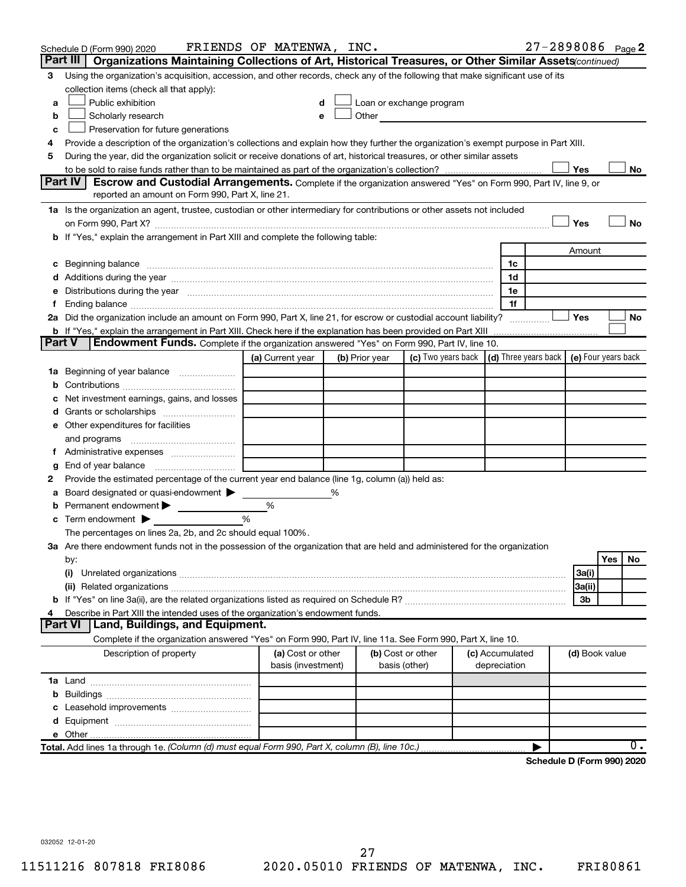|    | Schedule D (Form 990) 2020                                                                                                                                                                                                     | FRIENDS OF MATENWA, INC. |   |                |                          |                 | 27-2898086 Page 2                          |                |     |     |
|----|--------------------------------------------------------------------------------------------------------------------------------------------------------------------------------------------------------------------------------|--------------------------|---|----------------|--------------------------|-----------------|--------------------------------------------|----------------|-----|-----|
|    | Part III<br>Organizations Maintaining Collections of Art, Historical Treasures, or Other Similar Assets (continued)                                                                                                            |                          |   |                |                          |                 |                                            |                |     |     |
| 3  | Using the organization's acquisition, accession, and other records, check any of the following that make significant use of its                                                                                                |                          |   |                |                          |                 |                                            |                |     |     |
|    | collection items (check all that apply):                                                                                                                                                                                       |                          |   |                |                          |                 |                                            |                |     |     |
| a  | Public exhibition                                                                                                                                                                                                              |                          |   |                | Loan or exchange program |                 |                                            |                |     |     |
| b  | Scholarly research                                                                                                                                                                                                             | e                        |   | Other          |                          |                 |                                            |                |     |     |
| C  | Preservation for future generations                                                                                                                                                                                            |                          |   |                |                          |                 |                                            |                |     |     |
| 4  | Provide a description of the organization's collections and explain how they further the organization's exempt purpose in Part XIII.                                                                                           |                          |   |                |                          |                 |                                            |                |     |     |
| 5  | During the year, did the organization solicit or receive donations of art, historical treasures, or other similar assets                                                                                                       |                          |   |                |                          |                 |                                            |                |     |     |
|    |                                                                                                                                                                                                                                |                          |   |                |                          |                 |                                            | Yes            |     | No  |
|    | Part IV<br>Escrow and Custodial Arrangements. Complete if the organization answered "Yes" on Form 990, Part IV, line 9, or                                                                                                     |                          |   |                |                          |                 |                                            |                |     |     |
|    | reported an amount on Form 990, Part X, line 21.                                                                                                                                                                               |                          |   |                |                          |                 |                                            |                |     |     |
|    | 1a Is the organization an agent, trustee, custodian or other intermediary for contributions or other assets not included                                                                                                       |                          |   |                |                          |                 |                                            |                |     |     |
|    |                                                                                                                                                                                                                                |                          |   |                |                          |                 |                                            | Yes            |     | No  |
|    | b If "Yes," explain the arrangement in Part XIII and complete the following table:                                                                                                                                             |                          |   |                |                          |                 |                                            |                |     |     |
|    |                                                                                                                                                                                                                                |                          |   |                |                          | 1c              |                                            | Amount         |     |     |
|    |                                                                                                                                                                                                                                |                          |   |                |                          | 1d              |                                            |                |     |     |
|    | e Distributions during the year manufactured and contained and contained and the year manufactured and contained and the year manufactured and contained and contained and contained and contained and contained and contained |                          |   |                |                          | 1e              |                                            |                |     |     |
| f. |                                                                                                                                                                                                                                |                          |   |                |                          | 1f              |                                            |                |     |     |
|    | 2a Did the organization include an amount on Form 990, Part X, line 21, for escrow or custodial account liability?                                                                                                             |                          |   |                |                          |                 |                                            | Yes            |     | No  |
|    | <b>b</b> If "Yes," explain the arrangement in Part XIII. Check here if the explanation has been provided on Part XIII                                                                                                          |                          |   |                |                          |                 |                                            |                |     |     |
|    | <b>Part V</b><br>Endowment Funds. Complete if the organization answered "Yes" on Form 990, Part IV, line 10.                                                                                                                   |                          |   |                |                          |                 |                                            |                |     |     |
|    |                                                                                                                                                                                                                                | (a) Current year         |   | (b) Prior year | (c) Two years back       |                 | (d) Three years back   (e) Four years back |                |     |     |
|    | 1a Beginning of year balance                                                                                                                                                                                                   |                          |   |                |                          |                 |                                            |                |     |     |
| b  |                                                                                                                                                                                                                                |                          |   |                |                          |                 |                                            |                |     |     |
| c  | Net investment earnings, gains, and losses                                                                                                                                                                                     |                          |   |                |                          |                 |                                            |                |     |     |
| d  |                                                                                                                                                                                                                                |                          |   |                |                          |                 |                                            |                |     |     |
|    | e Other expenditures for facilities                                                                                                                                                                                            |                          |   |                |                          |                 |                                            |                |     |     |
|    | and programs                                                                                                                                                                                                                   |                          |   |                |                          |                 |                                            |                |     |     |
|    |                                                                                                                                                                                                                                |                          |   |                |                          |                 |                                            |                |     |     |
| g  |                                                                                                                                                                                                                                |                          |   |                |                          |                 |                                            |                |     |     |
| 2  | Provide the estimated percentage of the current year end balance (line 1g, column (a)) held as:                                                                                                                                |                          |   |                |                          |                 |                                            |                |     |     |
| a  | Board designated or quasi-endowment                                                                                                                                                                                            |                          | % |                |                          |                 |                                            |                |     |     |
| b  | Permanent endowment                                                                                                                                                                                                            | %                        |   |                |                          |                 |                                            |                |     |     |
| c  | Term endowment $\blacktriangleright$                                                                                                                                                                                           | %                        |   |                |                          |                 |                                            |                |     |     |
|    | The percentages on lines 2a, 2b, and 2c should equal 100%.                                                                                                                                                                     |                          |   |                |                          |                 |                                            |                |     |     |
|    | 3a Are there endowment funds not in the possession of the organization that are held and administered for the organization                                                                                                     |                          |   |                |                          |                 |                                            |                |     |     |
|    | by:                                                                                                                                                                                                                            |                          |   |                |                          |                 |                                            |                | Yes | No. |
|    | (i)                                                                                                                                                                                                                            |                          |   |                |                          |                 |                                            | 3a(i)          |     |     |
|    |                                                                                                                                                                                                                                |                          |   |                |                          |                 |                                            | 3a(ii)         |     |     |
| 4  |                                                                                                                                                                                                                                |                          |   |                |                          |                 |                                            | 3b             |     |     |
|    | Describe in Part XIII the intended uses of the organization's endowment funds.<br>Part VI   Land, Buildings, and Equipment.                                                                                                    |                          |   |                |                          |                 |                                            |                |     |     |
|    | Complete if the organization answered "Yes" on Form 990, Part IV, line 11a. See Form 990, Part X, line 10.                                                                                                                     |                          |   |                |                          |                 |                                            |                |     |     |
|    | Description of property                                                                                                                                                                                                        | (a) Cost or other        |   |                | (b) Cost or other        | (c) Accumulated |                                            | (d) Book value |     |     |
|    |                                                                                                                                                                                                                                | basis (investment)       |   |                | basis (other)            | depreciation    |                                            |                |     |     |
|    |                                                                                                                                                                                                                                |                          |   |                |                          |                 |                                            |                |     |     |
|    |                                                                                                                                                                                                                                |                          |   |                |                          |                 |                                            |                |     |     |
|    |                                                                                                                                                                                                                                |                          |   |                |                          |                 |                                            |                |     |     |
|    |                                                                                                                                                                                                                                |                          |   |                |                          |                 |                                            |                |     |     |
|    |                                                                                                                                                                                                                                |                          |   |                |                          |                 |                                            |                |     |     |
|    | Total. Add lines 1a through 1e. (Column (d) must equal Form 990, Part X, column (B), line 10c.)                                                                                                                                |                          |   |                |                          |                 |                                            |                |     | 0.  |
|    |                                                                                                                                                                                                                                |                          |   |                |                          |                 | Schedule D (Form 990) 2020                 |                |     |     |

**Schedule D (Form 990) 2020**

032052 12-01-20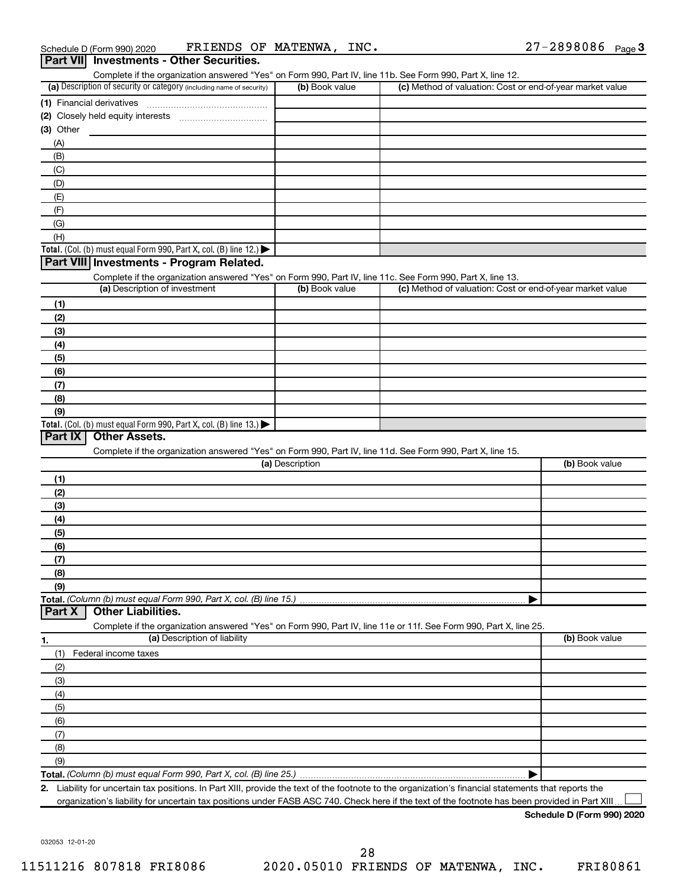|             | Schedule D (Form 990) 2020                                                                       | FRIENDS OF MATENWA, INC.     |                 |                                                                                                                   | $27 - 2898086$ Page 3 |  |
|-------------|--------------------------------------------------------------------------------------------------|------------------------------|-----------------|-------------------------------------------------------------------------------------------------------------------|-----------------------|--|
|             | Part VII Investments - Other Securities.                                                         |                              |                 |                                                                                                                   |                       |  |
|             |                                                                                                  |                              |                 | Complete if the organization answered "Yes" on Form 990, Part IV, line 11b. See Form 990, Part X, line 12.        |                       |  |
|             | (a) Description of security or category (including name of security)                             |                              | (b) Book value  | (c) Method of valuation: Cost or end-of-year market value                                                         |                       |  |
|             |                                                                                                  |                              |                 |                                                                                                                   |                       |  |
|             |                                                                                                  |                              |                 |                                                                                                                   |                       |  |
| $(3)$ Other |                                                                                                  |                              |                 |                                                                                                                   |                       |  |
| (A)         |                                                                                                  |                              |                 |                                                                                                                   |                       |  |
| (B)         |                                                                                                  |                              |                 |                                                                                                                   |                       |  |
| (C)         |                                                                                                  |                              |                 |                                                                                                                   |                       |  |
| (D)         |                                                                                                  |                              |                 |                                                                                                                   |                       |  |
| (E)         |                                                                                                  |                              |                 |                                                                                                                   |                       |  |
| (F)         |                                                                                                  |                              |                 |                                                                                                                   |                       |  |
| (G)         |                                                                                                  |                              |                 |                                                                                                                   |                       |  |
| (H)         |                                                                                                  |                              |                 |                                                                                                                   |                       |  |
|             | Total. (Col. (b) must equal Form 990, Part X, col. (B) line 12.)                                 |                              |                 |                                                                                                                   |                       |  |
|             | Part VIII Investments - Program Related.                                                         |                              |                 |                                                                                                                   |                       |  |
|             |                                                                                                  |                              |                 | Complete if the organization answered "Yes" on Form 990, Part IV, line 11c. See Form 990, Part X, line 13.        |                       |  |
|             | (a) Description of investment                                                                    |                              | (b) Book value  | (c) Method of valuation: Cost or end-of-year market value                                                         |                       |  |
| (1)         |                                                                                                  |                              |                 |                                                                                                                   |                       |  |
| (2)         |                                                                                                  |                              |                 |                                                                                                                   |                       |  |
|             |                                                                                                  |                              |                 |                                                                                                                   |                       |  |
| (3)         |                                                                                                  |                              |                 |                                                                                                                   |                       |  |
| (4)         |                                                                                                  |                              |                 |                                                                                                                   |                       |  |
| (5)         |                                                                                                  |                              |                 |                                                                                                                   |                       |  |
| (6)         |                                                                                                  |                              |                 |                                                                                                                   |                       |  |
| (7)         |                                                                                                  |                              |                 |                                                                                                                   |                       |  |
| (8)         |                                                                                                  |                              |                 |                                                                                                                   |                       |  |
| (9)         | Total. (Col. (b) must equal Form 990, Part X, col. (B) line 13.)                                 |                              |                 |                                                                                                                   |                       |  |
| Part IX     | <b>Other Assets.</b>                                                                             |                              |                 |                                                                                                                   |                       |  |
|             |                                                                                                  |                              |                 | Complete if the organization answered "Yes" on Form 990, Part IV, line 11d. See Form 990, Part X, line 15.        |                       |  |
|             |                                                                                                  |                              | (a) Description |                                                                                                                   | (b) Book value        |  |
|             |                                                                                                  |                              |                 |                                                                                                                   |                       |  |
| (1)         |                                                                                                  |                              |                 |                                                                                                                   |                       |  |
| (2)         |                                                                                                  |                              |                 |                                                                                                                   |                       |  |
| (3)         |                                                                                                  |                              |                 |                                                                                                                   |                       |  |
| (4)         |                                                                                                  |                              |                 |                                                                                                                   |                       |  |
| (5)         |                                                                                                  |                              |                 |                                                                                                                   |                       |  |
| (6)         |                                                                                                  |                              |                 |                                                                                                                   |                       |  |
| (7)         |                                                                                                  |                              |                 |                                                                                                                   |                       |  |
| (8)         |                                                                                                  |                              |                 |                                                                                                                   |                       |  |
| (9)         |                                                                                                  |                              |                 |                                                                                                                   |                       |  |
| Part X      | Total. (Column (b) must equal Form 990, Part X, col. (B) line 15.).<br><b>Other Liabilities.</b> |                              |                 |                                                                                                                   |                       |  |
|             |                                                                                                  |                              |                 |                                                                                                                   |                       |  |
|             |                                                                                                  | (a) Description of liability |                 | Complete if the organization answered "Yes" on Form 990, Part IV, line 11e or 11f. See Form 990, Part X, line 25. | (b) Book value        |  |
| 1.          |                                                                                                  |                              |                 |                                                                                                                   |                       |  |
| (1)         | Federal income taxes                                                                             |                              |                 |                                                                                                                   |                       |  |
| (2)         |                                                                                                  |                              |                 |                                                                                                                   |                       |  |
| (3)         |                                                                                                  |                              |                 |                                                                                                                   |                       |  |
| (4)         |                                                                                                  |                              |                 |                                                                                                                   |                       |  |
| (5)         |                                                                                                  |                              |                 |                                                                                                                   |                       |  |
| (6)         |                                                                                                  |                              |                 |                                                                                                                   |                       |  |
| (7)         |                                                                                                  |                              |                 |                                                                                                                   |                       |  |

**Total.**  *(Column (b) must equal Form 990, Part X, col. (B) line 25.)* (9)

|

**2.** Liability for uncertain tax positions. In Part XIII, provide the text of the footnote to the organization's financial statements that reports the organization's liability for uncertain tax positions under FASB ASC 740. Check here if the text of the footnote has been provided in Part XIII.  $\perp$ 

**Schedule D (Form 990) 2020**

032053 12-01-20

(8)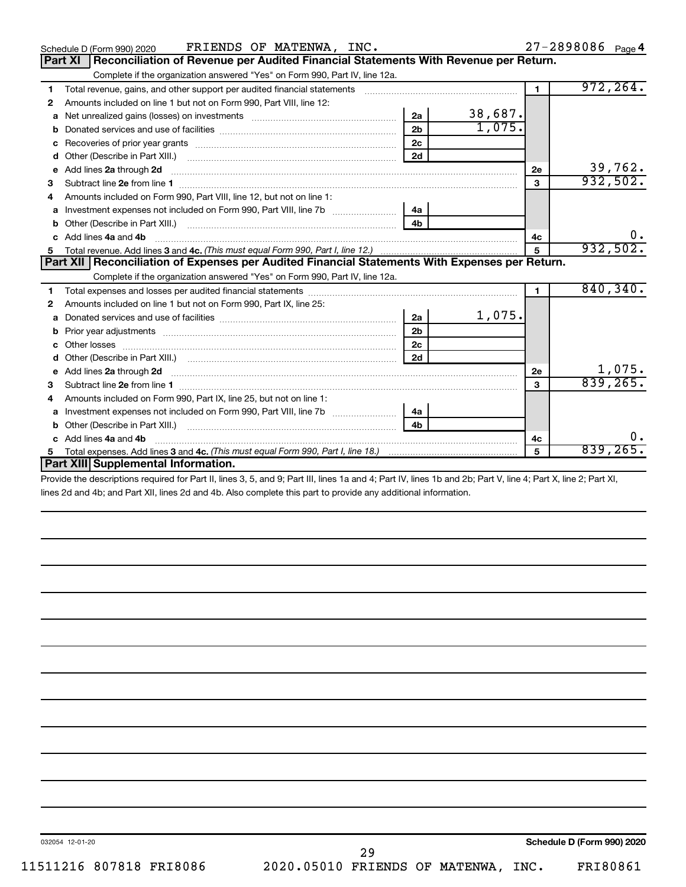| FRIENDS OF MATENWA, INC.<br>Schedule D (Form 990) 2020                                                                   |                |                        |              | 27-2898086 Page 4 |
|--------------------------------------------------------------------------------------------------------------------------|----------------|------------------------|--------------|-------------------|
| Reconciliation of Revenue per Audited Financial Statements With Revenue per Return.<br><b>Part XI</b>                    |                |                        |              |                   |
| Complete if the organization answered "Yes" on Form 990, Part IV, line 12a.                                              |                |                        |              |                   |
| 1                                                                                                                        |                |                        | $\mathbf{1}$ | 972, 264.         |
| Amounts included on line 1 but not on Form 990, Part VIII, line 12:<br>2                                                 |                |                        |              |                   |
| Net unrealized gains (losses) on investments [11] matter contracts and the unrealized gains (losses) on investments<br>a | 2a             | $\frac{38,687}{1,075}$ |              |                   |
| b                                                                                                                        | 2 <sub>b</sub> |                        |              |                   |
| с                                                                                                                        | 2 <sub>c</sub> |                        |              |                   |
| d                                                                                                                        | 2d             |                        |              |                   |
| Add lines 2a through 2d<br>е                                                                                             |                |                        | 2e           | 39,762.           |
| 3                                                                                                                        |                |                        | 3            | 932,502.          |
| Amounts included on Form 990, Part VIII, line 12, but not on line 1:<br>4                                                |                |                        |              |                   |
|                                                                                                                          | 4a             |                        |              |                   |
| b                                                                                                                        |                |                        |              |                   |
| Add lines 4a and 4b<br>C.                                                                                                |                |                        | 4c           | $\mathbf{0}$ .    |
|                                                                                                                          |                |                        | 5            | 932,502.          |
|                                                                                                                          |                |                        |              |                   |
| Part XII   Reconciliation of Expenses per Audited Financial Statements With Expenses per Return.                         |                |                        |              |                   |
| Complete if the organization answered "Yes" on Form 990, Part IV, line 12a.                                              |                |                        |              |                   |
| 1                                                                                                                        |                |                        | 1            | 840,340.          |
| Amounts included on line 1 but not on Form 990, Part IX, line 25:<br>2                                                   |                |                        |              |                   |
| a                                                                                                                        | 2a             | 1,075.                 |              |                   |
| b                                                                                                                        | 2 <sub>b</sub> |                        |              |                   |
|                                                                                                                          | 2c             |                        |              |                   |
| d                                                                                                                        | 2d             |                        |              |                   |
| Add lines 2a through 2d<br>е                                                                                             |                |                        | 2e           | 1,075.            |
| 3                                                                                                                        |                |                        | 3            | 839,265.          |
| Amounts included on Form 990, Part IX, line 25, but not on line 1:<br>4                                                  |                |                        |              |                   |
| a                                                                                                                        | 4a             |                        |              |                   |
| b                                                                                                                        | 4 <sub>h</sub> |                        |              |                   |
| Add lines 4a and 4b                                                                                                      |                |                        | 4с           | 0.                |
| 5.<br>Part XIII Supplemental Information.                                                                                |                |                        | 5            | 839,265.          |

Provide the descriptions required for Part II, lines 3, 5, and 9; Part III, lines 1a and 4; Part IV, lines 1b and 2b; Part V, line 4; Part X, line 2; Part XI, lines 2d and 4b; and Part XII, lines 2d and 4b. Also complete this part to provide any additional information.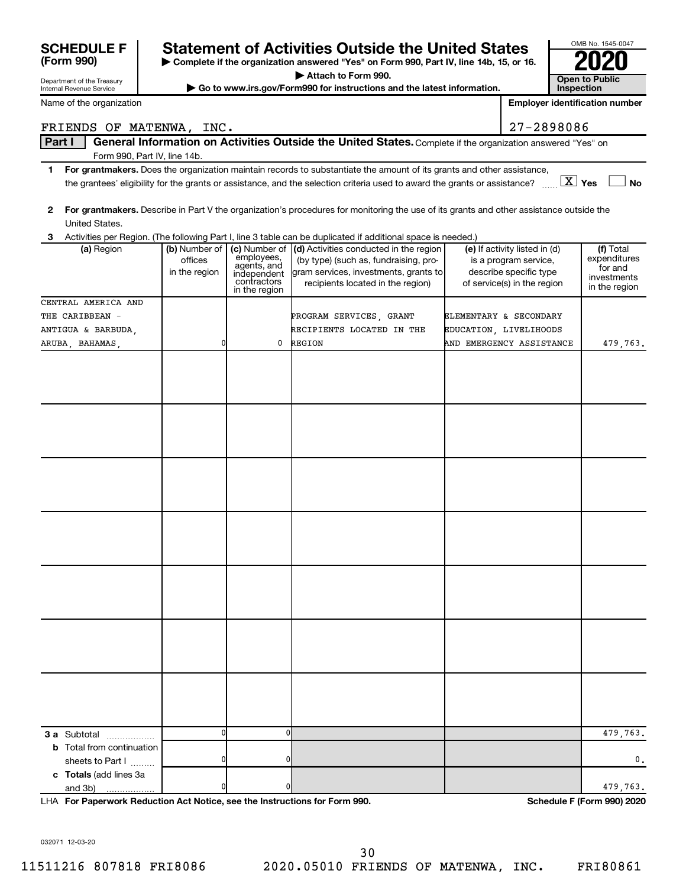| Name of the organization               |               |                            |                                                                                                                                         | <b>Employer identification number</b>                 |                         |
|----------------------------------------|---------------|----------------------------|-----------------------------------------------------------------------------------------------------------------------------------------|-------------------------------------------------------|-------------------------|
| FRIENDS OF MATENWA, INC.               |               |                            |                                                                                                                                         | 27-2898086                                            |                         |
| Part I                                 |               |                            | General Information on Activities Outside the United States. Complete if the organization answered "Yes" on                             |                                                       |                         |
| Form 990, Part IV, line 14b.           |               |                            |                                                                                                                                         |                                                       |                         |
| 1.                                     |               |                            | For grantmakers. Does the organization maintain records to substantiate the amount of its grants and other assistance,                  |                                                       |                         |
|                                        |               |                            | the grantees' eligibility for the grants or assistance, and the selection criteria used to award the grants or assistance?              | $X \times$                                            | No                      |
|                                        |               |                            |                                                                                                                                         |                                                       |                         |
| $\mathbf{2}$<br>United States.         |               |                            | For grantmakers. Describe in Part V the organization's procedures for monitoring the use of its grants and other assistance outside the |                                                       |                         |
| З.                                     |               |                            | Activities per Region. (The following Part I, line 3 table can be duplicated if additional space is needed.)                            |                                                       |                         |
| (a) Region                             | (b) Number of |                            | (c) Number of (d) Activities conducted in the region                                                                                    | (e) If activity listed in (d)                         | (f) Total               |
|                                        | offices       | employees,<br>agents, and  | (by type) (such as, fundraising, pro-                                                                                                   | is a program service,                                 | expenditures<br>for and |
|                                        | in the region | independent<br>contractors | gram services, investments, grants to<br>recipients located in the region)                                                              | describe specific type<br>of service(s) in the region | investments             |
|                                        |               | in the region              |                                                                                                                                         |                                                       | in the region           |
| CENTRAL AMERICA AND                    |               |                            |                                                                                                                                         |                                                       |                         |
| THE CARIBBEAN -<br>ANTIGUA & BARBUDA,  |               |                            | PROGRAM SERVICES, GRANT<br>RECIPIENTS LOCATED IN THE                                                                                    | ELEMENTARY & SECONDARY<br>EDUCATION, LIVELIHOODS      |                         |
| ARUBA, BAHAMAS,                        |               | 0                          | REGION                                                                                                                                  | AND EMERGENCY ASSISTANCE                              | 479,763.                |
|                                        |               |                            |                                                                                                                                         |                                                       |                         |
|                                        |               |                            |                                                                                                                                         |                                                       |                         |
|                                        |               |                            |                                                                                                                                         |                                                       |                         |
|                                        |               |                            |                                                                                                                                         |                                                       |                         |
|                                        |               |                            |                                                                                                                                         |                                                       |                         |
|                                        |               |                            |                                                                                                                                         |                                                       |                         |
|                                        |               |                            |                                                                                                                                         |                                                       |                         |
|                                        |               |                            |                                                                                                                                         |                                                       |                         |
|                                        |               |                            |                                                                                                                                         |                                                       |                         |
|                                        |               |                            |                                                                                                                                         |                                                       |                         |
|                                        |               |                            |                                                                                                                                         |                                                       |                         |
|                                        |               |                            |                                                                                                                                         |                                                       |                         |
|                                        |               |                            |                                                                                                                                         |                                                       |                         |
|                                        |               |                            |                                                                                                                                         |                                                       |                         |
|                                        |               |                            |                                                                                                                                         |                                                       |                         |
|                                        |               |                            |                                                                                                                                         |                                                       |                         |
|                                        |               |                            |                                                                                                                                         |                                                       |                         |
|                                        |               |                            |                                                                                                                                         |                                                       |                         |
|                                        |               |                            |                                                                                                                                         |                                                       |                         |
|                                        |               |                            |                                                                                                                                         |                                                       |                         |
|                                        |               |                            |                                                                                                                                         |                                                       |                         |
|                                        |               |                            |                                                                                                                                         |                                                       |                         |
|                                        |               |                            |                                                                                                                                         |                                                       |                         |
|                                        |               |                            |                                                                                                                                         |                                                       |                         |
|                                        |               |                            |                                                                                                                                         |                                                       |                         |
| 3 a Subtotal<br>.                      | $\Omega$      | 0                          |                                                                                                                                         |                                                       | 479,763.                |
| <b>b</b> Total from continuation       |               |                            |                                                                                                                                         |                                                       |                         |
| sheets to Part I                       |               | 0                          |                                                                                                                                         |                                                       | 0.                      |
| c Totals (add lines 3a<br>and 3b)<br>. |               | 0                          |                                                                                                                                         |                                                       | 479,763.                |
|                                        |               |                            |                                                                                                                                         |                                                       |                         |

**| Complete if the organization answered "Yes" on Form 990, Part IV, line 14b, 15, or 16. | Attach to Form 990.**

**SCHEDULE F** Statement of Activities Outside the United States  $\begin{array}{c} \hline \text{20} \\ \text{Form 990} \end{array}$   $\begin{array}{c} \text{Statement of Activities Outside the United States} \\ \text{Common System 990, Part IV, line 14b, 15, or 16.} \end{array}$ 

**| Go to www.irs.gov/Form990 for instructions and the latest information. Open to Public** 

**For Paperwork Reduction Act Notice, see the Instructions for Form 990. Schedule F (Form 990) 2020** LHA

032071 12-03-20

Department of the Treasury Internal Revenue Service

**(Form 990)**

11511216 807818 FRI8086 2020.05010 FRIENDS OF MATENWA, INC. FRI80861 30

OMB No. 1545-0047

**Inspection**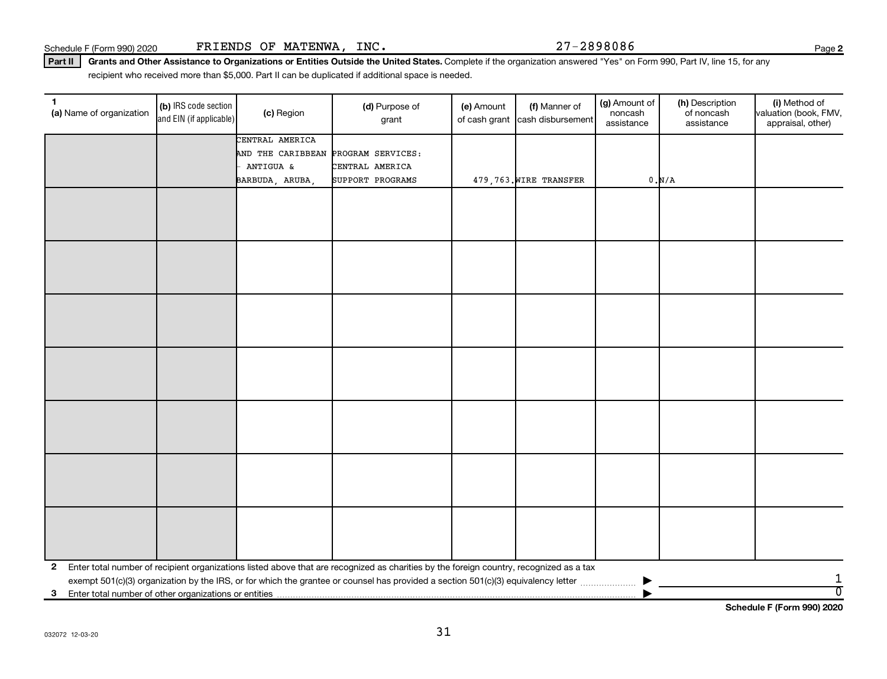**2**

Part II | Grants and Other Assistance to Organizations or Entities Outside the United States. Complete if the organization answered "Yes" on Form 990, Part IV, line 15, for any recipient who received more than \$5,000. Part II can be duplicated if additional space is needed.

| 1<br>(a) Name of organization                              | (b) IRS code section<br>and EIN (if applicable) | (c) Region                          | (d) Purpose of<br>grant                                                                                                                 | (e) Amount<br>of cash grant | (f) Manner of<br>cash disbursement | (g) Amount of<br>noncash<br>assistance | (h) Description<br>of noncash<br>assistance | (i) Method of<br>valuation (book, FMV,<br>appraisal, other) |
|------------------------------------------------------------|-------------------------------------------------|-------------------------------------|-----------------------------------------------------------------------------------------------------------------------------------------|-----------------------------|------------------------------------|----------------------------------------|---------------------------------------------|-------------------------------------------------------------|
|                                                            |                                                 | CENTRAL AMERICA                     |                                                                                                                                         |                             |                                    |                                        |                                             |                                                             |
|                                                            |                                                 | AND THE CARIBBEAN PROGRAM SERVICES: |                                                                                                                                         |                             |                                    |                                        |                                             |                                                             |
|                                                            |                                                 | ANTIGUA &                           | CENTRAL AMERICA                                                                                                                         |                             |                                    |                                        |                                             |                                                             |
|                                                            |                                                 | BARBUDA, ARUBA,                     | SUPPORT PROGRAMS                                                                                                                        |                             | 479,763. WIRE TRANSFER             |                                        | 0. N/A                                      |                                                             |
|                                                            |                                                 |                                     |                                                                                                                                         |                             |                                    |                                        |                                             |                                                             |
|                                                            |                                                 |                                     |                                                                                                                                         |                             |                                    |                                        |                                             |                                                             |
|                                                            |                                                 |                                     |                                                                                                                                         |                             |                                    |                                        |                                             |                                                             |
|                                                            |                                                 |                                     |                                                                                                                                         |                             |                                    |                                        |                                             |                                                             |
|                                                            |                                                 |                                     |                                                                                                                                         |                             |                                    |                                        |                                             |                                                             |
|                                                            |                                                 |                                     |                                                                                                                                         |                             |                                    |                                        |                                             |                                                             |
|                                                            |                                                 |                                     |                                                                                                                                         |                             |                                    |                                        |                                             |                                                             |
|                                                            |                                                 |                                     |                                                                                                                                         |                             |                                    |                                        |                                             |                                                             |
|                                                            |                                                 |                                     |                                                                                                                                         |                             |                                    |                                        |                                             |                                                             |
|                                                            |                                                 |                                     |                                                                                                                                         |                             |                                    |                                        |                                             |                                                             |
|                                                            |                                                 |                                     |                                                                                                                                         |                             |                                    |                                        |                                             |                                                             |
|                                                            |                                                 |                                     |                                                                                                                                         |                             |                                    |                                        |                                             |                                                             |
|                                                            |                                                 |                                     |                                                                                                                                         |                             |                                    |                                        |                                             |                                                             |
|                                                            |                                                 |                                     |                                                                                                                                         |                             |                                    |                                        |                                             |                                                             |
|                                                            |                                                 |                                     |                                                                                                                                         |                             |                                    |                                        |                                             |                                                             |
|                                                            |                                                 |                                     |                                                                                                                                         |                             |                                    |                                        |                                             |                                                             |
|                                                            |                                                 |                                     |                                                                                                                                         |                             |                                    |                                        |                                             |                                                             |
|                                                            |                                                 |                                     |                                                                                                                                         |                             |                                    |                                        |                                             |                                                             |
|                                                            |                                                 |                                     |                                                                                                                                         |                             |                                    |                                        |                                             |                                                             |
|                                                            |                                                 |                                     |                                                                                                                                         |                             |                                    |                                        |                                             |                                                             |
|                                                            |                                                 |                                     |                                                                                                                                         |                             |                                    |                                        |                                             |                                                             |
|                                                            |                                                 |                                     |                                                                                                                                         |                             |                                    |                                        |                                             |                                                             |
|                                                            |                                                 |                                     |                                                                                                                                         |                             |                                    |                                        |                                             |                                                             |
|                                                            |                                                 |                                     |                                                                                                                                         |                             |                                    |                                        |                                             |                                                             |
|                                                            |                                                 |                                     |                                                                                                                                         |                             |                                    |                                        |                                             |                                                             |
|                                                            |                                                 |                                     |                                                                                                                                         |                             |                                    |                                        |                                             |                                                             |
|                                                            |                                                 |                                     |                                                                                                                                         |                             |                                    |                                        |                                             |                                                             |
|                                                            |                                                 |                                     |                                                                                                                                         |                             |                                    |                                        |                                             |                                                             |
| $\mathbf{2}$                                               |                                                 |                                     | Enter total number of recipient organizations listed above that are recognized as charities by the foreign country, recognized as a tax |                             |                                    |                                        |                                             |                                                             |
|                                                            |                                                 |                                     |                                                                                                                                         |                             |                                    |                                        |                                             | 1<br>$\overline{0}$                                         |
| Enter total number of other organizations or entities<br>3 |                                                 |                                     |                                                                                                                                         |                             |                                    |                                        |                                             |                                                             |

**Schedule F (Form 990) 2020**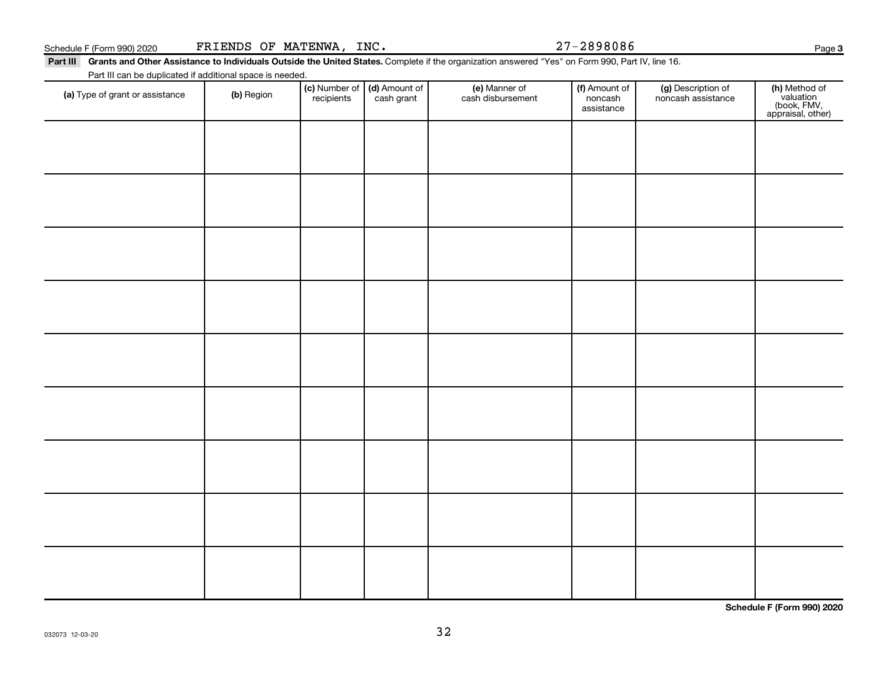### Schedule F (Form 990) 2020 FRIENDS OF MATENWA, INC.  $27-2898086$

Part III Grants and Other Assistance to Individuals Outside the United States. Complete if the organization answered "Yes" on Form 990, Part IV, line 16. Part III can be duplicated if additional space is needed.

| Talem can be deploated in additional space is necessar. |            |                                                      |                                    |                                        |                                          |                                                                |
|---------------------------------------------------------|------------|------------------------------------------------------|------------------------------------|----------------------------------------|------------------------------------------|----------------------------------------------------------------|
| (a) Type of grant or assistance                         | (b) Region | (c) Number of (d) Amount of<br>recipients cash grant | (e) Manner of<br>cash disbursement | (f) Amount of<br>noncash<br>assistance | (g) Description of<br>noncash assistance | (h) Method of<br>valuation<br>(book, FMV,<br>appraisal, other) |
|                                                         |            |                                                      |                                    |                                        |                                          |                                                                |
|                                                         |            |                                                      |                                    |                                        |                                          |                                                                |
|                                                         |            |                                                      |                                    |                                        |                                          |                                                                |
|                                                         |            |                                                      |                                    |                                        |                                          |                                                                |
|                                                         |            |                                                      |                                    |                                        |                                          |                                                                |
|                                                         |            |                                                      |                                    |                                        |                                          |                                                                |
|                                                         |            |                                                      |                                    |                                        |                                          |                                                                |
|                                                         |            |                                                      |                                    |                                        |                                          |                                                                |
|                                                         |            |                                                      |                                    |                                        |                                          |                                                                |
|                                                         |            |                                                      |                                    |                                        |                                          |                                                                |

**Schedule F (Form 990) 2020**

32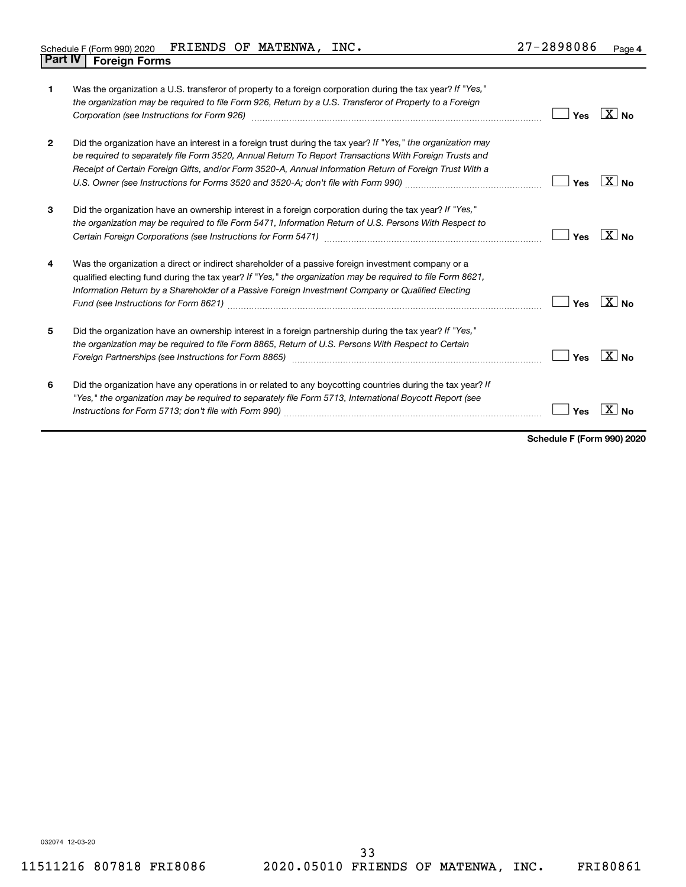| Schedule F (Form 990) 2020             | <b>FRIENDS</b><br>OF | <b>MATENWA</b> | INC. | 2898086<br>_ | Page 4 |
|----------------------------------------|----------------------|----------------|------|--------------|--------|
| <b>Part IV</b><br><b>Foreign Forms</b> |                      |                |      |              |        |

| 1              | Was the organization a U.S. transferor of property to a foreign corporation during the tax year? If "Yes,"<br>the organization may be required to file Form 926, Return by a U.S. Transferor of Property to a Foreign<br>Corporation (see Instructions for Form 926) manufactured control and the control of the control of the control of the control of the control of the control of the control of the control of the control of the control of the | Yes | $X_{\text{No}}$   |
|----------------|---------------------------------------------------------------------------------------------------------------------------------------------------------------------------------------------------------------------------------------------------------------------------------------------------------------------------------------------------------------------------------------------------------------------------------------------------------|-----|-------------------|
| $\overline{2}$ | Did the organization have an interest in a foreign trust during the tax year? If "Yes," the organization may<br>be required to separately file Form 3520, Annual Return To Report Transactions With Foreign Trusts and<br>Receipt of Certain Foreign Gifts, and/or Form 3520-A, Annual Information Return of Foreign Trust With a                                                                                                                       | Yes | ∣X∣ <sub>No</sub> |
| 3              | Did the organization have an ownership interest in a foreign corporation during the tax year? If "Yes,"<br>the organization may be required to file Form 5471, Information Return of U.S. Persons With Respect to                                                                                                                                                                                                                                       | Yes | $ X $ No          |
| 4              | Was the organization a direct or indirect shareholder of a passive foreign investment company or a<br>qualified electing fund during the tax year? If "Yes," the organization may be required to file Form 8621,<br>Information Return by a Shareholder of a Passive Foreign Investment Company or Qualified Electing                                                                                                                                   | Yes | $X_{\text{No}}$   |
| 5              | Did the organization have an ownership interest in a foreign partnership during the tax year? If "Yes,"<br>the organization may be required to file Form 8865, Return of U.S. Persons With Respect to Certain                                                                                                                                                                                                                                           | Yes | $X_{\text{No}}$   |
| 6              | Did the organization have any operations in or related to any boycotting countries during the tax year? If<br>"Yes," the organization may be required to separately file Form 5713, International Boycott Report (see                                                                                                                                                                                                                                   | Yes |                   |

**Schedule F (Form 990) 2020**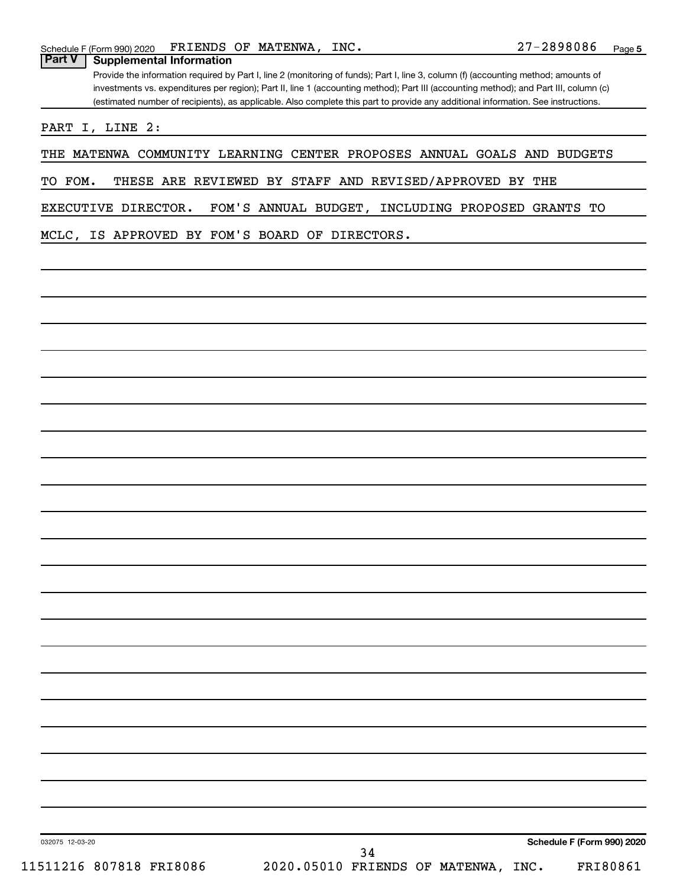Provide the information required by Part I, line 2 (monitoring of funds); Part I, line 3, column (f) (accounting method; amounts of investments vs. expenditures per region); Part II, line 1 (accounting method); Part III (accounting method); and Part III, column (c) (estimated number of recipients), as applicable. Also complete this part to provide any additional information. See instructions.

PART I, LINE 2:

THE MATENWA COMMUNITY LEARNING CENTER PROPOSES ANNUAL GOALS AND BUDGETS

TO FOM. THESE ARE REVIEWED BY STAFF AND REVISED/APPROVED BY THE

EXECUTIVE DIRECTOR. FOM'S ANNUAL BUDGET, INCLUDING PROPOSED GRANTS TO

MCLC, IS APPROVED BY FOM'S BOARD OF DIRECTORS.

032075 12-03-20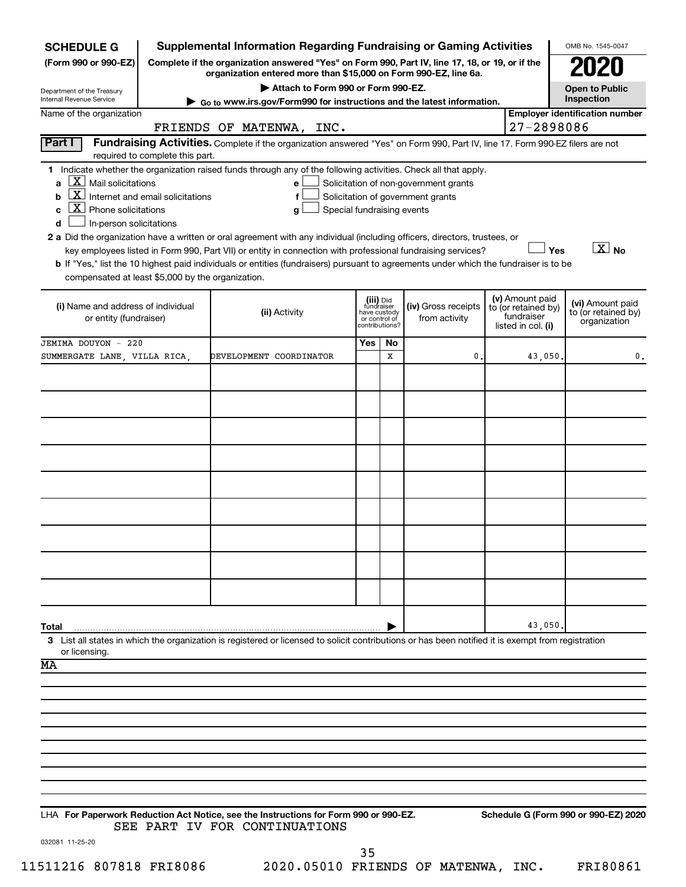| <b>Supplemental Information Regarding Fundraising or Gaming Activities</b><br><b>SCHEDULE G</b>                                           |                                                                                                                                                                     |                                                                                                                                                                                                                                                                                              |                                                                            |         |                                                                            |  | OMB No. 1545-0047                                                          |                                                         |
|-------------------------------------------------------------------------------------------------------------------------------------------|---------------------------------------------------------------------------------------------------------------------------------------------------------------------|----------------------------------------------------------------------------------------------------------------------------------------------------------------------------------------------------------------------------------------------------------------------------------------------|----------------------------------------------------------------------------|---------|----------------------------------------------------------------------------|--|----------------------------------------------------------------------------|---------------------------------------------------------|
| (Form 990 or 990-EZ)                                                                                                                      | Complete if the organization answered "Yes" on Form 990, Part IV, line 17, 18, or 19, or if the<br>organization entered more than \$15,000 on Form 990-EZ, line 6a. |                                                                                                                                                                                                                                                                                              |                                                                            |         |                                                                            |  |                                                                            |                                                         |
| Department of the Treasury                                                                                                                |                                                                                                                                                                     | Attach to Form 990 or Form 990-EZ.                                                                                                                                                                                                                                                           |                                                                            |         |                                                                            |  |                                                                            |                                                         |
| Internal Revenue Service                                                                                                                  | $\triangleright$ Go to www.irs.gov/Form990 for instructions and the latest information.                                                                             |                                                                                                                                                                                                                                                                                              |                                                                            |         |                                                                            |  |                                                                            | Inspection                                              |
| Name of the organization<br>27-2898086<br>FRIENDS OF MATENWA, INC.                                                                        |                                                                                                                                                                     |                                                                                                                                                                                                                                                                                              |                                                                            |         |                                                                            |  |                                                                            | <b>Employer identification number</b>                   |
| Part I                                                                                                                                    | required to complete this part.                                                                                                                                     | Fundraising Activities. Complete if the organization answered "Yes" on Form 990, Part IV, line 17. Form 990-EZ filers are not                                                                                                                                                                |                                                                            |         |                                                                            |  |                                                                            |                                                         |
| X <br>Mail solicitations<br>a<br>$\boxed{\text{X}}$<br>b<br>$\boxed{\textbf{X}}$ Phone solicitations<br>c<br>d<br>In-person solicitations | Internet and email solicitations                                                                                                                                    | 1 Indicate whether the organization raised funds through any of the following activities. Check all that apply.<br>e l<br>f<br>Special fundraising events<br>g<br>2 a Did the organization have a written or oral agreement with any individual (including officers, directors, trustees, or |                                                                            |         | Solicitation of non-government grants<br>Solicitation of government grants |  |                                                                            |                                                         |
| compensated at least \$5,000 by the organization.                                                                                         |                                                                                                                                                                     | key employees listed in Form 990, Part VII) or entity in connection with professional fundraising services?<br>b If "Yes," list the 10 highest paid individuals or entities (fundraisers) pursuant to agreements under which the fundraiser is to be                                         |                                                                            |         |                                                                            |  | Yes                                                                        | $\boxed{\text{X}}$ No                                   |
| (i) Name and address of individual<br>or entity (fundraiser)                                                                              |                                                                                                                                                                     | (ii) Activity                                                                                                                                                                                                                                                                                | (iii) Did<br>fundraiser<br>have custody<br>or control of<br>contributions? |         | (iv) Gross receipts<br>from activity                                       |  | (v) Amount paid<br>to (or retained by)<br>fundraiser<br>listed in col. (i) | (vi) Amount paid<br>to (or retained by)<br>organization |
| JEMIMA DOUYON - 220<br>SUMMERGATE LANE, VILLA RICA,                                                                                       |                                                                                                                                                                     | DEVELOPMENT COORDINATOR                                                                                                                                                                                                                                                                      | Yes                                                                        | No<br>x | 0                                                                          |  |                                                                            | 0.                                                      |
|                                                                                                                                           |                                                                                                                                                                     |                                                                                                                                                                                                                                                                                              |                                                                            |         |                                                                            |  | 43,050.                                                                    |                                                         |
|                                                                                                                                           |                                                                                                                                                                     |                                                                                                                                                                                                                                                                                              |                                                                            |         |                                                                            |  |                                                                            |                                                         |
|                                                                                                                                           |                                                                                                                                                                     |                                                                                                                                                                                                                                                                                              |                                                                            |         |                                                                            |  |                                                                            |                                                         |
|                                                                                                                                           |                                                                                                                                                                     |                                                                                                                                                                                                                                                                                              |                                                                            |         |                                                                            |  |                                                                            |                                                         |
|                                                                                                                                           |                                                                                                                                                                     |                                                                                                                                                                                                                                                                                              |                                                                            |         |                                                                            |  |                                                                            |                                                         |
|                                                                                                                                           |                                                                                                                                                                     |                                                                                                                                                                                                                                                                                              |                                                                            |         |                                                                            |  |                                                                            |                                                         |
|                                                                                                                                           |                                                                                                                                                                     |                                                                                                                                                                                                                                                                                              |                                                                            |         |                                                                            |  |                                                                            |                                                         |
|                                                                                                                                           |                                                                                                                                                                     |                                                                                                                                                                                                                                                                                              |                                                                            |         |                                                                            |  |                                                                            |                                                         |
|                                                                                                                                           |                                                                                                                                                                     |                                                                                                                                                                                                                                                                                              |                                                                            |         |                                                                            |  |                                                                            |                                                         |
|                                                                                                                                           |                                                                                                                                                                     |                                                                                                                                                                                                                                                                                              |                                                                            |         |                                                                            |  |                                                                            |                                                         |
|                                                                                                                                           |                                                                                                                                                                     |                                                                                                                                                                                                                                                                                              |                                                                            |         |                                                                            |  |                                                                            |                                                         |
| Total                                                                                                                                     |                                                                                                                                                                     |                                                                                                                                                                                                                                                                                              |                                                                            |         |                                                                            |  | 43,050                                                                     |                                                         |
| or licensing.<br>MA                                                                                                                       |                                                                                                                                                                     | 3 List all states in which the organization is registered or licensed to solicit contributions or has been notified it is exempt from registration                                                                                                                                           |                                                                            |         |                                                                            |  |                                                                            |                                                         |
|                                                                                                                                           |                                                                                                                                                                     |                                                                                                                                                                                                                                                                                              |                                                                            |         |                                                                            |  |                                                                            |                                                         |
|                                                                                                                                           |                                                                                                                                                                     |                                                                                                                                                                                                                                                                                              |                                                                            |         |                                                                            |  |                                                                            |                                                         |
|                                                                                                                                           |                                                                                                                                                                     |                                                                                                                                                                                                                                                                                              |                                                                            |         |                                                                            |  |                                                                            |                                                         |
|                                                                                                                                           |                                                                                                                                                                     |                                                                                                                                                                                                                                                                                              |                                                                            |         |                                                                            |  |                                                                            |                                                         |
|                                                                                                                                           |                                                                                                                                                                     |                                                                                                                                                                                                                                                                                              |                                                                            |         |                                                                            |  |                                                                            |                                                         |
|                                                                                                                                           |                                                                                                                                                                     |                                                                                                                                                                                                                                                                                              |                                                                            |         |                                                                            |  |                                                                            |                                                         |
|                                                                                                                                           |                                                                                                                                                                     | LHA For Paperwork Reduction Act Notice, see the Instructions for Form 990 or 990-EZ.<br>SEE PART IV FOR CONTINUATIONS                                                                                                                                                                        |                                                                            |         |                                                                            |  |                                                                            | Schedule G (Form 990 or 990-EZ) 2020                    |

032081 11-25-20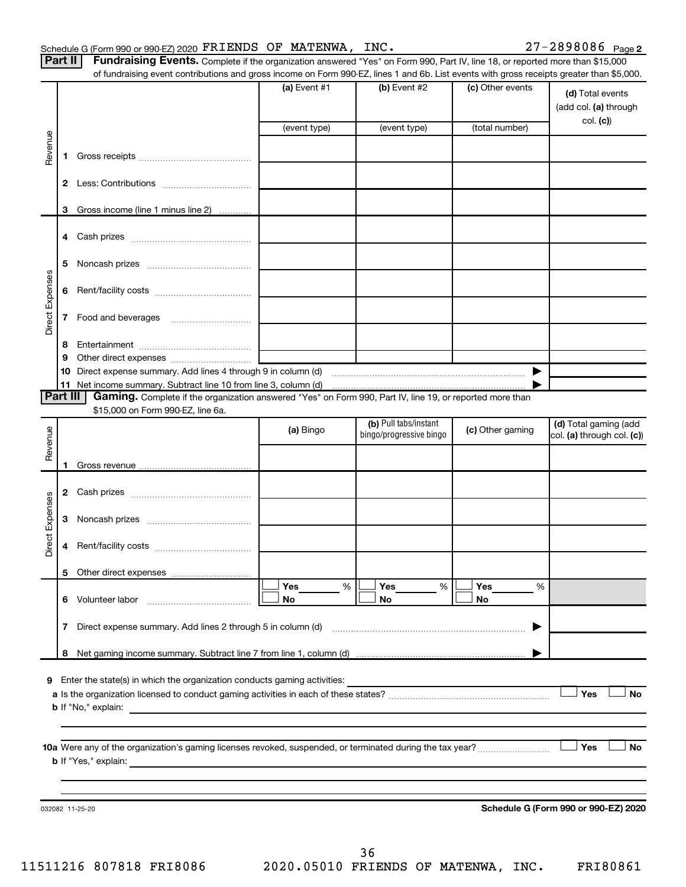Part II | Fundraising Events. Complete if the organization answered "Yes" on Form 990, Part IV, line 18, or reported more than \$15,000 of fundraising event contributions and gross income on Form 990-EZ, lines 1 and 6b. List events with gross receipts greater than \$5,000.

|                        |              | OFfundraising event continuutions and gross income on Form 990-EZ, iines T and OD. Elst events with gross receipts greater than \$0,000. |                |                                                  |                  |                                                     |
|------------------------|--------------|------------------------------------------------------------------------------------------------------------------------------------------|----------------|--------------------------------------------------|------------------|-----------------------------------------------------|
|                        |              |                                                                                                                                          | (a) Event $#1$ | $(b)$ Event #2                                   | (c) Other events | (d) Total events<br>(add col. (a) through           |
|                        |              |                                                                                                                                          | (event type)   | (event type)                                     | (total number)   | col. (c)                                            |
| Revenue                |              |                                                                                                                                          |                |                                                  |                  |                                                     |
|                        | 1.           |                                                                                                                                          |                |                                                  |                  |                                                     |
|                        |              |                                                                                                                                          |                |                                                  |                  |                                                     |
|                        |              |                                                                                                                                          |                |                                                  |                  |                                                     |
|                        | 3            | Gross income (line 1 minus line 2)                                                                                                       |                |                                                  |                  |                                                     |
|                        |              |                                                                                                                                          |                |                                                  |                  |                                                     |
|                        | 5            |                                                                                                                                          |                |                                                  |                  |                                                     |
| Direct Expenses        |              |                                                                                                                                          |                |                                                  |                  |                                                     |
|                        |              |                                                                                                                                          |                |                                                  |                  |                                                     |
|                        |              |                                                                                                                                          |                |                                                  |                  |                                                     |
|                        | 8<br>9       |                                                                                                                                          |                |                                                  |                  |                                                     |
|                        |              |                                                                                                                                          |                |                                                  |                  |                                                     |
|                        |              |                                                                                                                                          |                |                                                  |                  |                                                     |
| Part III               |              | Gaming. Complete if the organization answered "Yes" on Form 990, Part IV, line 19, or reported more than                                 |                |                                                  |                  |                                                     |
|                        |              | \$15,000 on Form 990-EZ, line 6a.                                                                                                        |                |                                                  |                  |                                                     |
| Revenue                |              |                                                                                                                                          | (a) Bingo      | (b) Pull tabs/instant<br>bingo/progressive bingo | (c) Other gaming | (d) Total gaming (add<br>col. (a) through col. (c)) |
|                        |              |                                                                                                                                          |                |                                                  |                  |                                                     |
|                        | 1.           |                                                                                                                                          |                |                                                  |                  |                                                     |
|                        |              |                                                                                                                                          |                |                                                  |                  |                                                     |
| <b>Direct Expenses</b> |              |                                                                                                                                          |                |                                                  |                  |                                                     |
|                        | 4            |                                                                                                                                          |                |                                                  |                  |                                                     |
|                        |              |                                                                                                                                          |                |                                                  |                  |                                                     |
|                        |              |                                                                                                                                          | Yes<br>%       | Yes<br>%                                         | Yes<br>%         |                                                     |
|                        |              | 6 Volunteer labor                                                                                                                        | No             | No                                               | No               |                                                     |
|                        | $\mathbf{7}$ | Direct expense summary. Add lines 2 through 5 in column (d)                                                                              |                |                                                  |                  |                                                     |
|                        | 8            |                                                                                                                                          |                |                                                  |                  |                                                     |
|                        |              |                                                                                                                                          |                |                                                  |                  |                                                     |
|                        |              | 9 Enter the state(s) in which the organization conducts gaming activities:                                                               |                |                                                  |                  |                                                     |
|                        |              |                                                                                                                                          |                |                                                  |                  | Yes<br>No                                           |
|                        |              | <b>b</b> If "No," explain:                                                                                                               |                |                                                  |                  |                                                     |
|                        |              |                                                                                                                                          |                |                                                  |                  |                                                     |
|                        |              | 10a Were any of the organization's gaming licenses revoked, suspended, or terminated during the tax year?                                |                |                                                  |                  | Yes<br>No                                           |
|                        |              | <b>b</b> If "Yes," explain:                                                                                                              |                |                                                  |                  |                                                     |
|                        |              |                                                                                                                                          |                |                                                  |                  |                                                     |
|                        |              |                                                                                                                                          |                |                                                  |                  |                                                     |
|                        |              | 032082 11-25-20                                                                                                                          |                |                                                  |                  | Schedule G (Form 990 or 990-EZ) 2020                |
|                        |              |                                                                                                                                          |                |                                                  |                  |                                                     |
|                        |              |                                                                                                                                          |                |                                                  |                  |                                                     |

11511216 807818 FRI8086 2020.05010 FRIENDS OF MATENWA, INC. FRI80861 36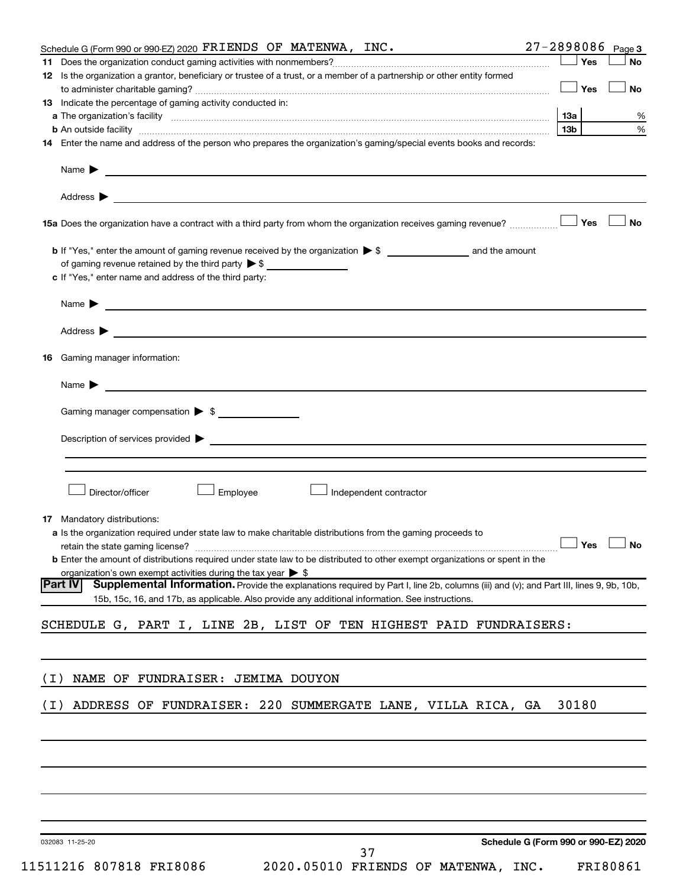|       | Schedule G (Form 990 or 990-EZ) 2020 FRIENDS OF MATENWA, INC.                                                                                                                                                                                                      | 27-2898086      | Page 3               |
|-------|--------------------------------------------------------------------------------------------------------------------------------------------------------------------------------------------------------------------------------------------------------------------|-----------------|----------------------|
|       |                                                                                                                                                                                                                                                                    | Yes             | No                   |
|       | 12 Is the organization a grantor, beneficiary or trustee of a trust, or a member of a partnership or other entity formed                                                                                                                                           | Yes             | <b>No</b>            |
|       | 13 Indicate the percentage of gaming activity conducted in:                                                                                                                                                                                                        |                 |                      |
|       |                                                                                                                                                                                                                                                                    | 13а             | %                    |
|       |                                                                                                                                                                                                                                                                    | 13 <sub>b</sub> | %                    |
|       | 14 Enter the name and address of the person who prepares the organization's gaming/special events books and records:                                                                                                                                               |                 |                      |
|       | Name $\blacktriangleright$<br><u>and the state of the state of the state of the state of the state of the state of the state of the state of the state of the state of the state of the state of the state of the state of the state of the state of the state</u> |                 |                      |
|       |                                                                                                                                                                                                                                                                    |                 |                      |
|       |                                                                                                                                                                                                                                                                    | Yes             | No                   |
|       |                                                                                                                                                                                                                                                                    |                 |                      |
|       | of gaming revenue retained by the third party $\triangleright$ \$                                                                                                                                                                                                  |                 |                      |
|       | c If "Yes," enter name and address of the third party:                                                                                                                                                                                                             |                 |                      |
|       | Name $\blacktriangleright$<br><u> 1989 - Johann Barbara, martin amerikan basal dan berasal dan berasal dalam basal dan berasal dan berasal dan</u>                                                                                                                 |                 |                      |
|       |                                                                                                                                                                                                                                                                    |                 |                      |
| 16    | Gaming manager information:                                                                                                                                                                                                                                        |                 |                      |
|       | Name $\blacktriangleright$                                                                                                                                                                                                                                         |                 |                      |
|       | Gaming manager compensation $\triangleright$ \$                                                                                                                                                                                                                    |                 |                      |
|       | Description of services provided <b>Denote the Constantine Constantine Constantine Constantine Constantine Constantine Constantine Constantine Constantine Constantine Constantine Constantine Constantine Constantine Constanti</b>                               |                 |                      |
|       |                                                                                                                                                                                                                                                                    |                 |                      |
|       |                                                                                                                                                                                                                                                                    |                 |                      |
|       | Director/officer<br>Employee<br>Independent contractor                                                                                                                                                                                                             |                 |                      |
|       | <b>17</b> Mandatory distributions:                                                                                                                                                                                                                                 |                 |                      |
|       | a Is the organization required under state law to make charitable distributions from the gaming proceeds to                                                                                                                                                        |                 |                      |
|       |                                                                                                                                                                                                                                                                    |                 | $\Box$ Yes $\Box$ No |
|       | <b>b</b> Enter the amount of distributions required under state law to be distributed to other exempt organizations or spent in the                                                                                                                                |                 |                      |
|       | organization's own exempt activities during the tax year $\triangleright$ \$                                                                                                                                                                                       |                 |                      |
|       | Part IV<br>Supplemental Information. Provide the explanations required by Part I, line 2b, columns (iii) and (v); and Part III, lines 9, 9b, 10b,<br>15b, 15c, 16, and 17b, as applicable. Also provide any additional information. See instructions.              |                 |                      |
|       | SCHEDULE G, PART I, LINE 2B, LIST OF TEN HIGHEST PAID FUNDRAISERS:                                                                                                                                                                                                 |                 |                      |
|       |                                                                                                                                                                                                                                                                    |                 |                      |
| ( I ) | NAME OF FUNDRAISER: JEMIMA DOUYON                                                                                                                                                                                                                                  |                 |                      |
| ( I ) | ADDRESS OF FUNDRAISER: 220 SUMMERGATE LANE, VILLA RICA, GA                                                                                                                                                                                                         | 30180           |                      |
|       |                                                                                                                                                                                                                                                                    |                 |                      |
|       |                                                                                                                                                                                                                                                                    |                 |                      |
|       |                                                                                                                                                                                                                                                                    |                 |                      |
|       |                                                                                                                                                                                                                                                                    |                 |                      |
|       |                                                                                                                                                                                                                                                                    |                 |                      |

032083 11-25-20

**Schedule G (Form 990 or 990-EZ) 2020**

37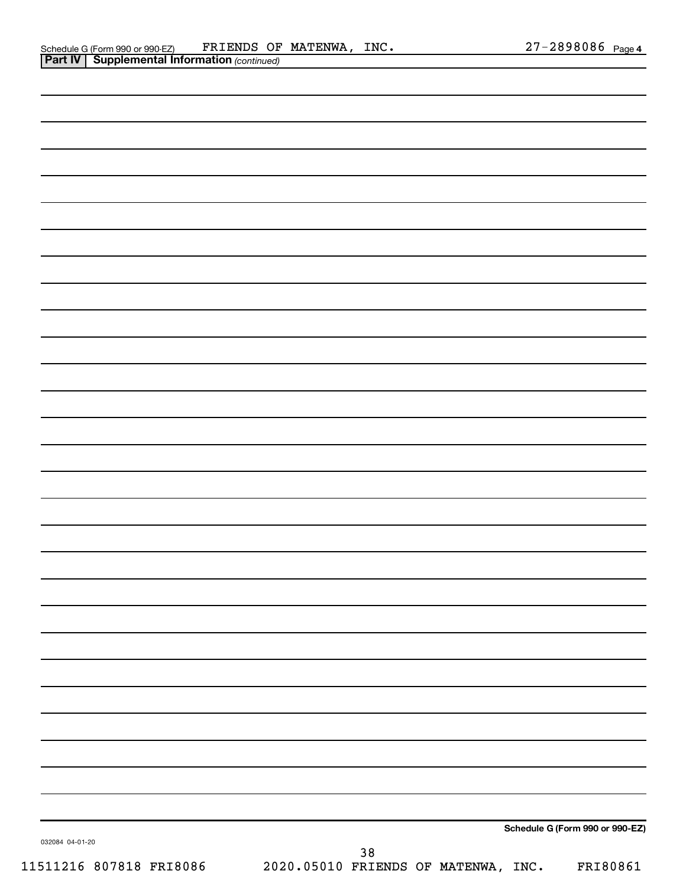|                 | Schedule G (Form 990 or 990-EZ) |  |
|-----------------|---------------------------------|--|
| 032084 04-01-20 | $38\,$                          |  |